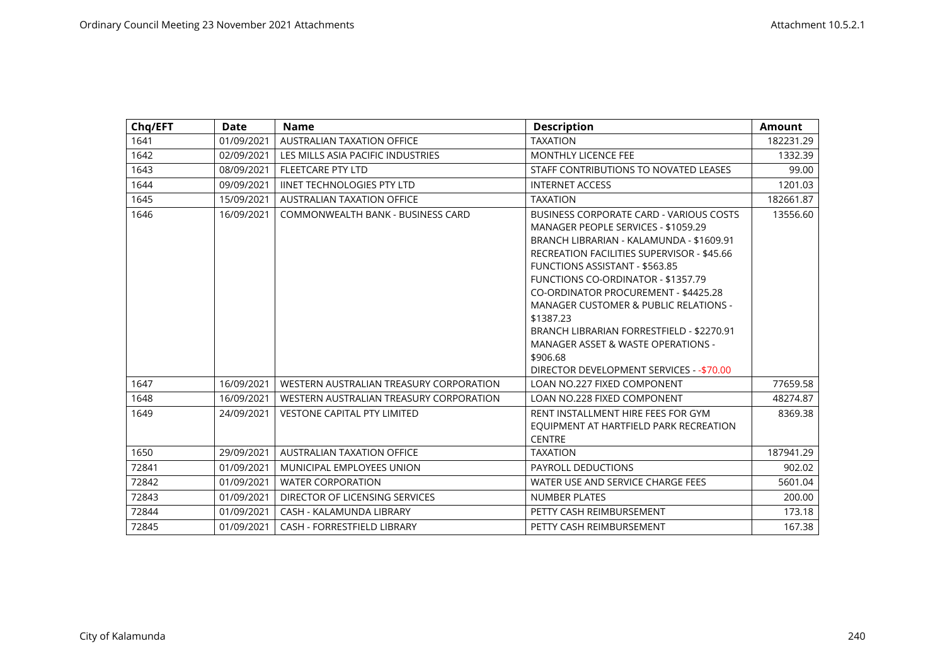| Chq/EFT | <b>Date</b> | <b>Name</b>                             | <b>Description</b>                                                                                                                                                                                                                                                                                                                                                                                                                                                                                                                | <b>Amount</b> |
|---------|-------------|-----------------------------------------|-----------------------------------------------------------------------------------------------------------------------------------------------------------------------------------------------------------------------------------------------------------------------------------------------------------------------------------------------------------------------------------------------------------------------------------------------------------------------------------------------------------------------------------|---------------|
| 1641    | 01/09/2021  | <b>AUSTRALIAN TAXATION OFFICE</b>       | <b>TAXATION</b>                                                                                                                                                                                                                                                                                                                                                                                                                                                                                                                   | 182231.29     |
| 1642    | 02/09/2021  | LES MILLS ASIA PACIFIC INDUSTRIES       | <b>MONTHLY LICENCE FEE</b>                                                                                                                                                                                                                                                                                                                                                                                                                                                                                                        | 1332.39       |
| 1643    | 08/09/2021  | <b>FLEETCARE PTY LTD</b>                | STAFF CONTRIBUTIONS TO NOVATED LEASES                                                                                                                                                                                                                                                                                                                                                                                                                                                                                             | 99.00         |
| 1644    | 09/09/2021  | <b>IINET TECHNOLOGIES PTY LTD</b>       | <b>INTERNET ACCESS</b>                                                                                                                                                                                                                                                                                                                                                                                                                                                                                                            | 1201.03       |
| 1645    | 15/09/2021  | <b>AUSTRALIAN TAXATION OFFICE</b>       | <b>TAXATION</b>                                                                                                                                                                                                                                                                                                                                                                                                                                                                                                                   | 182661.87     |
| 1646    | 16/09/2021  | COMMONWEALTH BANK - BUSINESS CARD       | <b>BUSINESS CORPORATE CARD - VARIOUS COSTS</b><br>MANAGER PEOPLE SERVICES - \$1059.29<br>BRANCH LIBRARIAN - KALAMUNDA - \$1609.91<br><b>RECREATION FACILITIES SUPERVISOR - \$45.66</b><br><b>FUNCTIONS ASSISTANT - \$563.85</b><br><b>FUNCTIONS CO-ORDINATOR - \$1357.79</b><br>CO-ORDINATOR PROCUREMENT - \$4425.28<br><b>MANAGER CUSTOMER &amp; PUBLIC RELATIONS -</b><br>\$1387.23<br>BRANCH LIBRARIAN FORRESTFIELD - \$2270.91<br>MANAGER ASSET & WASTE OPERATIONS -<br>\$906.68<br>DIRECTOR DEVELOPMENT SERVICES - - \$70.00 | 13556.60      |
| 1647    | 16/09/2021  | WESTERN AUSTRALIAN TREASURY CORPORATION | <b>LOAN NO.227 FIXED COMPONENT</b>                                                                                                                                                                                                                                                                                                                                                                                                                                                                                                | 77659.58      |
| 1648    | 16/09/2021  | WESTERN AUSTRALIAN TREASURY CORPORATION | LOAN NO.228 FIXED COMPONENT                                                                                                                                                                                                                                                                                                                                                                                                                                                                                                       | 48274.87      |
| 1649    | 24/09/2021  | <b>VESTONE CAPITAL PTY LIMITED</b>      | RENT INSTALLMENT HIRE FEES FOR GYM<br>EQUIPMENT AT HARTFIELD PARK RECREATION<br><b>CENTRE</b>                                                                                                                                                                                                                                                                                                                                                                                                                                     | 8369.38       |
| 1650    | 29/09/2021  | <b>AUSTRALIAN TAXATION OFFICE</b>       | <b>TAXATION</b>                                                                                                                                                                                                                                                                                                                                                                                                                                                                                                                   | 187941.29     |
| 72841   | 01/09/2021  | MUNICIPAL EMPLOYEES UNION               | PAYROLL DEDUCTIONS                                                                                                                                                                                                                                                                                                                                                                                                                                                                                                                | 902.02        |
| 72842   | 01/09/2021  | <b>WATER CORPORATION</b>                | WATER USE AND SERVICE CHARGE FEES                                                                                                                                                                                                                                                                                                                                                                                                                                                                                                 | 5601.04       |
| 72843   | 01/09/2021  | DIRECTOR OF LICENSING SERVICES          | <b>NUMBER PLATES</b>                                                                                                                                                                                                                                                                                                                                                                                                                                                                                                              | 200.00        |
| 72844   | 01/09/2021  | CASH - KALAMUNDA LIBRARY                | PETTY CASH REIMBURSEMENT                                                                                                                                                                                                                                                                                                                                                                                                                                                                                                          | 173.18        |
| 72845   | 01/09/2021  | CASH - FORRESTFIELD LIBRARY             | PETTY CASH REIMBURSEMENT                                                                                                                                                                                                                                                                                                                                                                                                                                                                                                          | 167.38        |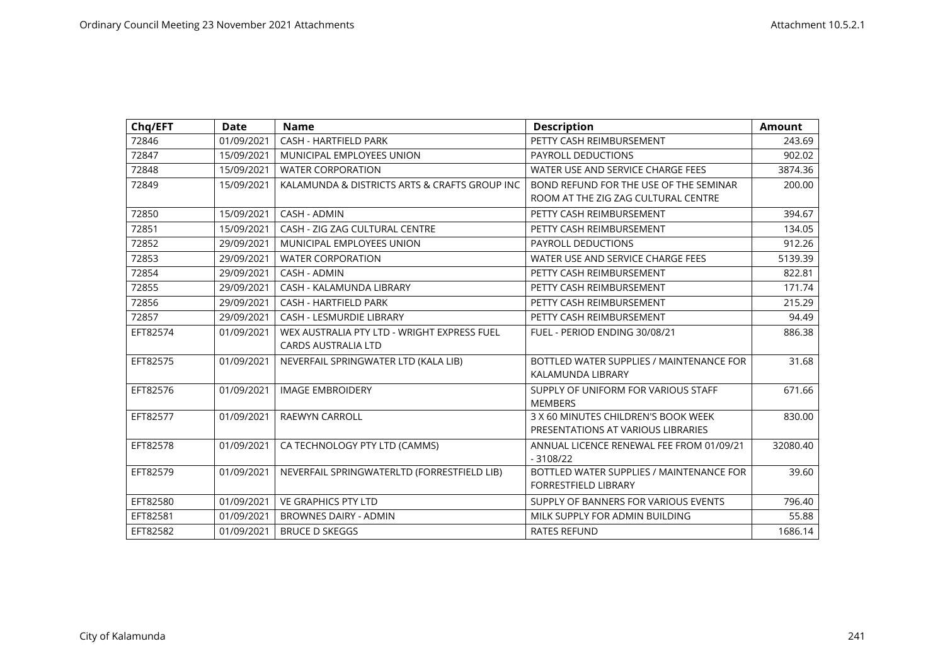| Chq/EFT  | <b>Date</b> | <b>Name</b>                                   | <b>Description</b>                       | <b>Amount</b> |
|----------|-------------|-----------------------------------------------|------------------------------------------|---------------|
| 72846    | 01/09/2021  | CASH - HARTFIELD PARK                         | PETTY CASH REIMBURSEMENT                 | 243.69        |
| 72847    | 15/09/2021  | MUNICIPAL EMPLOYEES UNION                     | PAYROLL DEDUCTIONS                       | 902.02        |
| 72848    | 15/09/2021  | <b>WATER CORPORATION</b>                      | WATER USE AND SERVICE CHARGE FEES        | 3874.36       |
| 72849    | 15/09/2021  | KALAMUNDA & DISTRICTS ARTS & CRAFTS GROUP INC | BOND REFUND FOR THE USE OF THE SEMINAR   | 200.00        |
|          |             |                                               | ROOM AT THE ZIG ZAG CULTURAL CENTRE      |               |
| 72850    | 15/09/2021  | <b>CASH - ADMIN</b>                           | PETTY CASH REIMBURSEMENT                 | 394.67        |
| 72851    | 15/09/2021  | CASH - ZIG ZAG CULTURAL CENTRE                | PETTY CASH REIMBURSEMENT                 | 134.05        |
| 72852    | 29/09/2021  | MUNICIPAL EMPLOYEES UNION                     | PAYROLL DEDUCTIONS                       | 912.26        |
| 72853    | 29/09/2021  | <b>WATER CORPORATION</b>                      | WATER USE AND SERVICE CHARGE FEES        | 5139.39       |
| 72854    | 29/09/2021  | CASH - ADMIN                                  | PETTY CASH REIMBURSEMENT                 | 822.81        |
| 72855    | 29/09/2021  | CASH - KALAMUNDA LIBRARY                      | PETTY CASH REIMBURSEMENT                 | 171.74        |
| 72856    | 29/09/2021  | CASH - HARTFIELD PARK                         | PETTY CASH REIMBURSEMENT                 | 215.29        |
| 72857    | 29/09/2021  | <b>CASH - LESMURDIE LIBRARY</b>               | PETTY CASH REIMBURSEMENT                 | 94.49         |
| EFT82574 | 01/09/2021  | WEX AUSTRALIA PTY LTD - WRIGHT EXPRESS FUEL   | FUEL - PERIOD ENDING 30/08/21            | 886.38        |
|          |             | <b>CARDS AUSTRALIA LTD</b>                    |                                          |               |
| EFT82575 | 01/09/2021  | NEVERFAIL SPRINGWATER LTD (KALA LIB)          | BOTTLED WATER SUPPLIES / MAINTENANCE FOR | 31.68         |
|          |             |                                               | KALAMUNDA LIBRARY                        |               |
| EFT82576 | 01/09/2021  | <b>IMAGE EMBROIDERY</b>                       | SUPPLY OF UNIFORM FOR VARIOUS STAFF      | 671.66        |
|          |             |                                               | <b>MEMBERS</b>                           |               |
| EFT82577 | 01/09/2021  | <b>RAEWYN CARROLL</b>                         | 3 X 60 MINUTES CHILDREN'S BOOK WEEK      | 830.00        |
|          |             |                                               | PRESENTATIONS AT VARIOUS LIBRARIES       |               |
| EFT82578 | 01/09/2021  | CA TECHNOLOGY PTY LTD (CAMMS)                 | ANNUAL LICENCE RENEWAL FEE FROM 01/09/21 | 32080.40      |
|          |             |                                               | $-3108/22$                               |               |
| EFT82579 | 01/09/2021  | NEVERFAIL SPRINGWATERLTD (FORRESTFIELD LIB)   | BOTTLED WATER SUPPLIES / MAINTENANCE FOR | 39.60         |
|          |             |                                               | <b>FORRESTFIELD LIBRARY</b>              |               |
| EFT82580 | 01/09/2021  | <b>VE GRAPHICS PTY LTD</b>                    | SUPPLY OF BANNERS FOR VARIOUS EVENTS     | 796.40        |
| EFT82581 | 01/09/2021  | <b>BROWNES DAIRY - ADMIN</b>                  | MILK SUPPLY FOR ADMIN BUILDING           | 55.88         |
| EFT82582 | 01/09/2021  | <b>BRUCE D SKEGGS</b>                         | <b>RATES REFUND</b>                      | 1686.14       |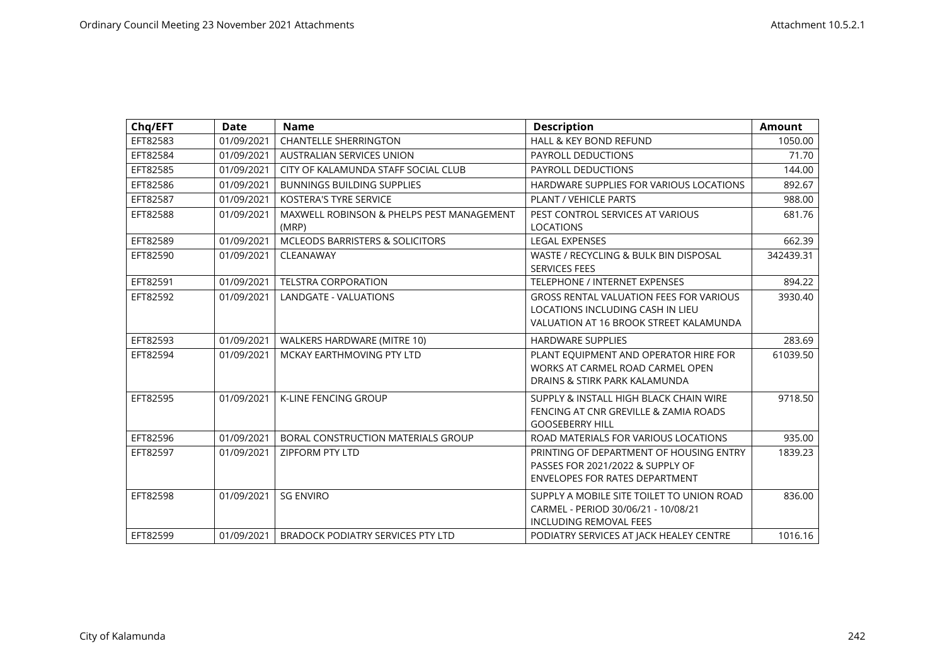| Chq/EFT  | <b>Date</b> | <b>Name</b>                                        | <b>Description</b>                                                                                                           | <b>Amount</b> |
|----------|-------------|----------------------------------------------------|------------------------------------------------------------------------------------------------------------------------------|---------------|
| EFT82583 | 01/09/2021  | <b>CHANTELLE SHERRINGTON</b>                       | HALL & KEY BOND REFUND                                                                                                       | 1050.00       |
| EFT82584 | 01/09/2021  | <b>AUSTRALIAN SERVICES UNION</b>                   | PAYROLL DEDUCTIONS                                                                                                           | 71.70         |
| EFT82585 | 01/09/2021  | CITY OF KALAMUNDA STAFF SOCIAL CLUB                | PAYROLL DEDUCTIONS                                                                                                           | 144.00        |
| EFT82586 | 01/09/2021  | <b>BUNNINGS BUILDING SUPPLIES</b>                  | HARDWARE SUPPLIES FOR VARIOUS LOCATIONS                                                                                      | 892.67        |
| EFT82587 | 01/09/2021  | <b>KOSTERA'S TYRE SERVICE</b>                      | PLANT / VEHICLE PARTS                                                                                                        | 988.00        |
| EFT82588 | 01/09/2021  | MAXWELL ROBINSON & PHELPS PEST MANAGEMENT<br>(MRP) | PEST CONTROL SERVICES AT VARIOUS<br><b>LOCATIONS</b>                                                                         | 681.76        |
| EFT82589 | 01/09/2021  | <b>MCLEODS BARRISTERS &amp; SOLICITORS</b>         | <b>LEGAL EXPENSES</b>                                                                                                        | 662.39        |
| EFT82590 | 01/09/2021  | CLEANAWAY                                          | WASTE / RECYCLING & BULK BIN DISPOSAL<br><b>SERVICES FEES</b>                                                                | 342439.31     |
| EFT82591 | 01/09/2021  | <b>TELSTRA CORPORATION</b>                         | <b>TELEPHONE / INTERNET EXPENSES</b>                                                                                         | 894.22        |
| EFT82592 | 01/09/2021  | LANDGATE - VALUATIONS                              | <b>GROSS RENTAL VALUATION FEES FOR VARIOUS</b><br>LOCATIONS INCLUDING CASH IN LIEU<br>VALUATION AT 16 BROOK STREET KALAMUNDA | 3930.40       |
| EFT82593 | 01/09/2021  | WALKERS HARDWARE (MITRE 10)                        | <b>HARDWARE SUPPLIES</b>                                                                                                     | 283.69        |
| EFT82594 | 01/09/2021  | MCKAY EARTHMOVING PTY LTD                          | PLANT EQUIPMENT AND OPERATOR HIRE FOR<br>WORKS AT CARMEL ROAD CARMEL OPEN<br>DRAINS & STIRK PARK KALAMUNDA                   | 61039.50      |
| EFT82595 | 01/09/2021  | <b>K-LINE FENCING GROUP</b>                        | SUPPLY & INSTALL HIGH BLACK CHAIN WIRE<br>FENCING AT CNR GREVILLE & ZAMIA ROADS<br><b>GOOSEBERRY HILL</b>                    | 9718.50       |
| EFT82596 | 01/09/2021  | <b>BORAL CONSTRUCTION MATERIALS GROUP</b>          | ROAD MATERIALS FOR VARIOUS LOCATIONS                                                                                         | 935.00        |
| EFT82597 | 01/09/2021  | <b>ZIPFORM PTY LTD</b>                             | PRINTING OF DEPARTMENT OF HOUSING ENTRY<br>PASSES FOR 2021/2022 & SUPPLY OF<br><b>ENVELOPES FOR RATES DEPARTMENT</b>         | 1839.23       |
| EFT82598 | 01/09/2021  | <b>SG ENVIRO</b>                                   | SUPPLY A MOBILE SITE TOILET TO UNION ROAD<br>CARMEL - PERIOD 30/06/21 - 10/08/21<br><b>INCLUDING REMOVAL FEES</b>            | 836.00        |
| EFT82599 | 01/09/2021  | <b>BRADOCK PODIATRY SERVICES PTY LTD</b>           | PODIATRY SERVICES AT JACK HEALEY CENTRE                                                                                      | 1016.16       |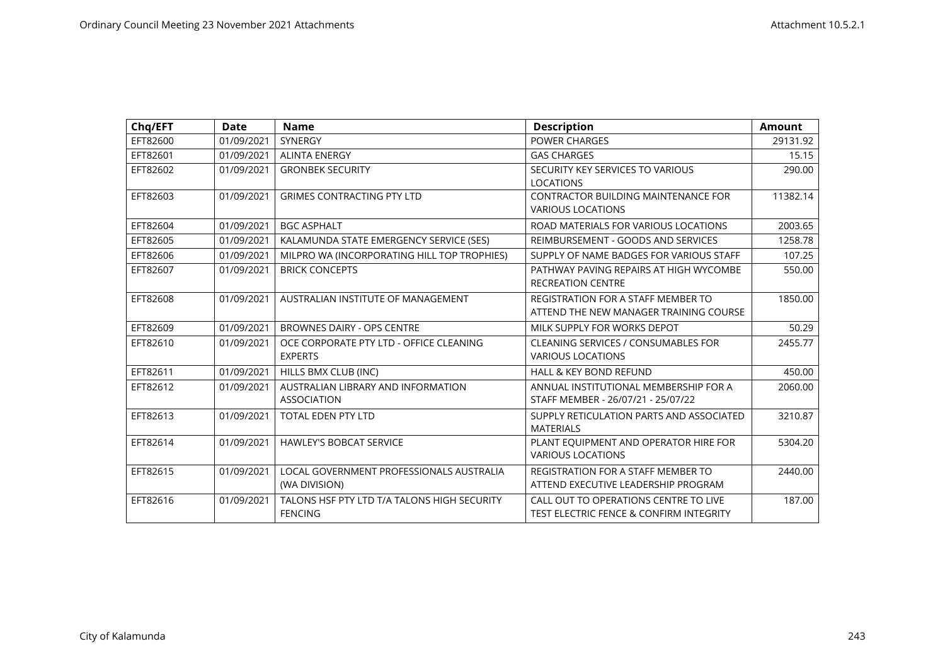| Chq/EFT  | Date       | <b>Name</b>                                                   | <b>Description</b>                                                                          | <b>Amount</b> |
|----------|------------|---------------------------------------------------------------|---------------------------------------------------------------------------------------------|---------------|
| EFT82600 | 01/09/2021 | SYNERGY                                                       | <b>POWER CHARGES</b>                                                                        | 29131.92      |
| EFT82601 | 01/09/2021 | <b>ALINTA ENERGY</b>                                          | <b>GAS CHARGES</b>                                                                          | 15.15         |
| EFT82602 | 01/09/2021 | <b>GRONBEK SECURITY</b>                                       | SECURITY KEY SERVICES TO VARIOUS<br><b>LOCATIONS</b>                                        | 290.00        |
| EFT82603 | 01/09/2021 | <b>GRIMES CONTRACTING PTY LTD</b>                             | <b>CONTRACTOR BUILDING MAINTENANCE FOR</b><br><b>VARIOUS LOCATIONS</b>                      | 11382.14      |
| EFT82604 | 01/09/2021 | <b>BGC ASPHALT</b>                                            | ROAD MATERIALS FOR VARIOUS LOCATIONS                                                        | 2003.65       |
| EFT82605 | 01/09/2021 | KALAMUNDA STATE EMERGENCY SERVICE (SES)                       | REIMBURSEMENT - GOODS AND SERVICES                                                          | 1258.78       |
| EFT82606 | 01/09/2021 | MILPRO WA (INCORPORATING HILL TOP TROPHIES)                   | SUPPLY OF NAME BADGES FOR VARIOUS STAFF                                                     | 107.25        |
| EFT82607 | 01/09/2021 | <b>BRICK CONCEPTS</b>                                         | PATHWAY PAVING REPAIRS AT HIGH WYCOMBE<br><b>RECREATION CENTRE</b>                          | 550.00        |
| EFT82608 | 01/09/2021 | AUSTRALIAN INSTITUTE OF MANAGEMENT                            | <b>REGISTRATION FOR A STAFF MEMBER TO</b><br>ATTEND THE NEW MANAGER TRAINING COURSE         | 1850.00       |
| EFT82609 | 01/09/2021 | <b>BROWNES DAIRY - OPS CENTRE</b>                             | MILK SUPPLY FOR WORKS DEPOT                                                                 | 50.29         |
| EFT82610 | 01/09/2021 | OCE CORPORATE PTY LTD - OFFICE CLEANING<br><b>EXPERTS</b>     | <b>CLEANING SERVICES / CONSUMABLES FOR</b><br><b>VARIOUS LOCATIONS</b>                      | 2455.77       |
| EFT82611 | 01/09/2021 | HILLS BMX CLUB (INC)                                          | <b>HALL &amp; KEY BOND REFUND</b>                                                           | 450.00        |
| EFT82612 | 01/09/2021 | AUSTRALIAN LIBRARY AND INFORMATION<br><b>ASSOCIATION</b>      | ANNUAL INSTITUTIONAL MEMBERSHIP FOR A<br>STAFF MEMBER - 26/07/21 - 25/07/22                 | 2060.00       |
| EFT82613 | 01/09/2021 | <b>TOTAL EDEN PTY LTD</b>                                     | SUPPLY RETICULATION PARTS AND ASSOCIATED<br><b>MATERIALS</b>                                | 3210.87       |
| EFT82614 | 01/09/2021 | <b>HAWLEY'S BOBCAT SERVICE</b>                                | PLANT EQUIPMENT AND OPERATOR HIRE FOR<br><b>VARIOUS LOCATIONS</b>                           | 5304.20       |
| EFT82615 | 01/09/2021 | LOCAL GOVERNMENT PROFESSIONALS AUSTRALIA<br>(WA DIVISION)     | <b>REGISTRATION FOR A STAFF MEMBER TO</b><br>ATTEND EXECUTIVE LEADERSHIP PROGRAM            | 2440.00       |
| EFT82616 | 01/09/2021 | TALONS HSF PTY LTD T/A TALONS HIGH SECURITY<br><b>FENCING</b> | CALL OUT TO OPERATIONS CENTRE TO LIVE<br><b>TEST ELECTRIC FENCE &amp; CONFIRM INTEGRITY</b> | 187.00        |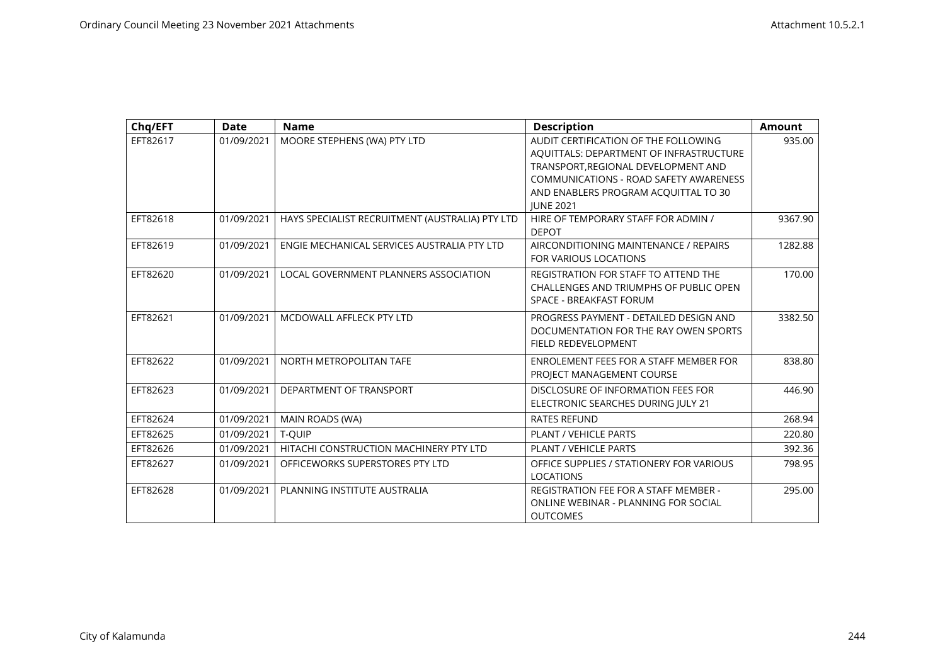| Chq/EFT  | <b>Date</b> | <b>Name</b>                                     | <b>Description</b>                           | <b>Amount</b> |
|----------|-------------|-------------------------------------------------|----------------------------------------------|---------------|
| EFT82617 | 01/09/2021  | MOORE STEPHENS (WA) PTY LTD                     | AUDIT CERTIFICATION OF THE FOLLOWING         | 935.00        |
|          |             |                                                 | AQUITTALS: DEPARTMENT OF INFRASTRUCTURE      |               |
|          |             |                                                 | TRANSPORT.REGIONAL DEVELOPMENT AND           |               |
|          |             |                                                 | COMMUNICATIONS - ROAD SAFETY AWARENESS       |               |
|          |             |                                                 | AND ENABLERS PROGRAM ACQUITTAL TO 30         |               |
|          |             |                                                 | <b>JUNE 2021</b>                             |               |
| EFT82618 | 01/09/2021  | HAYS SPECIALIST RECRUITMENT (AUSTRALIA) PTY LTD | HIRE OF TEMPORARY STAFF FOR ADMIN /          | 9367.90       |
|          |             |                                                 | <b>DEPOT</b>                                 |               |
| EFT82619 | 01/09/2021  | ENGIE MECHANICAL SERVICES AUSTRALIA PTY LTD     | AIRCONDITIONING MAINTENANCE / REPAIRS        | 1282.88       |
|          |             |                                                 | <b>FOR VARIOUS LOCATIONS</b>                 |               |
| EFT82620 | 01/09/2021  | LOCAL GOVERNMENT PLANNERS ASSOCIATION           | REGISTRATION FOR STAFF TO ATTEND THE         | 170.00        |
|          |             |                                                 | CHALLENGES AND TRIUMPHS OF PUBLIC OPEN       |               |
|          |             |                                                 | SPACE - BREAKFAST FORUM                      |               |
| EFT82621 | 01/09/2021  | MCDOWALL AFFLECK PTY LTD                        | PROGRESS PAYMENT - DETAILED DESIGN AND       | 3382.50       |
|          |             |                                                 | DOCUMENTATION FOR THE RAY OWEN SPORTS        |               |
|          |             |                                                 | FIELD REDEVELOPMENT                          |               |
| EFT82622 | 01/09/2021  | NORTH METROPOLITAN TAFE                         | ENROLEMENT FEES FOR A STAFF MEMBER FOR       | 838.80        |
|          |             |                                                 | PROJECT MANAGEMENT COURSE                    |               |
| EFT82623 | 01/09/2021  | DEPARTMENT OF TRANSPORT                         | DISCLOSURE OF INFORMATION FEES FOR           | 446.90        |
|          |             |                                                 | ELECTRONIC SEARCHES DURING JULY 21           |               |
| EFT82624 | 01/09/2021  | MAIN ROADS (WA)                                 | <b>RATES REFUND</b>                          | 268.94        |
| EFT82625 | 01/09/2021  | T-QUIP                                          | PLANT / VEHICLE PARTS                        | 220.80        |
| EFT82626 | 01/09/2021  | HITACHI CONSTRUCTION MACHINERY PTY LTD          | <b>PLANT / VEHICLE PARTS</b>                 | 392.36        |
| EFT82627 | 01/09/2021  | OFFICEWORKS SUPERSTORES PTY LTD                 | OFFICE SUPPLIES / STATIONERY FOR VARIOUS     | 798.95        |
|          |             |                                                 | <b>LOCATIONS</b>                             |               |
| EFT82628 | 01/09/2021  | PLANNING INSTITUTE AUSTRALIA                    | <b>REGISTRATION FEE FOR A STAFF MEMBER -</b> | 295.00        |
|          |             |                                                 | ONLINE WEBINAR - PLANNING FOR SOCIAL         |               |
|          |             |                                                 | <b>OUTCOMES</b>                              |               |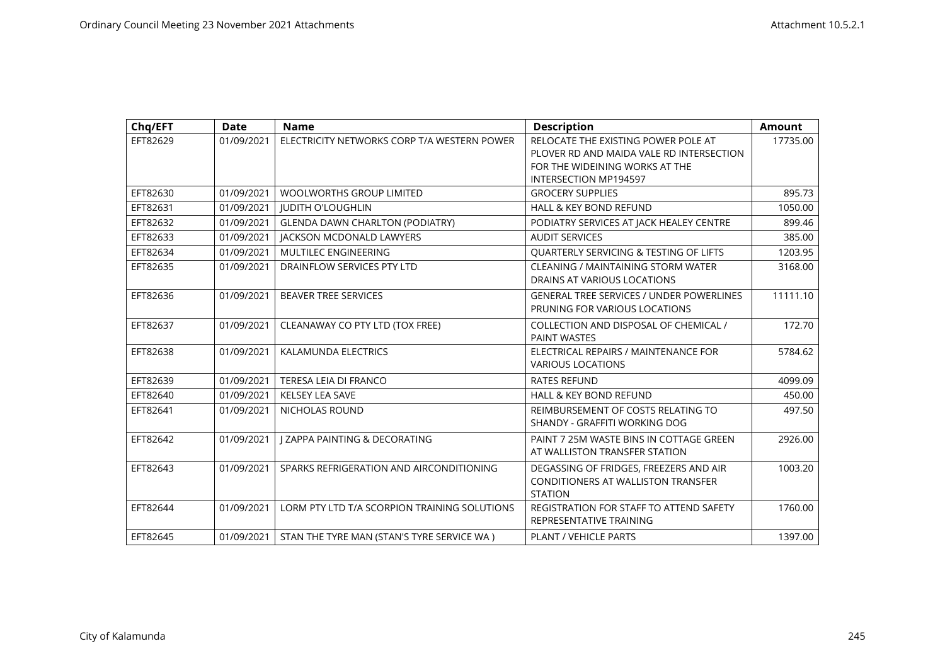| Chq/EFT  | <b>Date</b> | <b>Name</b>                                  | <b>Description</b>                                                                                                | <b>Amount</b> |
|----------|-------------|----------------------------------------------|-------------------------------------------------------------------------------------------------------------------|---------------|
| EFT82629 | 01/09/2021  | ELECTRICITY NETWORKS CORP T/A WESTERN POWER  | RELOCATE THE EXISTING POWER POLE AT<br>PLOVER RD AND MAIDA VALE RD INTERSECTION<br>FOR THE WIDEINING WORKS AT THE | 17735.00      |
|          |             |                                              | <b>INTERSECTION MP194597</b>                                                                                      |               |
| EFT82630 | 01/09/2021  | <b>WOOLWORTHS GROUP LIMITED</b>              | <b>GROCERY SUPPLIES</b>                                                                                           | 895.73        |
| EFT82631 | 01/09/2021  | <b>JUDITH O'LOUGHLIN</b>                     | <b>HALL &amp; KEY BOND REFUND</b>                                                                                 | 1050.00       |
| EFT82632 | 01/09/2021  | <b>GLENDA DAWN CHARLTON (PODIATRY)</b>       | PODIATRY SERVICES AT JACK HEALEY CENTRE                                                                           | 899.46        |
| EFT82633 | 01/09/2021  | <b>JACKSON MCDONALD LAWYERS</b>              | <b>AUDIT SERVICES</b>                                                                                             | 385.00        |
| EFT82634 | 01/09/2021  | MULTILEC ENGINEERING                         | QUARTERLY SERVICING & TESTING OF LIFTS                                                                            | 1203.95       |
| EFT82635 | 01/09/2021  | DRAINFLOW SERVICES PTY LTD                   | CLEANING / MAINTAINING STORM WATER<br>DRAINS AT VARIOUS LOCATIONS                                                 | 3168.00       |
| EFT82636 | 01/09/2021  | <b>BEAVER TREE SERVICES</b>                  | <b>GENERAL TREE SERVICES / UNDER POWERLINES</b><br>PRUNING FOR VARIOUS LOCATIONS                                  | 11111.10      |
| EFT82637 | 01/09/2021  | CLEANAWAY CO PTY LTD (TOX FREE)              | COLLECTION AND DISPOSAL OF CHEMICAL /<br><b>PAINT WASTES</b>                                                      | 172.70        |
| EFT82638 | 01/09/2021  | <b>KALAMUNDA ELECTRICS</b>                   | ELECTRICAL REPAIRS / MAINTENANCE FOR<br><b>VARIOUS LOCATIONS</b>                                                  | 5784.62       |
| EFT82639 | 01/09/2021  | TERESA LEIA DI FRANCO                        | <b>RATES REFUND</b>                                                                                               | 4099.09       |
| EFT82640 | 01/09/2021  | <b>KELSEY LEA SAVE</b>                       | <b>HALL &amp; KEY BOND REFUND</b>                                                                                 | 450.00        |
| EFT82641 | 01/09/2021  | NICHOLAS ROUND                               | REIMBURSEMENT OF COSTS RELATING TO<br>SHANDY - GRAFFITI WORKING DOG                                               | 497.50        |
| EFT82642 | 01/09/2021  | <b>I ZAPPA PAINTING &amp; DECORATING</b>     | PAINT 7 25M WASTE BINS IN COTTAGE GREEN<br>AT WALLISTON TRANSFER STATION                                          | 2926.00       |
| EFT82643 | 01/09/2021  | SPARKS REFRIGERATION AND AIRCONDITIONING     | DEGASSING OF FRIDGES, FREEZERS AND AIR<br>CONDITIONERS AT WALLISTON TRANSFER<br><b>STATION</b>                    | 1003.20       |
| EFT82644 | 01/09/2021  | LORM PTY LTD T/A SCORPION TRAINING SOLUTIONS | REGISTRATION FOR STAFF TO ATTEND SAFETY<br>REPRESENTATIVE TRAINING                                                | 1760.00       |
| EFT82645 | 01/09/2021  | STAN THE TYRE MAN (STAN'S TYRE SERVICE WA)   | PLANT / VEHICLE PARTS                                                                                             | 1397.00       |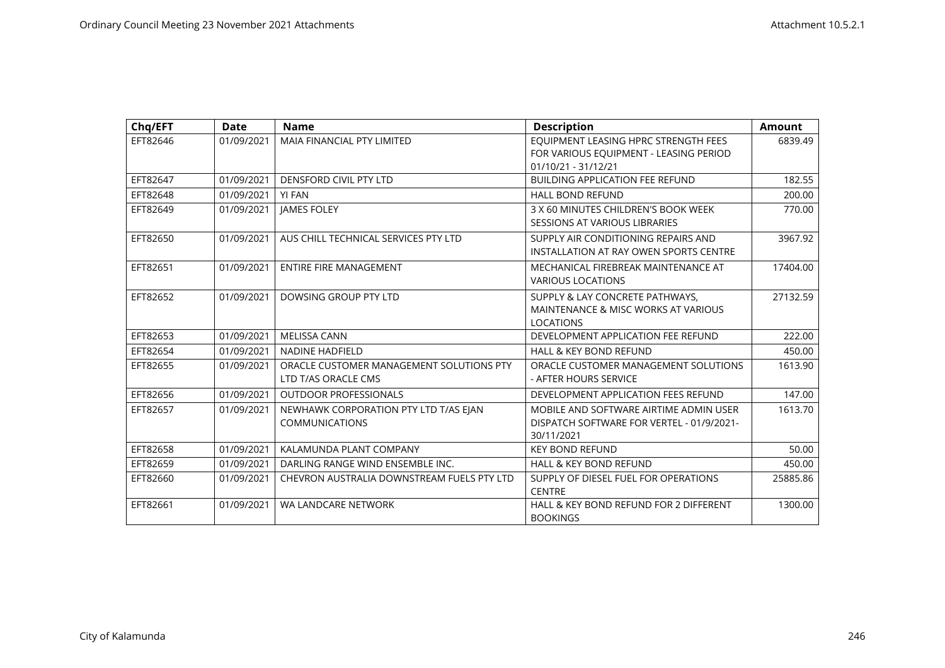| Chq/EFT  | <b>Date</b> | <b>Name</b>                                | <b>Description</b>                        | <b>Amount</b> |
|----------|-------------|--------------------------------------------|-------------------------------------------|---------------|
| EFT82646 | 01/09/2021  | <b>MAIA FINANCIAL PTY LIMITED</b>          | EQUIPMENT LEASING HPRC STRENGTH FEES      | 6839.49       |
|          |             |                                            | FOR VARIOUS EQUIPMENT - LEASING PERIOD    |               |
|          |             |                                            | 01/10/21 - 31/12/21                       |               |
| EFT82647 | 01/09/2021  | <b>DENSFORD CIVIL PTY LTD</b>              | <b>BUILDING APPLICATION FEE REFUND</b>    | 182.55        |
| EFT82648 | 01/09/2021  | <b>YI FAN</b>                              | <b>HALL BOND REFUND</b>                   | 200.00        |
| EFT82649 | 01/09/2021  | <b>JAMES FOLEY</b>                         | 3 X 60 MINUTES CHILDREN'S BOOK WEEK       | 770.00        |
|          |             |                                            | <b>SESSIONS AT VARIOUS LIBRARIES</b>      |               |
| EFT82650 | 01/09/2021  | AUS CHILL TECHNICAL SERVICES PTY LTD       | SUPPLY AIR CONDITIONING REPAIRS AND       | 3967.92       |
|          |             |                                            | INSTALLATION AT RAY OWEN SPORTS CENTRE    |               |
| EFT82651 | 01/09/2021  | <b>ENTIRE FIRE MANAGEMENT</b>              | MECHANICAL FIREBREAK MAINTENANCE AT       | 17404.00      |
|          |             |                                            | <b>VARIOUS LOCATIONS</b>                  |               |
| EFT82652 | 01/09/2021  | DOWSING GROUP PTY LTD                      | SUPPLY & LAY CONCRETE PATHWAYS.           | 27132.59      |
|          |             |                                            | MAINTENANCE & MISC WORKS AT VARIOUS       |               |
|          |             |                                            | <b>LOCATIONS</b>                          |               |
| EFT82653 | 01/09/2021  | <b>MELISSA CANN</b>                        | DEVELOPMENT APPLICATION FEE REFUND        | 222.00        |
| EFT82654 | 01/09/2021  | <b>NADINE HADFIELD</b>                     | <b>HALL &amp; KEY BOND REFUND</b>         | 450.00        |
| EFT82655 | 01/09/2021  | ORACLE CUSTOMER MANAGEMENT SOLUTIONS PTY   | ORACLE CUSTOMER MANAGEMENT SOLUTIONS      | 1613.90       |
|          |             | LTD T/AS ORACLE CMS                        | - AFTER HOURS SERVICE                     |               |
| EFT82656 | 01/09/2021  | <b>OUTDOOR PROFESSIONALS</b>               | DEVELOPMENT APPLICATION FEES REFUND       | 147.00        |
| EFT82657 | 01/09/2021  | NEWHAWK CORPORATION PTY LTD T/AS EJAN      | MOBILE AND SOFTWARE AIRTIME ADMIN USER    | 1613.70       |
|          |             | <b>COMMUNICATIONS</b>                      | DISPATCH SOFTWARE FOR VERTEL - 01/9/2021- |               |
|          |             |                                            | 30/11/2021                                |               |
| EFT82658 | 01/09/2021  | KALAMUNDA PLANT COMPANY                    | <b>KEY BOND REFUND</b>                    | 50.00         |
| EFT82659 | 01/09/2021  | DARLING RANGE WIND ENSEMBLE INC.           | HALL & KEY BOND REFUND                    | 450.00        |
| EFT82660 | 01/09/2021  | CHEVRON AUSTRALIA DOWNSTREAM FUELS PTY LTD | SUPPLY OF DIESEL FUEL FOR OPERATIONS      | 25885.86      |
|          |             |                                            | <b>CENTRE</b>                             |               |
| EFT82661 | 01/09/2021  | WA LANDCARE NETWORK                        | HALL & KEY BOND REFUND FOR 2 DIFFERENT    | 1300.00       |
|          |             |                                            | <b>BOOKINGS</b>                           |               |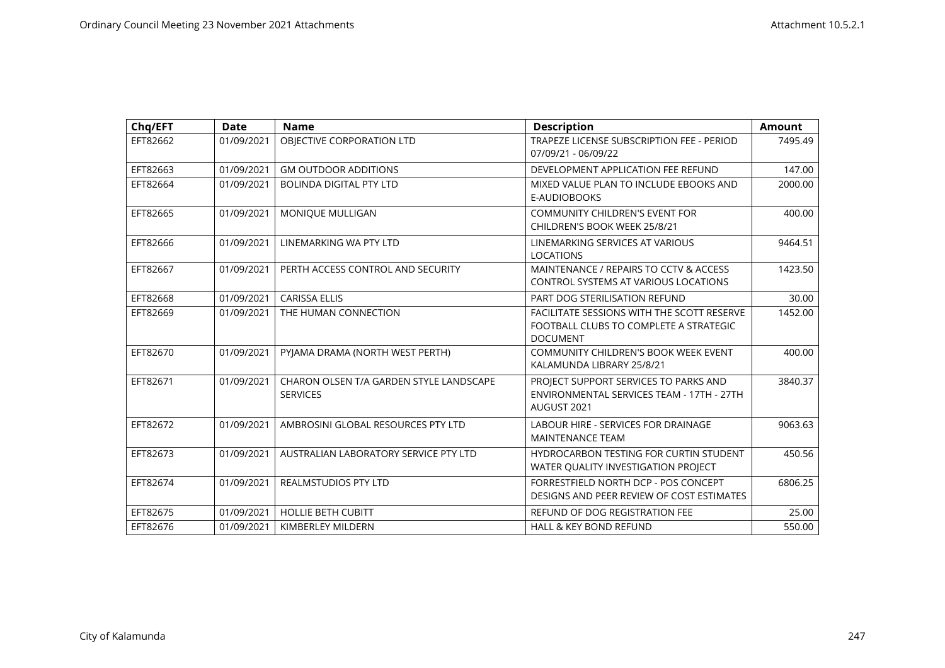| Chq/EFT  | <b>Date</b> | <b>Name</b>                                                | <b>Description</b>                                                                                      | <b>Amount</b> |
|----------|-------------|------------------------------------------------------------|---------------------------------------------------------------------------------------------------------|---------------|
| EFT82662 | 01/09/2021  | OBJECTIVE CORPORATION LTD                                  | TRAPEZE LICENSE SUBSCRIPTION FEE - PERIOD<br>07/09/21 - 06/09/22                                        | 7495.49       |
| EFT82663 | 01/09/2021  | <b>GM OUTDOOR ADDITIONS</b>                                | DEVELOPMENT APPLICATION FEE REFUND                                                                      | 147.00        |
| EFT82664 | 01/09/2021  | <b>BOLINDA DIGITAL PTY LTD</b>                             | MIXED VALUE PLAN TO INCLUDE EBOOKS AND<br>E-AUDIOBOOKS                                                  | 2000.00       |
| EFT82665 | 01/09/2021  | MONIQUE MULLIGAN                                           | <b>COMMUNITY CHILDREN'S EVENT FOR</b><br>CHILDREN'S BOOK WEEK 25/8/21                                   | 400.00        |
| EFT82666 | 01/09/2021  | LINEMARKING WA PTY LTD                                     | LINEMARKING SERVICES AT VARIOUS<br><b>LOCATIONS</b>                                                     | 9464.51       |
| EFT82667 | 01/09/2021  | PERTH ACCESS CONTROL AND SECURITY                          | MAINTENANCE / REPAIRS TO CCTV & ACCESS<br><b>CONTROL SYSTEMS AT VARIOUS LOCATIONS</b>                   | 1423.50       |
| EFT82668 | 01/09/2021  | <b>CARISSA ELLIS</b>                                       | PART DOG STERILISATION REFUND                                                                           | 30.00         |
| EFT82669 | 01/09/2021  | THE HUMAN CONNECTION                                       | FACILITATE SESSIONS WITH THE SCOTT RESERVE<br>FOOTBALL CLUBS TO COMPLETE A STRATEGIC<br><b>DOCUMENT</b> | 1452.00       |
| EFT82670 | 01/09/2021  | PYJAMA DRAMA (NORTH WEST PERTH)                            | COMMUNITY CHILDREN'S BOOK WEEK EVENT<br>KALAMUNDA LIBRARY 25/8/21                                       | 400.00        |
| EFT82671 | 01/09/2021  | CHARON OLSEN T/A GARDEN STYLE LANDSCAPE<br><b>SERVICES</b> | PROJECT SUPPORT SERVICES TO PARKS AND<br>ENVIRONMENTAL SERVICES TEAM - 17TH - 27TH<br>AUGUST 2021       | 3840.37       |
| EFT82672 | 01/09/2021  | AMBROSINI GLOBAL RESOURCES PTY LTD                         | <b>LABOUR HIRE - SERVICES FOR DRAINAGE</b><br><b>MAINTENANCE TEAM</b>                                   | 9063.63       |
| EFT82673 | 01/09/2021  | AUSTRALIAN LABORATORY SERVICE PTY LTD                      | <b>HYDROCARBON TESTING FOR CURTIN STUDENT</b><br>WATER QUALITY INVESTIGATION PROJECT                    | 450.56        |
| EFT82674 | 01/09/2021  | <b>REALMSTUDIOS PTY LTD</b>                                | FORRESTFIELD NORTH DCP - POS CONCEPT<br>DESIGNS AND PEER REVIEW OF COST ESTIMATES                       | 6806.25       |
| EFT82675 | 01/09/2021  | <b>HOLLIE BETH CUBITT</b>                                  | REFUND OF DOG REGISTRATION FEE                                                                          | 25.00         |
| EFT82676 | 01/09/2021  | KIMBERLEY MILDERN                                          | <b>HALL &amp; KEY BOND REFUND</b>                                                                       | 550.00        |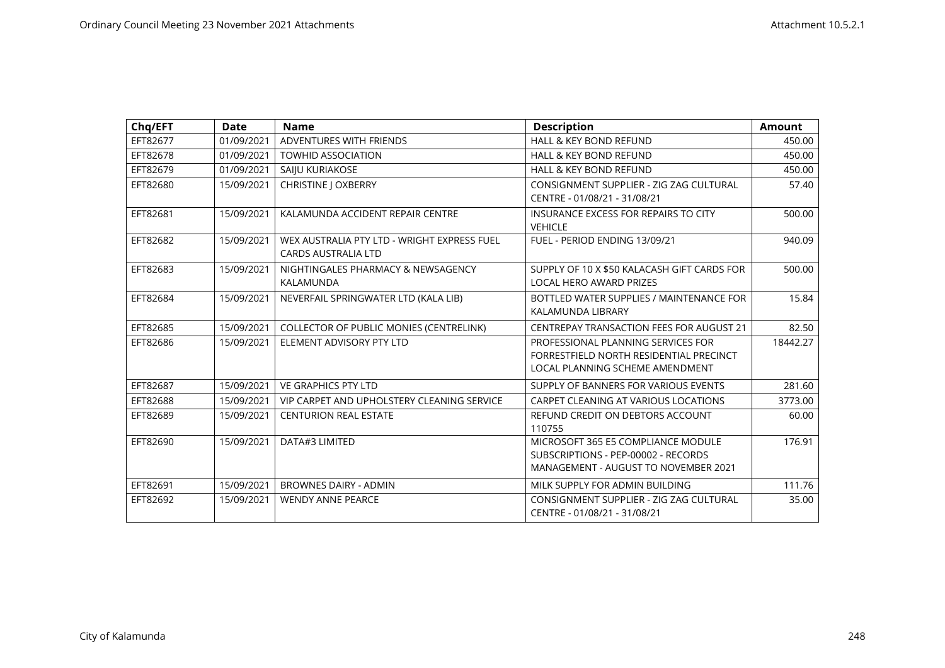| Chq/EFT  | <b>Date</b> | <b>Name</b>                                                               | <b>Description</b>                                                                                                       | <b>Amount</b> |
|----------|-------------|---------------------------------------------------------------------------|--------------------------------------------------------------------------------------------------------------------------|---------------|
| EFT82677 | 01/09/2021  | ADVENTURES WITH FRIENDS                                                   | <b>HALL &amp; KEY BOND REFUND</b>                                                                                        | 450.00        |
| EFT82678 | 01/09/2021  | <b>TOWHID ASSOCIATION</b>                                                 | <b>HALL &amp; KEY BOND REFUND</b>                                                                                        | 450.00        |
| EFT82679 | 01/09/2021  | SAIJU KURIAKOSE                                                           | <b>HALL &amp; KEY BOND REFUND</b>                                                                                        | 450.00        |
| EFT82680 | 15/09/2021  | <b>CHRISTINE   OXBERRY</b>                                                | CONSIGNMENT SUPPLIER - ZIG ZAG CULTURAL<br>CENTRE - 01/08/21 - 31/08/21                                                  | 57.40         |
| EFT82681 | 15/09/2021  | KALAMUNDA ACCIDENT REPAIR CENTRE                                          | <b>INSURANCE EXCESS FOR REPAIRS TO CITY</b><br><b>VEHICLE</b>                                                            | 500.00        |
| EFT82682 | 15/09/2021  | WEX AUSTRALIA PTY LTD - WRIGHT EXPRESS FUEL<br><b>CARDS AUSTRALIA LTD</b> | FUEL - PERIOD ENDING 13/09/21                                                                                            | 940.09        |
| EFT82683 | 15/09/2021  | NIGHTINGALES PHARMACY & NEWSAGENCY<br>KALAMUNDA                           | SUPPLY OF 10 X \$50 KALACASH GIFT CARDS FOR<br><b>LOCAL HERO AWARD PRIZES</b>                                            | 500.00        |
| EFT82684 | 15/09/2021  | NEVERFAIL SPRINGWATER LTD (KALA LIB)                                      | BOTTLED WATER SUPPLIES / MAINTENANCE FOR<br>KALAMUNDA LIBRARY                                                            | 15.84         |
| EFT82685 | 15/09/2021  | COLLECTOR OF PUBLIC MONIES (CENTRELINK)                                   | <b>CENTREPAY TRANSACTION FEES FOR AUGUST 21</b>                                                                          | 82.50         |
| EFT82686 | 15/09/2021  | ELEMENT ADVISORY PTY LTD                                                  | PROFESSIONAL PLANNING SERVICES FOR<br>FORRESTFIELD NORTH RESIDENTIAL PRECINCT<br>LOCAL PLANNING SCHEME AMENDMENT         | 18442.27      |
| EFT82687 | 15/09/2021  | <b>VE GRAPHICS PTY LTD</b>                                                | SUPPLY OF BANNERS FOR VARIOUS EVENTS                                                                                     | 281.60        |
| EFT82688 | 15/09/2021  | VIP CARPET AND UPHOLSTERY CLEANING SERVICE                                | CARPET CLEANING AT VARIOUS LOCATIONS                                                                                     | 3773.00       |
| EFT82689 | 15/09/2021  | <b>CENTURION REAL ESTATE</b>                                              | REFUND CREDIT ON DEBTORS ACCOUNT<br>110755                                                                               | 60.00         |
| EFT82690 | 15/09/2021  | DATA#3 LIMITED                                                            | MICROSOFT 365 E5 COMPLIANCE MODULE<br>SUBSCRIPTIONS - PEP-00002 - RECORDS<br><b>MANAGEMENT - AUGUST TO NOVEMBER 2021</b> | 176.91        |
| EFT82691 | 15/09/2021  | <b>BROWNES DAIRY - ADMIN</b>                                              | MILK SUPPLY FOR ADMIN BUILDING                                                                                           | 111.76        |
| EFT82692 | 15/09/2021  | <b>WENDY ANNE PEARCE</b>                                                  | CONSIGNMENT SUPPLIER - ZIG ZAG CULTURAL<br>CENTRE - 01/08/21 - 31/08/21                                                  | 35.00         |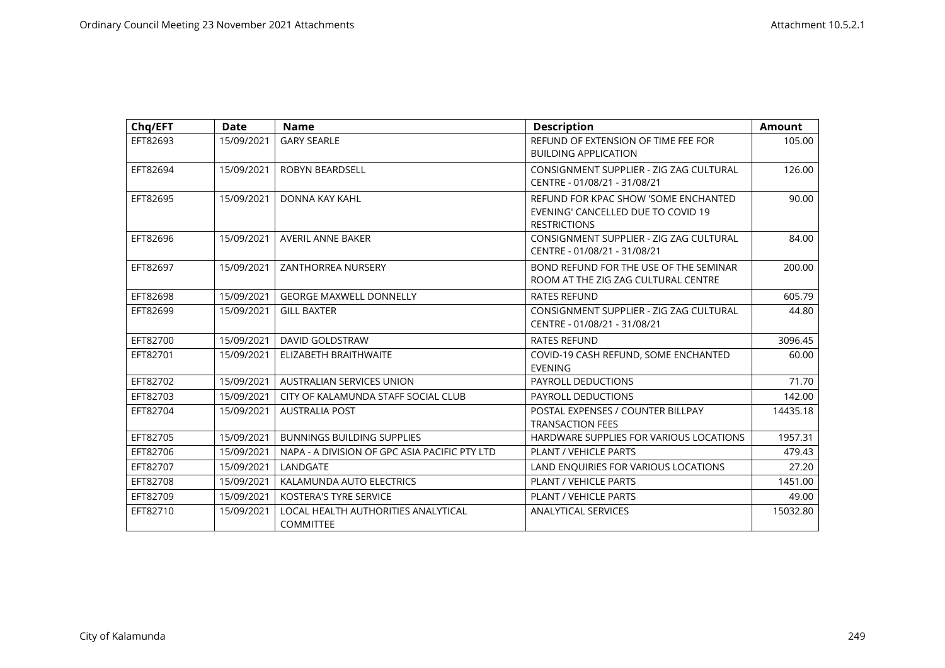| Chq/EFT  | <b>Date</b> | <b>Name</b>                                             | <b>Description</b>                                                                                | <b>Amount</b> |
|----------|-------------|---------------------------------------------------------|---------------------------------------------------------------------------------------------------|---------------|
| EFT82693 | 15/09/2021  | <b>GARY SEARLE</b>                                      | REFUND OF EXTENSION OF TIME FEE FOR<br><b>BUILDING APPLICATION</b>                                | 105.00        |
| EFT82694 | 15/09/2021  | <b>ROBYN BEARDSELL</b>                                  | CONSIGNMENT SUPPLIER - ZIG ZAG CULTURAL<br>CENTRE - 01/08/21 - 31/08/21                           | 126.00        |
| EFT82695 | 15/09/2021  | DONNA KAY KAHL                                          | REFUND FOR KPAC SHOW 'SOME ENCHANTED<br>EVENING' CANCELLED DUE TO COVID 19<br><b>RESTRICTIONS</b> | 90.00         |
| EFT82696 | 15/09/2021  | <b>AVERIL ANNE BAKER</b>                                | CONSIGNMENT SUPPLIER - ZIG ZAG CULTURAL<br>CENTRE - 01/08/21 - 31/08/21                           | 84.00         |
| EFT82697 | 15/09/2021  | ZANTHORREA NURSERY                                      | BOND REFUND FOR THE USE OF THE SEMINAR<br>ROOM AT THE ZIG ZAG CULTURAL CENTRE                     | 200.00        |
| EFT82698 | 15/09/2021  | <b>GEORGE MAXWELL DONNELLY</b>                          | <b>RATES REFUND</b>                                                                               | 605.79        |
| EFT82699 | 15/09/2021  | <b>GILL BAXTER</b>                                      | CONSIGNMENT SUPPLIER - ZIG ZAG CULTURAL<br>CENTRE - 01/08/21 - 31/08/21                           | 44.80         |
| EFT82700 | 15/09/2021  | <b>DAVID GOLDSTRAW</b>                                  | <b>RATES REFUND</b>                                                                               | 3096.45       |
| EFT82701 | 15/09/2021  | ELIZABETH BRAITHWAITE                                   | COVID-19 CASH REFUND, SOME ENCHANTED<br><b>EVENING</b>                                            | 60.00         |
| EFT82702 | 15/09/2021  | <b>AUSTRALIAN SERVICES UNION</b>                        | PAYROLL DEDUCTIONS                                                                                | 71.70         |
| EFT82703 | 15/09/2021  | CITY OF KALAMUNDA STAFF SOCIAL CLUB                     | PAYROLL DEDUCTIONS                                                                                | 142.00        |
| EFT82704 | 15/09/2021  | <b>AUSTRALIA POST</b>                                   | POSTAL EXPENSES / COUNTER BILLPAY<br><b>TRANSACTION FEES</b>                                      | 14435.18      |
| EFT82705 | 15/09/2021  | <b>BUNNINGS BUILDING SUPPLIES</b>                       | HARDWARE SUPPLIES FOR VARIOUS LOCATIONS                                                           | 1957.31       |
| EFT82706 | 15/09/2021  | NAPA - A DIVISION OF GPC ASIA PACIFIC PTY LTD           | PLANT / VEHICLE PARTS                                                                             | 479.43        |
| EFT82707 | 15/09/2021  | LANDGATE                                                | LAND ENQUIRIES FOR VARIOUS LOCATIONS                                                              | 27.20         |
| EFT82708 | 15/09/2021  | KALAMUNDA AUTO ELECTRICS                                | PLANT / VEHICLE PARTS                                                                             | 1451.00       |
| EFT82709 | 15/09/2021  | <b>KOSTERA'S TYRE SERVICE</b>                           | PLANT / VEHICLE PARTS                                                                             | 49.00         |
| EFT82710 | 15/09/2021  | LOCAL HEALTH AUTHORITIES ANALYTICAL<br><b>COMMITTEE</b> | <b>ANALYTICAL SERVICES</b>                                                                        | 15032.80      |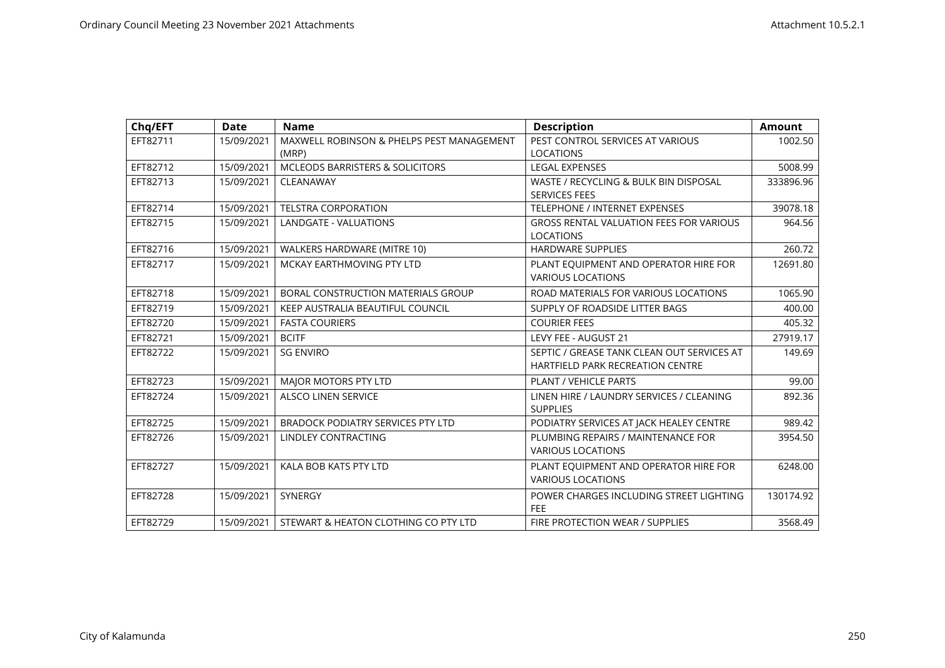| Chq/EFT  | <b>Date</b> | <b>Name</b>                                | <b>Description</b>                             | <b>Amount</b> |
|----------|-------------|--------------------------------------------|------------------------------------------------|---------------|
| EFT82711 | 15/09/2021  | MAXWELL ROBINSON & PHELPS PEST MANAGEMENT  | PEST CONTROL SERVICES AT VARIOUS               | 1002.50       |
|          |             | (MRP)                                      | <b>LOCATIONS</b>                               |               |
| EFT82712 | 15/09/2021  | <b>MCLEODS BARRISTERS &amp; SOLICITORS</b> | <b>LEGAL EXPENSES</b>                          | 5008.99       |
| EFT82713 | 15/09/2021  | CLEANAWAY                                  | WASTE / RECYCLING & BULK BIN DISPOSAL          | 333896.96     |
|          |             |                                            | <b>SERVICES FEES</b>                           |               |
| EFT82714 | 15/09/2021  | <b>TELSTRA CORPORATION</b>                 | TELEPHONE / INTERNET EXPENSES                  | 39078.18      |
| EFT82715 | 15/09/2021  | LANDGATE - VALUATIONS                      | <b>GROSS RENTAL VALUATION FEES FOR VARIOUS</b> | 964.56        |
|          |             |                                            | <b>LOCATIONS</b>                               |               |
| EFT82716 | 15/09/2021  | WALKERS HARDWARE (MITRE 10)                | <b>HARDWARE SUPPLIES</b>                       | 260.72        |
| EFT82717 | 15/09/2021  | MCKAY EARTHMOVING PTY LTD                  | PLANT EQUIPMENT AND OPERATOR HIRE FOR          | 12691.80      |
|          |             |                                            | <b>VARIOUS LOCATIONS</b>                       |               |
| EFT82718 | 15/09/2021  | BORAL CONSTRUCTION MATERIALS GROUP         | ROAD MATERIALS FOR VARIOUS LOCATIONS           | 1065.90       |
| EFT82719 | 15/09/2021  | KEEP AUSTRALIA BEAUTIFUL COUNCIL           | SUPPLY OF ROADSIDE LITTER BAGS                 | 400.00        |
| EFT82720 | 15/09/2021  | <b>FASTA COURIERS</b>                      | <b>COURIER FEES</b>                            | 405.32        |
| EFT82721 | 15/09/2021  | <b>BCITF</b>                               | LEVY FEE - AUGUST 21                           | 27919.17      |
| EFT82722 | 15/09/2021  | <b>SG ENVIRO</b>                           | SEPTIC / GREASE TANK CLEAN OUT SERVICES AT     | 149.69        |
|          |             |                                            | <b>HARTFIELD PARK RECREATION CENTRE</b>        |               |
| EFT82723 | 15/09/2021  | MAJOR MOTORS PTY LTD                       | PLANT / VEHICLE PARTS                          | 99.00         |
| EFT82724 | 15/09/2021  | <b>ALSCO LINEN SERVICE</b>                 | LINEN HIRE / LAUNDRY SERVICES / CLEANING       | 892.36        |
|          |             |                                            | <b>SUPPLIES</b>                                |               |
| EFT82725 | 15/09/2021  | <b>BRADOCK PODIATRY SERVICES PTY LTD</b>   | PODIATRY SERVICES AT JACK HEALEY CENTRE        | 989.42        |
| EFT82726 | 15/09/2021  | LINDLEY CONTRACTING                        | PLUMBING REPAIRS / MAINTENANCE FOR             | 3954.50       |
|          |             |                                            | <b>VARIOUS LOCATIONS</b>                       |               |
| EFT82727 | 15/09/2021  | KALA BOB KATS PTY LTD                      | PLANT EQUIPMENT AND OPERATOR HIRE FOR          | 6248.00       |
|          |             |                                            | <b>VARIOUS LOCATIONS</b>                       |               |
| EFT82728 | 15/09/2021  | SYNERGY                                    | POWER CHARGES INCLUDING STREET LIGHTING        | 130174.92     |
|          |             |                                            | FEE                                            |               |
| EFT82729 | 15/09/2021  | STEWART & HEATON CLOTHING CO PTY LTD       | FIRE PROTECTION WEAR / SUPPLIES                | 3568.49       |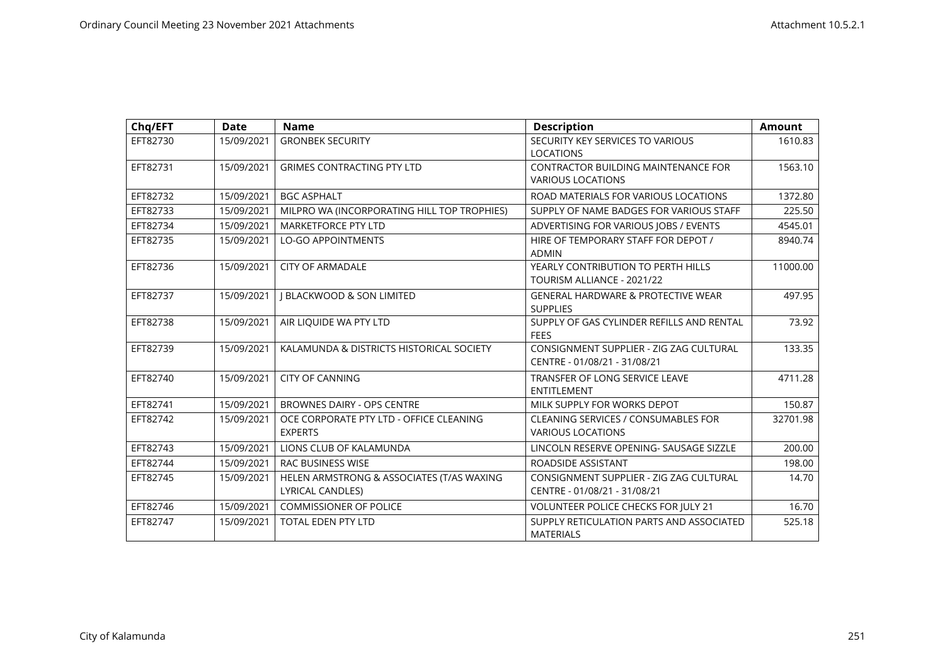| Chq/EFT  | <b>Date</b> | <b>Name</b>                                                   | <b>Description</b>                                                      | <b>Amount</b> |
|----------|-------------|---------------------------------------------------------------|-------------------------------------------------------------------------|---------------|
| EFT82730 | 15/09/2021  | <b>GRONBEK SECURITY</b>                                       | SECURITY KEY SERVICES TO VARIOUS<br><b>LOCATIONS</b>                    | 1610.83       |
| EFT82731 | 15/09/2021  | <b>GRIMES CONTRACTING PTY LTD</b>                             | <b>CONTRACTOR BUILDING MAINTENANCE FOR</b><br><b>VARIOUS LOCATIONS</b>  | 1563.10       |
| EFT82732 | 15/09/2021  | <b>BGC ASPHALT</b>                                            | ROAD MATERIALS FOR VARIOUS LOCATIONS                                    | 1372.80       |
| EFT82733 | 15/09/2021  | MILPRO WA (INCORPORATING HILL TOP TROPHIES)                   | SUPPLY OF NAME BADGES FOR VARIOUS STAFF                                 | 225.50        |
| EFT82734 | 15/09/2021  | <b>MARKETFORCE PTY LTD</b>                                    | ADVERTISING FOR VARIOUS JOBS / EVENTS                                   | 4545.01       |
| EFT82735 | 15/09/2021  | <b>LO-GO APPOINTMENTS</b>                                     | HIRE OF TEMPORARY STAFF FOR DEPOT /<br><b>ADMIN</b>                     | 8940.74       |
| EFT82736 | 15/09/2021  | <b>CITY OF ARMADALE</b>                                       | YEARLY CONTRIBUTION TO PERTH HILLS<br>TOURISM ALLIANCE - 2021/22        | 11000.00      |
| EFT82737 | 15/09/2021  | <b>J BLACKWOOD &amp; SON LIMITED</b>                          | <b>GENERAL HARDWARE &amp; PROTECTIVE WEAR</b><br><b>SUPPLIES</b>        | 497.95        |
| EFT82738 | 15/09/2021  | AIR LIQUIDE WA PTY LTD                                        | SUPPLY OF GAS CYLINDER REFILLS AND RENTAL<br><b>FEES</b>                | 73.92         |
| EFT82739 | 15/09/2021  | KALAMUNDA & DISTRICTS HISTORICAL SOCIETY                      | CONSIGNMENT SUPPLIER - ZIG ZAG CULTURAL<br>CENTRE - 01/08/21 - 31/08/21 | 133.35        |
| EFT82740 | 15/09/2021  | <b>CITY OF CANNING</b>                                        | TRANSFER OF LONG SERVICE LEAVE<br><b>ENTITLEMENT</b>                    | 4711.28       |
| EFT82741 | 15/09/2021  | <b>BROWNES DAIRY - OPS CENTRE</b>                             | MILK SUPPLY FOR WORKS DEPOT                                             | 150.87        |
| EFT82742 | 15/09/2021  | OCE CORPORATE PTY LTD - OFFICE CLEANING<br><b>EXPERTS</b>     | CLEANING SERVICES / CONSUMABLES FOR<br><b>VARIOUS LOCATIONS</b>         | 32701.98      |
| EFT82743 | 15/09/2021  | LIONS CLUB OF KALAMUNDA                                       | LINCOLN RESERVE OPENING- SAUSAGE SIZZLE                                 | 200.00        |
| EFT82744 | 15/09/2021  | <b>RAC BUSINESS WISE</b>                                      | ROADSIDE ASSISTANT                                                      | 198.00        |
| EFT82745 | 15/09/2021  | HELEN ARMSTRONG & ASSOCIATES (T/AS WAXING<br>LYRICAL CANDLES) | CONSIGNMENT SUPPLIER - ZIG ZAG CULTURAL<br>CENTRE - 01/08/21 - 31/08/21 | 14.70         |
| EFT82746 | 15/09/2021  | <b>COMMISSIONER OF POLICE</b>                                 | VOLUNTEER POLICE CHECKS FOR JULY 21                                     | 16.70         |
| EFT82747 | 15/09/2021  | <b>TOTAL EDEN PTY LTD</b>                                     | SUPPLY RETICULATION PARTS AND ASSOCIATED<br><b>MATERIALS</b>            | 525.18        |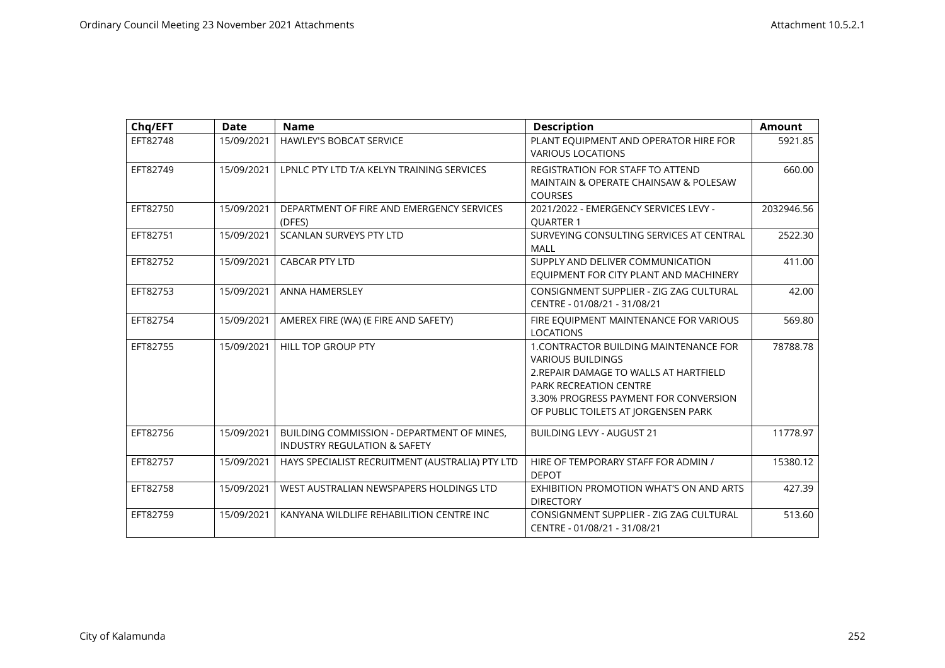| Chq/EFT  | <b>Date</b> | <b>Name</b>                                                                           | <b>Description</b>                                                                                                                                                                                                                   | <b>Amount</b> |
|----------|-------------|---------------------------------------------------------------------------------------|--------------------------------------------------------------------------------------------------------------------------------------------------------------------------------------------------------------------------------------|---------------|
| EFT82748 | 15/09/2021  | <b>HAWLEY'S BOBCAT SERVICE</b>                                                        | PLANT EQUIPMENT AND OPERATOR HIRE FOR<br><b>VARIOUS LOCATIONS</b>                                                                                                                                                                    | 5921.85       |
| EFT82749 | 15/09/2021  | LPNLC PTY LTD T/A KELYN TRAINING SERVICES                                             | REGISTRATION FOR STAFF TO ATTEND<br>MAINTAIN & OPERATE CHAINSAW & POLESAW<br><b>COURSES</b>                                                                                                                                          | 660.00        |
| EFT82750 | 15/09/2021  | DEPARTMENT OF FIRE AND EMERGENCY SERVICES<br>(DFES)                                   | 2021/2022 - EMERGENCY SERVICES LEVY -<br><b>OUARTER 1</b>                                                                                                                                                                            | 2032946.56    |
| EFT82751 | 15/09/2021  | <b>SCANLAN SURVEYS PTY LTD</b>                                                        | SURVEYING CONSULTING SERVICES AT CENTRAL<br>MALL                                                                                                                                                                                     | 2522.30       |
| EFT82752 | 15/09/2021  | <b>CABCAR PTY LTD</b>                                                                 | SUPPLY AND DELIVER COMMUNICATION<br>EQUIPMENT FOR CITY PLANT AND MACHINERY                                                                                                                                                           | 411.00        |
| EFT82753 | 15/09/2021  | <b>ANNA HAMERSLEY</b>                                                                 | CONSIGNMENT SUPPLIER - ZIG ZAG CULTURAL<br>CENTRE - 01/08/21 - 31/08/21                                                                                                                                                              | 42.00         |
| EFT82754 | 15/09/2021  | AMEREX FIRE (WA) (E FIRE AND SAFETY)                                                  | FIRE EQUIPMENT MAINTENANCE FOR VARIOUS<br><b>LOCATIONS</b>                                                                                                                                                                           | 569.80        |
| EFT82755 | 15/09/2021  | HILL TOP GROUP PTY                                                                    | <b>1. CONTRACTOR BUILDING MAINTENANCE FOR</b><br><b>VARIOUS BUILDINGS</b><br>2. REPAIR DAMAGE TO WALLS AT HARTFIELD<br><b>PARK RECREATION CENTRE</b><br>3.30% PROGRESS PAYMENT FOR CONVERSION<br>OF PUBLIC TOILETS AT JORGENSEN PARK | 78788.78      |
| EFT82756 | 15/09/2021  | BUILDING COMMISSION - DEPARTMENT OF MINES.<br><b>INDUSTRY REGULATION &amp; SAFETY</b> | <b>BUILDING LEVY - AUGUST 21</b>                                                                                                                                                                                                     | 11778.97      |
| EFT82757 | 15/09/2021  | HAYS SPECIALIST RECRUITMENT (AUSTRALIA) PTY LTD                                       | HIRE OF TEMPORARY STAFF FOR ADMIN /<br><b>DEPOT</b>                                                                                                                                                                                  | 15380.12      |
| EFT82758 | 15/09/2021  | WEST AUSTRALIAN NEWSPAPERS HOLDINGS LTD                                               | EXHIBITION PROMOTION WHAT'S ON AND ARTS<br><b>DIRECTORY</b>                                                                                                                                                                          | 427.39        |
| EFT82759 | 15/09/2021  | KANYANA WILDLIFE REHABILITION CENTRE INC                                              | CONSIGNMENT SUPPLIER - ZIG ZAG CULTURAL<br>CENTRE - 01/08/21 - 31/08/21                                                                                                                                                              | 513.60        |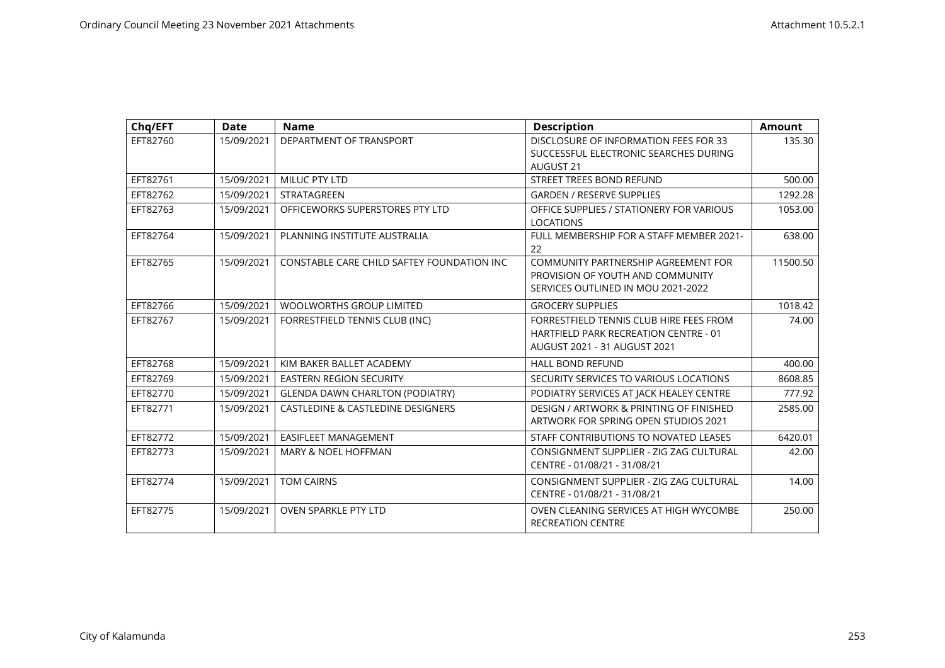| Chq/EFT  | Date       | <b>Name</b>                                  | <b>Description</b>                                                                                                      | <b>Amount</b> |
|----------|------------|----------------------------------------------|-------------------------------------------------------------------------------------------------------------------------|---------------|
| EFT82760 | 15/09/2021 | DEPARTMENT OF TRANSPORT                      | DISCLOSURE OF INFORMATION FEES FOR 33<br>SUCCESSFUL ELECTRONIC SEARCHES DURING                                          | 135.30        |
|          |            |                                              | <b>AUGUST 21</b>                                                                                                        |               |
| EFT82761 | 15/09/2021 | <b>MILUC PTY LTD</b>                         | <b>STREET TREES BOND REFUND</b>                                                                                         | 500.00        |
| EFT82762 | 15/09/2021 | STRATAGREEN                                  | <b>GARDEN / RESERVE SUPPLIES</b>                                                                                        | 1292.28       |
| EFT82763 | 15/09/2021 | OFFICEWORKS SUPERSTORES PTY LTD              | OFFICE SUPPLIES / STATIONERY FOR VARIOUS<br><b>LOCATIONS</b>                                                            | 1053.00       |
| EFT82764 | 15/09/2021 | PLANNING INSTITUTE AUSTRALIA                 | FULL MEMBERSHIP FOR A STAFF MEMBER 2021-<br>22                                                                          | 638.00        |
| EFT82765 | 15/09/2021 | CONSTABLE CARE CHILD SAFTEY FOUNDATION INC   | COMMUNITY PARTNERSHIP AGREEMENT FOR<br>PROVISION OF YOUTH AND COMMUNITY<br>SERVICES OUTLINED IN MOU 2021-2022           | 11500.50      |
| EFT82766 | 15/09/2021 | <b>WOOLWORTHS GROUP LIMITED</b>              | <b>GROCERY SUPPLIES</b>                                                                                                 | 1018.42       |
| EFT82767 | 15/09/2021 | FORRESTFIELD TENNIS CLUB (INC)               | FORRESTFIELD TENNIS CLUB HIRE FEES FROM<br><b>HARTFIELD PARK RECREATION CENTRE - 01</b><br>AUGUST 2021 - 31 AUGUST 2021 | 74.00         |
| EFT82768 | 15/09/2021 | KIM BAKER BALLET ACADEMY                     | <b>HALL BOND REFUND</b>                                                                                                 | 400.00        |
| EFT82769 | 15/09/2021 | <b>EASTERN REGION SECURITY</b>               | SECURITY SERVICES TO VARIOUS LOCATIONS                                                                                  | 8608.85       |
| EFT82770 | 15/09/2021 | <b>GLENDA DAWN CHARLTON (PODIATRY)</b>       | PODIATRY SERVICES AT JACK HEALEY CENTRE                                                                                 | 777.92        |
| EFT82771 | 15/09/2021 | <b>CASTLEDINE &amp; CASTLEDINE DESIGNERS</b> | DESIGN / ARTWORK & PRINTING OF FINISHED<br><b>ARTWORK FOR SPRING OPEN STUDIOS 2021</b>                                  | 2585.00       |
| EFT82772 | 15/09/2021 | EASIFLEET MANAGEMENT                         | STAFF CONTRIBUTIONS TO NOVATED LEASES                                                                                   | 6420.01       |
| EFT82773 | 15/09/2021 | MARY & NOEL HOFFMAN                          | CONSIGNMENT SUPPLIER - ZIG ZAG CULTURAL<br>CENTRE - 01/08/21 - 31/08/21                                                 | 42.00         |
| EFT82774 | 15/09/2021 | <b>TOM CAIRNS</b>                            | CONSIGNMENT SUPPLIER - ZIG ZAG CULTURAL<br>CENTRE - 01/08/21 - 31/08/21                                                 | 14.00         |
| EFT82775 | 15/09/2021 | <b>OVEN SPARKLE PTY LTD</b>                  | OVEN CLEANING SERVICES AT HIGH WYCOMBE<br><b>RECREATION CENTRE</b>                                                      | 250.00        |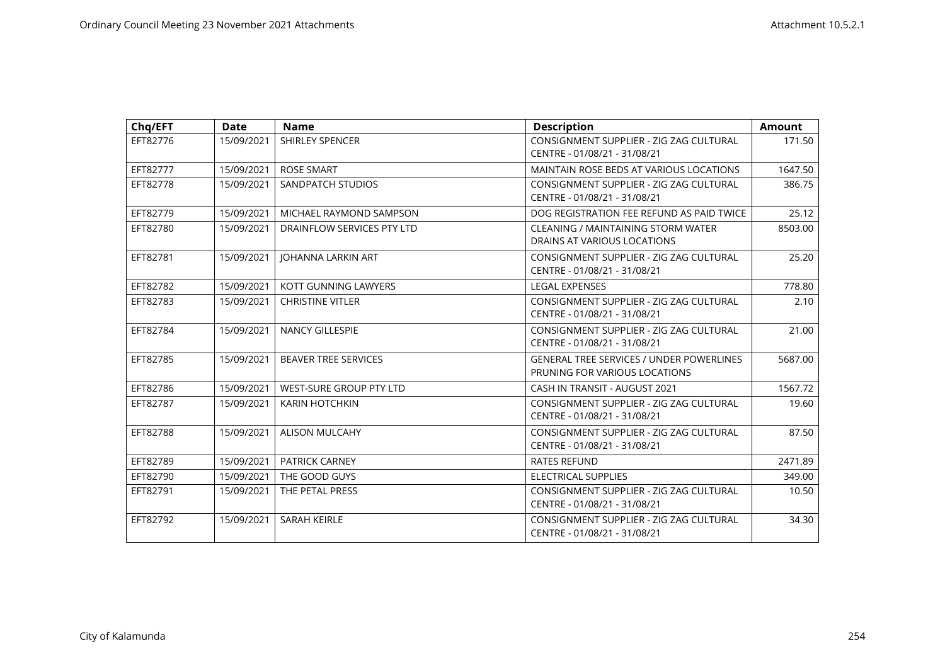| Chq/EFT  | <b>Date</b> | <b>Name</b>                 | <b>Description</b>                              | <b>Amount</b> |
|----------|-------------|-----------------------------|-------------------------------------------------|---------------|
| EFT82776 | 15/09/2021  | SHIRLEY SPENCER             | CONSIGNMENT SUPPLIER - ZIG ZAG CULTURAL         | 171.50        |
|          |             |                             | CENTRE - 01/08/21 - 31/08/21                    |               |
| EFT82777 | 15/09/2021  | <b>ROSE SMART</b>           | MAINTAIN ROSE BEDS AT VARIOUS LOCATIONS         | 1647.50       |
| EFT82778 | 15/09/2021  | SANDPATCH STUDIOS           | CONSIGNMENT SUPPLIER - ZIG ZAG CULTURAL         | 386.75        |
|          |             |                             | CENTRE - 01/08/21 - 31/08/21                    |               |
| EFT82779 | 15/09/2021  | MICHAEL RAYMOND SAMPSON     | DOG REGISTRATION FEE REFUND AS PAID TWICE       | 25.12         |
| EFT82780 | 15/09/2021  | DRAINFLOW SERVICES PTY LTD  | <b>CLEANING / MAINTAINING STORM WATER</b>       | 8503.00       |
|          |             |                             | DRAINS AT VARIOUS LOCATIONS                     |               |
| EFT82781 | 15/09/2021  | JOHANNA LARKIN ART          | CONSIGNMENT SUPPLIER - ZIG ZAG CULTURAL         | 25.20         |
|          |             |                             | CENTRE - 01/08/21 - 31/08/21                    |               |
| EFT82782 | 15/09/2021  | KOTT GUNNING LAWYERS        | <b>LEGAL EXPENSES</b>                           | 778.80        |
| EFT82783 | 15/09/2021  | <b>CHRISTINE VITLER</b>     | CONSIGNMENT SUPPLIER - ZIG ZAG CULTURAL         | 2.10          |
|          |             |                             | CENTRE - 01/08/21 - 31/08/21                    |               |
| EFT82784 | 15/09/2021  | <b>NANCY GILLESPIE</b>      | CONSIGNMENT SUPPLIER - ZIG ZAG CULTURAL         | 21.00         |
|          |             |                             | CENTRE - 01/08/21 - 31/08/21                    |               |
| EFT82785 | 15/09/2021  | <b>BEAVER TREE SERVICES</b> | <b>GENERAL TREE SERVICES / UNDER POWERLINES</b> | 5687.00       |
|          |             |                             | PRUNING FOR VARIOUS LOCATIONS                   |               |
| EFT82786 | 15/09/2021  | WEST-SURE GROUP PTY LTD     | CASH IN TRANSIT - AUGUST 2021                   | 1567.72       |
| EFT82787 | 15/09/2021  | <b>KARIN HOTCHKIN</b>       | CONSIGNMENT SUPPLIER - ZIG ZAG CULTURAL         | 19.60         |
|          |             |                             | CENTRE - 01/08/21 - 31/08/21                    |               |
| EFT82788 | 15/09/2021  | <b>ALISON MULCAHY</b>       | CONSIGNMENT SUPPLIER - ZIG ZAG CULTURAL         | 87.50         |
|          |             |                             | CENTRE - 01/08/21 - 31/08/21                    |               |
| EFT82789 | 15/09/2021  | <b>PATRICK CARNEY</b>       | <b>RATES REFUND</b>                             | 2471.89       |
| EFT82790 | 15/09/2021  | THE GOOD GUYS               | <b>ELECTRICAL SUPPLIES</b>                      | 349.00        |
| EFT82791 | 15/09/2021  | THE PETAL PRESS             | CONSIGNMENT SUPPLIER - ZIG ZAG CULTURAL         | 10.50         |
|          |             |                             | CENTRE - 01/08/21 - 31/08/21                    |               |
| EFT82792 | 15/09/2021  | <b>SARAH KEIRLE</b>         | CONSIGNMENT SUPPLIER - ZIG ZAG CULTURAL         | 34.30         |
|          |             |                             | CENTRE - 01/08/21 - 31/08/21                    |               |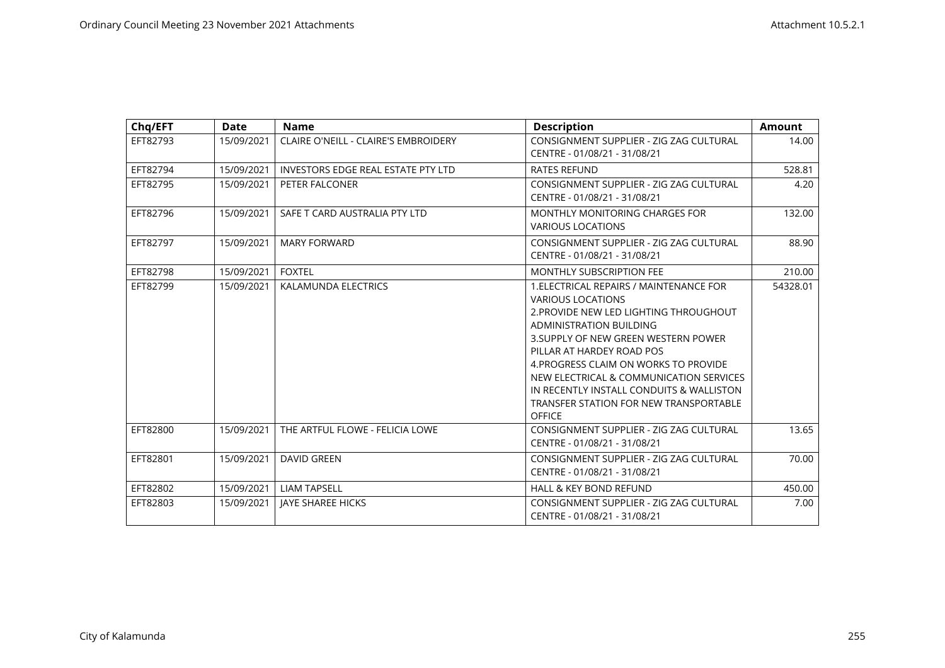| Chq/EFT  | <b>Date</b> | <b>Name</b>                          | <b>Description</b>                                                                                                                                                                                                                                                                                                                                                                                              | <b>Amount</b> |
|----------|-------------|--------------------------------------|-----------------------------------------------------------------------------------------------------------------------------------------------------------------------------------------------------------------------------------------------------------------------------------------------------------------------------------------------------------------------------------------------------------------|---------------|
| EFT82793 | 15/09/2021  | CLAIRE O'NEILL - CLAIRE'S EMBROIDERY | CONSIGNMENT SUPPLIER - ZIG ZAG CULTURAL<br>CENTRE - 01/08/21 - 31/08/21                                                                                                                                                                                                                                                                                                                                         | 14.00         |
| EFT82794 | 15/09/2021  | INVESTORS EDGE REAL ESTATE PTY LTD   | <b>RATES REFUND</b>                                                                                                                                                                                                                                                                                                                                                                                             | 528.81        |
| EFT82795 | 15/09/2021  | PETER FALCONER                       | CONSIGNMENT SUPPLIER - ZIG ZAG CULTURAL<br>CENTRE - 01/08/21 - 31/08/21                                                                                                                                                                                                                                                                                                                                         | 4.20          |
| EFT82796 | 15/09/2021  | SAFE T CARD AUSTRALIA PTY LTD        | MONTHLY MONITORING CHARGES FOR<br><b>VARIOUS LOCATIONS</b>                                                                                                                                                                                                                                                                                                                                                      | 132.00        |
| EFT82797 | 15/09/2021  | <b>MARY FORWARD</b>                  | CONSIGNMENT SUPPLIER - ZIG ZAG CULTURAL<br>CENTRE - 01/08/21 - 31/08/21                                                                                                                                                                                                                                                                                                                                         | 88.90         |
| EFT82798 | 15/09/2021  | <b>FOXTEL</b>                        | <b>MONTHLY SUBSCRIPTION FEE</b>                                                                                                                                                                                                                                                                                                                                                                                 | 210.00        |
| EFT82799 | 15/09/2021  | KALAMUNDA ELECTRICS                  | 1. ELECTRICAL REPAIRS / MAINTENANCE FOR<br><b>VARIOUS LOCATIONS</b><br>2. PROVIDE NEW LED LIGHTING THROUGHOUT<br><b>ADMINISTRATION BUILDING</b><br>3. SUPPLY OF NEW GREEN WESTERN POWER<br>PILLAR AT HARDEY ROAD POS<br>4. PROGRESS CLAIM ON WORKS TO PROVIDE<br>NEW ELECTRICAL & COMMUNICATION SERVICES<br>IN RECENTLY INSTALL CONDUITS & WALLISTON<br>TRANSFER STATION FOR NEW TRANSPORTABLE<br><b>OFFICE</b> | 54328.01      |
| EFT82800 | 15/09/2021  | THE ARTFUL FLOWE - FELICIA LOWE      | CONSIGNMENT SUPPLIER - ZIG ZAG CULTURAL<br>CENTRE - 01/08/21 - 31/08/21                                                                                                                                                                                                                                                                                                                                         | 13.65         |
| EFT82801 | 15/09/2021  | <b>DAVID GREEN</b>                   | CONSIGNMENT SUPPLIER - ZIG ZAG CULTURAL<br>CENTRE - 01/08/21 - 31/08/21                                                                                                                                                                                                                                                                                                                                         | 70.00         |
| EFT82802 | 15/09/2021  | <b>LIAM TAPSELL</b>                  | HALL & KEY BOND REFUND                                                                                                                                                                                                                                                                                                                                                                                          | 450.00        |
| EFT82803 | 15/09/2021  | <b>JAYE SHAREE HICKS</b>             | CONSIGNMENT SUPPLIER - ZIG ZAG CULTURAL<br>CENTRE - 01/08/21 - 31/08/21                                                                                                                                                                                                                                                                                                                                         | 7.00          |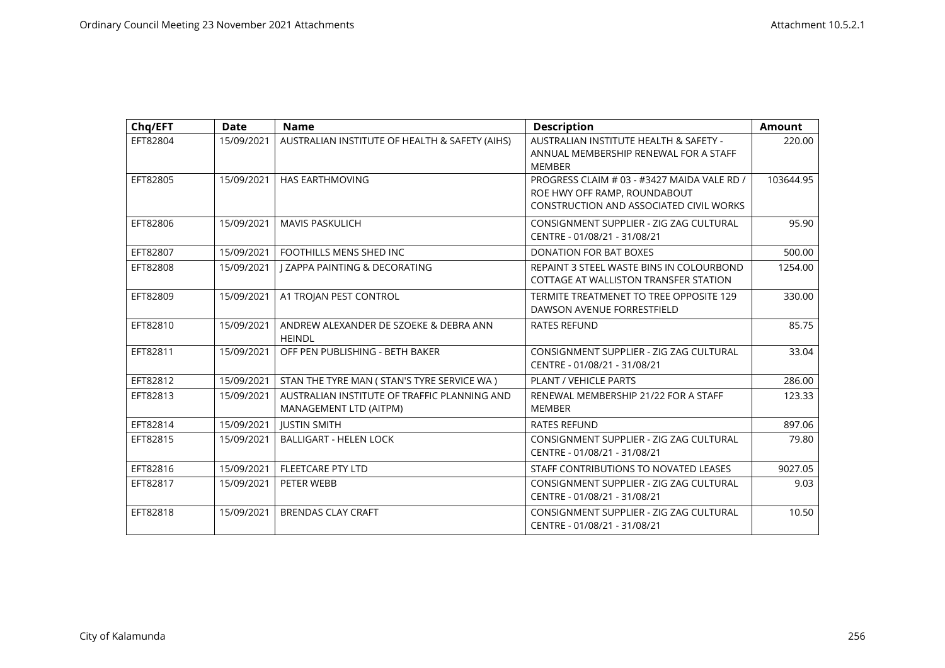| Chq/EFT  | <b>Date</b> | <b>Name</b>                                                            | <b>Description</b>                                                                                                            | <b>Amount</b> |
|----------|-------------|------------------------------------------------------------------------|-------------------------------------------------------------------------------------------------------------------------------|---------------|
| EFT82804 | 15/09/2021  | AUSTRALIAN INSTITUTE OF HEALTH & SAFETY (AIHS)                         | AUSTRALIAN INSTITUTE HEALTH & SAFETY -<br>ANNUAL MEMBERSHIP RENEWAL FOR A STAFF<br><b>MEMBER</b>                              | 220.00        |
| EFT82805 | 15/09/2021  | <b>HAS EARTHMOVING</b>                                                 | PROGRESS CLAIM # 03 - #3427 MAIDA VALE RD /<br>ROE HWY OFF RAMP, ROUNDABOUT<br><b>CONSTRUCTION AND ASSOCIATED CIVIL WORKS</b> | 103644.95     |
| EFT82806 | 15/09/2021  | <b>MAVIS PASKULICH</b>                                                 | CONSIGNMENT SUPPLIER - ZIG ZAG CULTURAL<br>CENTRE - 01/08/21 - 31/08/21                                                       | 95.90         |
| EFT82807 | 15/09/2021  | FOOTHILLS MENS SHED INC                                                | <b>DONATION FOR BAT BOXES</b>                                                                                                 | 500.00        |
| EFT82808 | 15/09/2021  | <b>I ZAPPA PAINTING &amp; DECORATING</b>                               | REPAINT 3 STEEL WASTE BINS IN COLOURBOND<br>COTTAGE AT WALLISTON TRANSFER STATION                                             | 1254.00       |
| EFT82809 | 15/09/2021  | A1 TROJAN PEST CONTROL                                                 | TERMITE TREATMENET TO TREE OPPOSITE 129<br>DAWSON AVENUE FORRESTFIELD                                                         | 330.00        |
| EFT82810 | 15/09/2021  | ANDREW ALEXANDER DE SZOEKE & DEBRA ANN<br><b>HEINDL</b>                | <b>RATES REFUND</b>                                                                                                           | 85.75         |
| EFT82811 | 15/09/2021  | OFF PEN PUBLISHING - BETH BAKER                                        | CONSIGNMENT SUPPLIER - ZIG ZAG CULTURAL<br>CENTRE - 01/08/21 - 31/08/21                                                       | 33.04         |
| EFT82812 | 15/09/2021  | STAN THE TYRE MAN ( STAN'S TYRE SERVICE WA )                           | PLANT / VEHICLE PARTS                                                                                                         | 286.00        |
| EFT82813 | 15/09/2021  | AUSTRALIAN INSTITUTE OF TRAFFIC PLANNING AND<br>MANAGEMENT LTD (AITPM) | RENEWAL MEMBERSHIP 21/22 FOR A STAFF<br><b>MEMBER</b>                                                                         | 123.33        |
| EFT82814 | 15/09/2021  | <b>IUSTIN SMITH</b>                                                    | <b>RATES REFUND</b>                                                                                                           | 897.06        |
| EFT82815 | 15/09/2021  | <b>BALLIGART - HELEN LOCK</b>                                          | CONSIGNMENT SUPPLIER - ZIG ZAG CULTURAL<br>CENTRE - 01/08/21 - 31/08/21                                                       | 79.80         |
| EFT82816 | 15/09/2021  | <b>FLEETCARE PTY LTD</b>                                               | STAFF CONTRIBUTIONS TO NOVATED LEASES                                                                                         | 9027.05       |
| EFT82817 | 15/09/2021  | PETER WEBB                                                             | CONSIGNMENT SUPPLIER - ZIG ZAG CULTURAL<br>CENTRE - 01/08/21 - 31/08/21                                                       | 9.03          |
| EFT82818 | 15/09/2021  | <b>BRENDAS CLAY CRAFT</b>                                              | CONSIGNMENT SUPPLIER - ZIG ZAG CULTURAL<br>CENTRE - 01/08/21 - 31/08/21                                                       | 10.50         |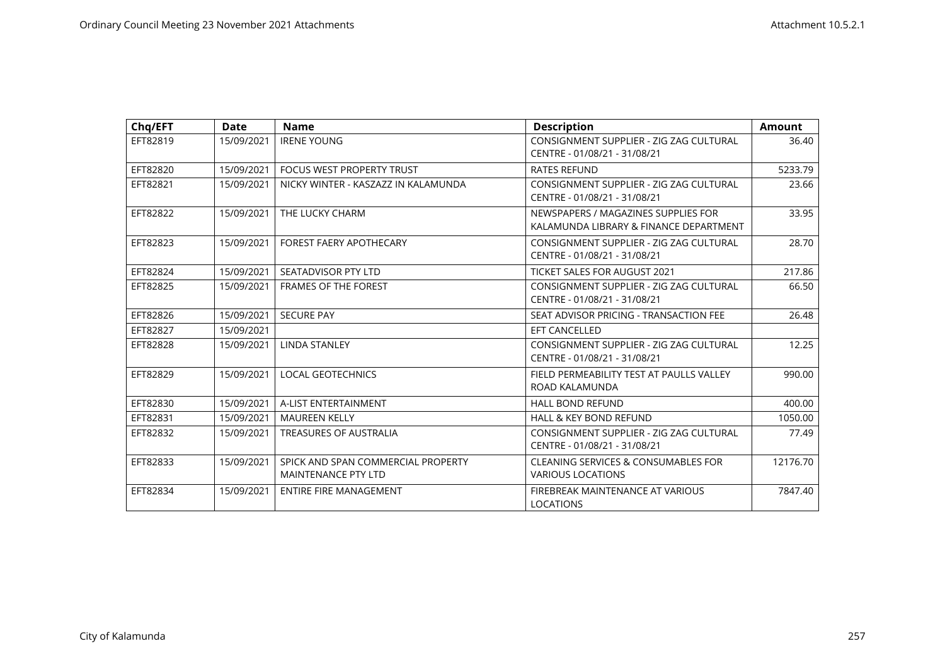| Chq/EFT  | <b>Date</b> | <b>Name</b>                                                      | <b>Description</b>                                                            | <b>Amount</b> |
|----------|-------------|------------------------------------------------------------------|-------------------------------------------------------------------------------|---------------|
| EFT82819 | 15/09/2021  | <b>IRENE YOUNG</b>                                               | CONSIGNMENT SUPPLIER - ZIG ZAG CULTURAL<br>CENTRE - 01/08/21 - 31/08/21       | 36.40         |
| EFT82820 | 15/09/2021  | FOCUS WEST PROPERTY TRUST                                        | <b>RATES REFUND</b>                                                           | 5233.79       |
| EFT82821 | 15/09/2021  | NICKY WINTER - KASZAZZ IN KALAMUNDA                              | CONSIGNMENT SUPPLIER - ZIG ZAG CULTURAL<br>CENTRE - 01/08/21 - 31/08/21       | 23.66         |
| EFT82822 | 15/09/2021  | THE LUCKY CHARM                                                  | NEWSPAPERS / MAGAZINES SUPPLIES FOR<br>KALAMUNDA LIBRARY & FINANCE DEPARTMENT | 33.95         |
| EFT82823 | 15/09/2021  | <b>FOREST FAERY APOTHECARY</b>                                   | CONSIGNMENT SUPPLIER - ZIG ZAG CULTURAL<br>CENTRE - 01/08/21 - 31/08/21       | 28.70         |
| EFT82824 | 15/09/2021  | SEATADVISOR PTY LTD                                              | <b>TICKET SALES FOR AUGUST 2021</b>                                           | 217.86        |
| EFT82825 | 15/09/2021  | <b>FRAMES OF THE FOREST</b>                                      | CONSIGNMENT SUPPLIER - ZIG ZAG CULTURAL<br>CENTRE - 01/08/21 - 31/08/21       | 66.50         |
| EFT82826 | 15/09/2021  | <b>SECURE PAY</b>                                                | SEAT ADVISOR PRICING - TRANSACTION FEE                                        | 26.48         |
| EFT82827 | 15/09/2021  |                                                                  | <b>EFT CANCELLED</b>                                                          |               |
| EFT82828 | 15/09/2021  | <b>LINDA STANLEY</b>                                             | CONSIGNMENT SUPPLIER - ZIG ZAG CULTURAL<br>CENTRE - 01/08/21 - 31/08/21       | 12.25         |
| EFT82829 | 15/09/2021  | <b>LOCAL GEOTECHNICS</b>                                         | FIELD PERMEABILITY TEST AT PAULLS VALLEY<br>ROAD KALAMUNDA                    | 990.00        |
| EFT82830 | 15/09/2021  | A-LIST ENTERTAINMENT                                             | <b>HALL BOND REFUND</b>                                                       | 400.00        |
| EFT82831 | 15/09/2021  | <b>MAUREEN KELLY</b>                                             | <b>HALL &amp; KEY BOND REFUND</b>                                             | 1050.00       |
| EFT82832 | 15/09/2021  | <b>TREASURES OF AUSTRALIA</b>                                    | CONSIGNMENT SUPPLIER - ZIG ZAG CULTURAL<br>CENTRE - 01/08/21 - 31/08/21       | 77.49         |
| EFT82833 | 15/09/2021  | SPICK AND SPAN COMMERCIAL PROPERTY<br><b>MAINTENANCE PTY LTD</b> | <b>CLEANING SERVICES &amp; CONSUMABLES FOR</b><br><b>VARIOUS LOCATIONS</b>    | 12176.70      |
| EFT82834 | 15/09/2021  | <b>ENTIRE FIRE MANAGEMENT</b>                                    | FIREBREAK MAINTENANCE AT VARIOUS<br><b>LOCATIONS</b>                          | 7847.40       |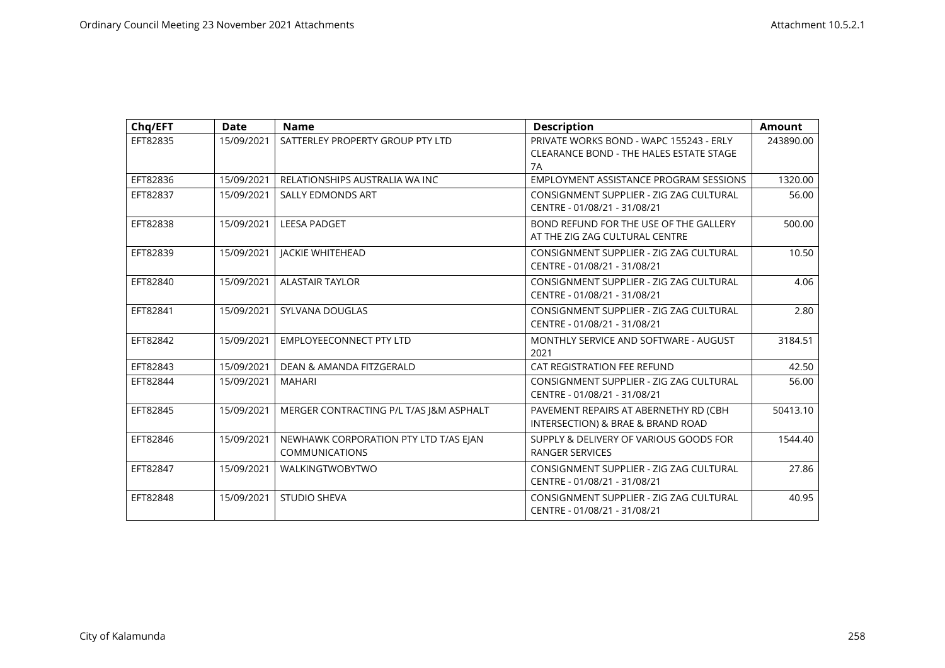| Chq/EFT  | <b>Date</b> | <b>Name</b>                                                    | <b>Description</b>                                                                              | <b>Amount</b> |
|----------|-------------|----------------------------------------------------------------|-------------------------------------------------------------------------------------------------|---------------|
| EFT82835 | 15/09/2021  | SATTERLEY PROPERTY GROUP PTY LTD                               | PRIVATE WORKS BOND - WAPC 155243 - ERLY<br><b>CLEARANCE BOND - THE HALES ESTATE STAGE</b><br>7A | 243890.00     |
| EFT82836 | 15/09/2021  | RELATIONSHIPS AUSTRALIA WA INC                                 | <b>EMPLOYMENT ASSISTANCE PROGRAM SESSIONS</b>                                                   | 1320.00       |
| EFT82837 | 15/09/2021  | SALLY EDMONDS ART                                              | CONSIGNMENT SUPPLIER - ZIG ZAG CULTURAL<br>CENTRE - 01/08/21 - 31/08/21                         | 56.00         |
| EFT82838 | 15/09/2021  | <b>LEESA PADGET</b>                                            | BOND REFUND FOR THE USE OF THE GALLERY<br>AT THE ZIG ZAG CULTURAL CENTRE                        | 500.00        |
| EFT82839 | 15/09/2021  | <b>JACKIE WHITEHEAD</b>                                        | CONSIGNMENT SUPPLIER - ZIG ZAG CULTURAL<br>CENTRE - 01/08/21 - 31/08/21                         | 10.50         |
| EFT82840 | 15/09/2021  | <b>ALASTAIR TAYLOR</b>                                         | CONSIGNMENT SUPPLIER - ZIG ZAG CULTURAL<br>CENTRE - 01/08/21 - 31/08/21                         | 4.06          |
| EFT82841 | 15/09/2021  | SYLVANA DOUGLAS                                                | CONSIGNMENT SUPPLIER - ZIG ZAG CULTURAL<br>CENTRE - 01/08/21 - 31/08/21                         | 2.80          |
| EFT82842 | 15/09/2021  | <b>EMPLOYEECONNECT PTY LTD</b>                                 | MONTHLY SERVICE AND SOFTWARE - AUGUST<br>2021                                                   | 3184.51       |
| EFT82843 | 15/09/2021  | DEAN & AMANDA FITZGERALD                                       | CAT REGISTRATION FEE REFUND                                                                     | 42.50         |
| EFT82844 | 15/09/2021  | <b>MAHARI</b>                                                  | CONSIGNMENT SUPPLIER - ZIG ZAG CULTURAL<br>CENTRE - 01/08/21 - 31/08/21                         | 56.00         |
| EFT82845 | 15/09/2021  | MERGER CONTRACTING P/L T/AS J&M ASPHALT                        | PAVEMENT REPAIRS AT ABERNETHY RD (CBH<br>INTERSECTION) & BRAE & BRAND ROAD                      | 50413.10      |
| EFT82846 | 15/09/2021  | NEWHAWK CORPORATION PTY LTD T/AS EJAN<br><b>COMMUNICATIONS</b> | SUPPLY & DELIVERY OF VARIOUS GOODS FOR<br><b>RANGER SERVICES</b>                                | 1544.40       |
| EFT82847 | 15/09/2021  | <b>WALKINGTWOBYTWO</b>                                         | CONSIGNMENT SUPPLIER - ZIG ZAG CULTURAL<br>CENTRE - 01/08/21 - 31/08/21                         | 27.86         |
| EFT82848 | 15/09/2021  | <b>STUDIO SHEVA</b>                                            | CONSIGNMENT SUPPLIER - ZIG ZAG CULTURAL<br>CENTRE - 01/08/21 - 31/08/21                         | 40.95         |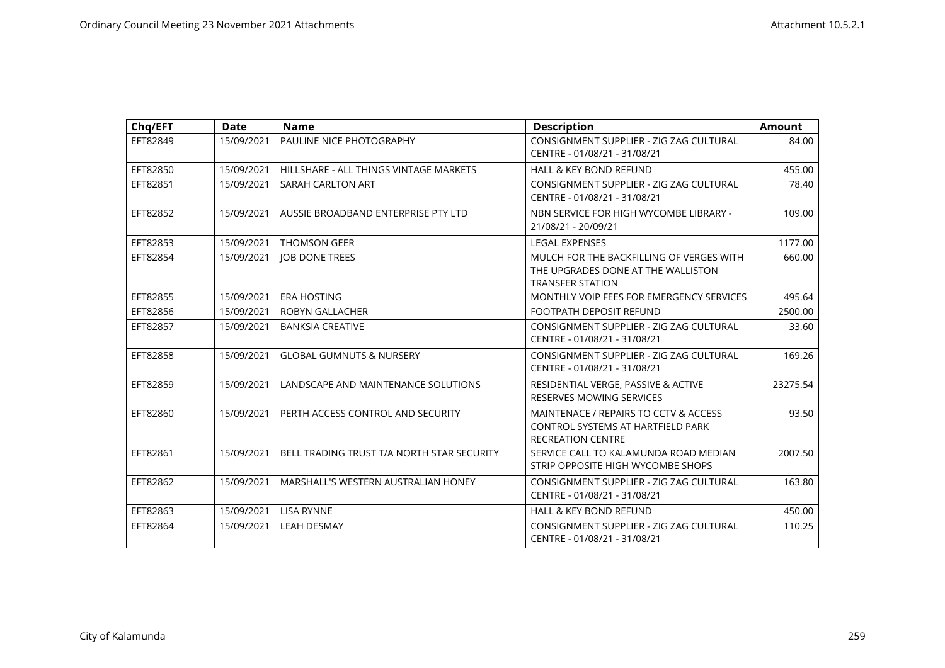| Chq/EFT  | <b>Date</b> | <b>Name</b>                                | <b>Description</b>                                                                                        | <b>Amount</b> |
|----------|-------------|--------------------------------------------|-----------------------------------------------------------------------------------------------------------|---------------|
| EFT82849 | 15/09/2021  | PAULINE NICE PHOTOGRAPHY                   | CONSIGNMENT SUPPLIER - ZIG ZAG CULTURAL<br>CENTRE - 01/08/21 - 31/08/21                                   | 84.00         |
| EFT82850 | 15/09/2021  | HILLSHARE - ALL THINGS VINTAGE MARKETS     | <b>HALL &amp; KEY BOND REFUND</b>                                                                         | 455.00        |
| EFT82851 | 15/09/2021  | SARAH CARLTON ART                          | CONSIGNMENT SUPPLIER - ZIG ZAG CULTURAL<br>CENTRE - 01/08/21 - 31/08/21                                   | 78.40         |
| EFT82852 | 15/09/2021  | AUSSIE BROADBAND ENTERPRISE PTY LTD        | NBN SERVICE FOR HIGH WYCOMBE LIBRARY -<br>21/08/21 - 20/09/21                                             | 109.00        |
| EFT82853 | 15/09/2021  | THOMSON GEER                               | <b>LEGAL EXPENSES</b>                                                                                     | 1177.00       |
| EFT82854 | 15/09/2021  | <b>JOB DONE TREES</b>                      | MULCH FOR THE BACKFILLING OF VERGES WITH<br>THE UPGRADES DONE AT THE WALLISTON<br><b>TRANSFER STATION</b> | 660.00        |
| EFT82855 | 15/09/2021  | <b>ERA HOSTING</b>                         | MONTHLY VOIP FEES FOR EMERGENCY SERVICES                                                                  | 495.64        |
| EFT82856 | 15/09/2021  | ROBYN GALLACHER                            | <b>FOOTPATH DEPOSIT REFUND</b>                                                                            | 2500.00       |
| EFT82857 | 15/09/2021  | <b>BANKSIA CREATIVE</b>                    | CONSIGNMENT SUPPLIER - ZIG ZAG CULTURAL<br>CENTRE - 01/08/21 - 31/08/21                                   | 33.60         |
| EFT82858 | 15/09/2021  | <b>GLOBAL GUMNUTS &amp; NURSERY</b>        | CONSIGNMENT SUPPLIER - ZIG ZAG CULTURAL<br>CENTRE - 01/08/21 - 31/08/21                                   | 169.26        |
| EFT82859 | 15/09/2021  | LANDSCAPE AND MAINTENANCE SOLUTIONS        | RESIDENTIAL VERGE, PASSIVE & ACTIVE<br><b>RESERVES MOWING SERVICES</b>                                    | 23275.54      |
| EFT82860 | 15/09/2021  | PERTH ACCESS CONTROL AND SECURITY          | MAINTENACE / REPAIRS TO CCTV & ACCESS<br>CONTROL SYSTEMS AT HARTFIELD PARK<br><b>RECREATION CENTRE</b>    | 93.50         |
| EFT82861 | 15/09/2021  | BELL TRADING TRUST T/A NORTH STAR SECURITY | SERVICE CALL TO KALAMUNDA ROAD MEDIAN<br>STRIP OPPOSITE HIGH WYCOMBE SHOPS                                | 2007.50       |
| EFT82862 | 15/09/2021  | MARSHALL'S WESTERN AUSTRALIAN HONEY        | CONSIGNMENT SUPPLIER - ZIG ZAG CULTURAL<br>CENTRE - 01/08/21 - 31/08/21                                   | 163.80        |
| EFT82863 | 15/09/2021  | <b>LISA RYNNE</b>                          | <b>HALL &amp; KEY BOND REFUND</b>                                                                         | 450.00        |
| EFT82864 | 15/09/2021  | <b>LEAH DESMAY</b>                         | CONSIGNMENT SUPPLIER - ZIG ZAG CULTURAL<br>CENTRE - 01/08/21 - 31/08/21                                   | 110.25        |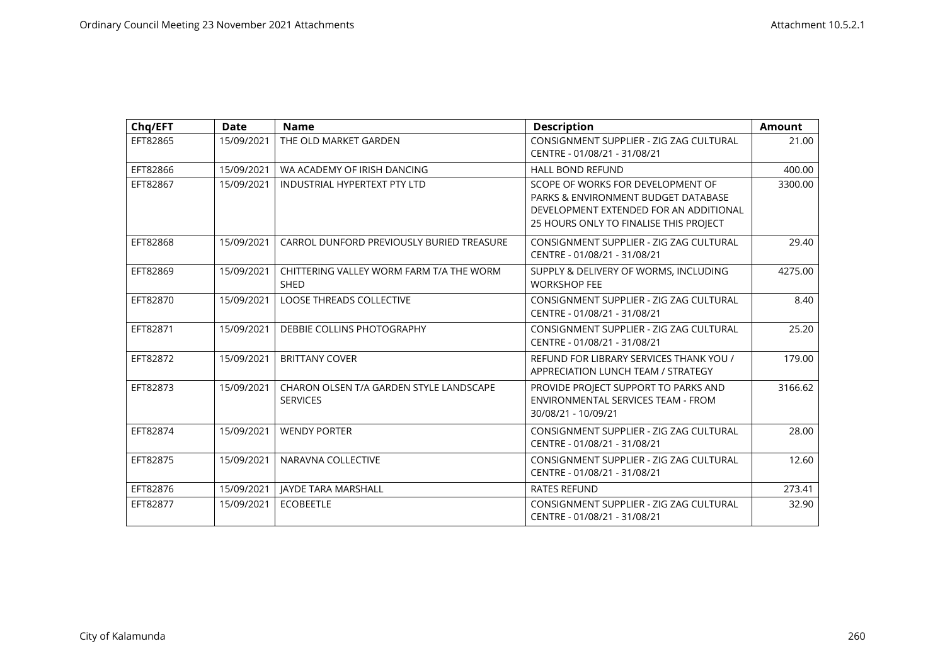| Chq/EFT  | <b>Date</b> | <b>Name</b>                                                | <b>Description</b>                                                                                                                                           | <b>Amount</b> |
|----------|-------------|------------------------------------------------------------|--------------------------------------------------------------------------------------------------------------------------------------------------------------|---------------|
| EFT82865 | 15/09/2021  | THE OLD MARKET GARDEN                                      | CONSIGNMENT SUPPLIER - ZIG ZAG CULTURAL<br>CENTRE - 01/08/21 - 31/08/21                                                                                      | 21.00         |
| EFT82866 | 15/09/2021  | WA ACADEMY OF IRISH DANCING                                | <b>HALL BOND REFUND</b>                                                                                                                                      | 400.00        |
| EFT82867 | 15/09/2021  | <b>INDUSTRIAL HYPERTEXT PTY LTD</b>                        | SCOPE OF WORKS FOR DEVELOPMENT OF<br>PARKS & ENVIRONMENT BUDGET DATABASE<br>DEVELOPMENT EXTENDED FOR AN ADDITIONAL<br>25 HOURS ONLY TO FINALISE THIS PROJECT | 3300.00       |
| EFT82868 | 15/09/2021  | CARROL DUNFORD PREVIOUSLY BURIED TREASURE                  | CONSIGNMENT SUPPLIER - ZIG ZAG CULTURAL<br>CENTRE - 01/08/21 - 31/08/21                                                                                      | 29.40         |
| EFT82869 | 15/09/2021  | CHITTERING VALLEY WORM FARM T/A THE WORM<br><b>SHED</b>    | SUPPLY & DELIVERY OF WORMS, INCLUDING<br><b>WORKSHOP FEE</b>                                                                                                 | 4275.00       |
| EFT82870 | 15/09/2021  | <b>LOOSE THREADS COLLECTIVE</b>                            | CONSIGNMENT SUPPLIER - ZIG ZAG CULTURAL<br>CENTRE - 01/08/21 - 31/08/21                                                                                      | 8.40          |
| EFT82871 | 15/09/2021  | DEBBIE COLLINS PHOTOGRAPHY                                 | CONSIGNMENT SUPPLIER - ZIG ZAG CULTURAL<br>CENTRE - 01/08/21 - 31/08/21                                                                                      | 25.20         |
| EFT82872 | 15/09/2021  | <b>BRITTANY COVER</b>                                      | REFUND FOR LIBRARY SERVICES THANK YOU /<br>APPRECIATION LUNCH TEAM / STRATEGY                                                                                | 179.00        |
| EFT82873 | 15/09/2021  | CHARON OLSEN T/A GARDEN STYLE LANDSCAPE<br><b>SERVICES</b> | PROVIDE PROJECT SUPPORT TO PARKS AND<br>ENVIRONMENTAL SERVICES TEAM - FROM<br>30/08/21 - 10/09/21                                                            | 3166.62       |
| EFT82874 | 15/09/2021  | <b>WENDY PORTER</b>                                        | CONSIGNMENT SUPPLIER - ZIG ZAG CULTURAL<br>CENTRE - 01/08/21 - 31/08/21                                                                                      | 28.00         |
| EFT82875 | 15/09/2021  | NARAVNA COLLECTIVE                                         | CONSIGNMENT SUPPLIER - ZIG ZAG CULTURAL<br>CENTRE - 01/08/21 - 31/08/21                                                                                      | 12.60         |
| EFT82876 | 15/09/2021  | <b>JAYDE TARA MARSHALL</b>                                 | <b>RATES REFUND</b>                                                                                                                                          | 273.41        |
| EFT82877 | 15/09/2021  | <b>ECOBEETLE</b>                                           | CONSIGNMENT SUPPLIER - ZIG ZAG CULTURAL<br>CENTRE - 01/08/21 - 31/08/21                                                                                      | 32.90         |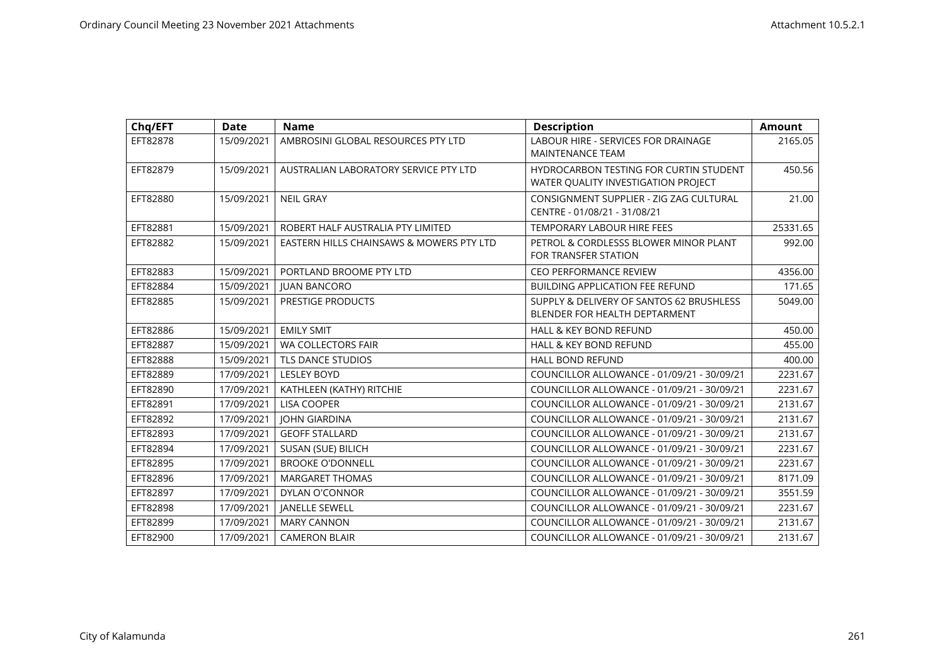| Chq/EFT  | <b>Date</b> | <b>Name</b>                              | <b>Description</b>                                                            | Amount   |
|----------|-------------|------------------------------------------|-------------------------------------------------------------------------------|----------|
| EFT82878 | 15/09/2021  | AMBROSINI GLOBAL RESOURCES PTY LTD       | <b>LABOUR HIRE - SERVICES FOR DRAINAGE</b><br><b>MAINTENANCE TEAM</b>         | 2165.05  |
| EFT82879 | 15/09/2021  | AUSTRALIAN LABORATORY SERVICE PTY LTD    | HYDROCARBON TESTING FOR CURTIN STUDENT<br>WATER QUALITY INVESTIGATION PROJECT | 450.56   |
| EFT82880 | 15/09/2021  | <b>NEIL GRAY</b>                         | CONSIGNMENT SUPPLIER - ZIG ZAG CULTURAL<br>CENTRE - 01/08/21 - 31/08/21       | 21.00    |
| EFT82881 | 15/09/2021  | ROBERT HALF AUSTRALIA PTY LIMITED        | <b>TEMPORARY LABOUR HIRE FEES</b>                                             | 25331.65 |
| EFT82882 | 15/09/2021  | EASTERN HILLS CHAINSAWS & MOWERS PTY LTD | PETROL & CORDLESSS BLOWER MINOR PLANT<br>FOR TRANSFER STATION                 | 992.00   |
| EFT82883 | 15/09/2021  | PORTLAND BROOME PTY LTD                  | <b>CEO PERFORMANCE REVIEW</b>                                                 | 4356.00  |
| EFT82884 | 15/09/2021  | <b>JUAN BANCORO</b>                      | <b>BUILDING APPLICATION FEE REFUND</b>                                        | 171.65   |
| EFT82885 | 15/09/2021  | <b>PRESTIGE PRODUCTS</b>                 | SUPPLY & DELIVERY OF SANTOS 62 BRUSHLESS<br>BLENDER FOR HEALTH DEPTARMENT     | 5049.00  |
| EFT82886 | 15/09/2021  | <b>EMILY SMIT</b>                        | <b>HALL &amp; KEY BOND REFUND</b>                                             | 450.00   |
| EFT82887 | 15/09/2021  | <b>WA COLLECTORS FAIR</b>                | <b>HALL &amp; KEY BOND REFUND</b>                                             | 455.00   |
| EFT82888 | 15/09/2021  | <b>TLS DANCE STUDIOS</b>                 | <b>HALL BOND REFUND</b>                                                       | 400.00   |
| EFT82889 | 17/09/2021  | <b>LESLEY BOYD</b>                       | COUNCILLOR ALLOWANCE - 01/09/21 - 30/09/21                                    | 2231.67  |
| EFT82890 | 17/09/2021  | KATHLEEN (KATHY) RITCHIE                 | COUNCILLOR ALLOWANCE - 01/09/21 - 30/09/21                                    | 2231.67  |
| EFT82891 | 17/09/2021  | <b>LISA COOPER</b>                       | COUNCILLOR ALLOWANCE - 01/09/21 - 30/09/21                                    | 2131.67  |
| EFT82892 | 17/09/2021  | <b>JOHN GIARDINA</b>                     | COUNCILLOR ALLOWANCE - 01/09/21 - 30/09/21                                    | 2131.67  |
| EFT82893 | 17/09/2021  | <b>GEOFF STALLARD</b>                    | COUNCILLOR ALLOWANCE - 01/09/21 - 30/09/21                                    | 2131.67  |
| EFT82894 | 17/09/2021  | SUSAN (SUE) BILICH                       | COUNCILLOR ALLOWANCE - 01/09/21 - 30/09/21                                    | 2231.67  |
| EFT82895 | 17/09/2021  | <b>BROOKE O'DONNELL</b>                  | COUNCILLOR ALLOWANCE - 01/09/21 - 30/09/21                                    | 2231.67  |
| EFT82896 | 17/09/2021  | <b>MARGARET THOMAS</b>                   | COUNCILLOR ALLOWANCE - 01/09/21 - 30/09/21                                    | 8171.09  |
| EFT82897 | 17/09/2021  | <b>DYLAN O'CONNOR</b>                    | COUNCILLOR ALLOWANCE - 01/09/21 - 30/09/21                                    | 3551.59  |
| EFT82898 | 17/09/2021  | <b>JANELLE SEWELL</b>                    | COUNCILLOR ALLOWANCE - 01/09/21 - 30/09/21                                    | 2231.67  |
| EFT82899 | 17/09/2021  | <b>MARY CANNON</b>                       | COUNCILLOR ALLOWANCE - 01/09/21 - 30/09/21                                    | 2131.67  |
| EFT82900 | 17/09/2021  | <b>CAMERON BLAIR</b>                     | COUNCILLOR ALLOWANCE - 01/09/21 - 30/09/21                                    | 2131.67  |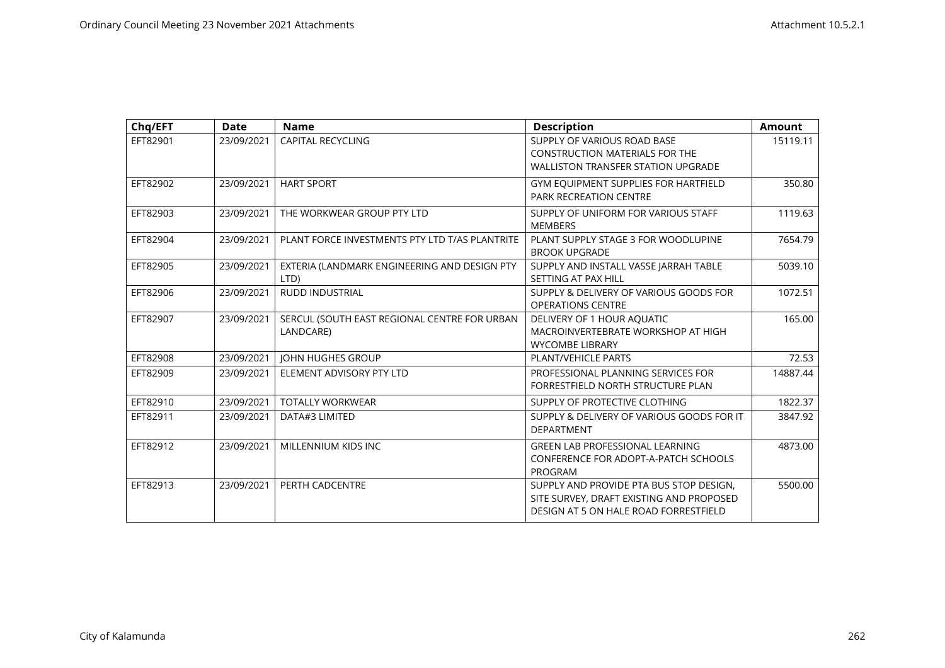| Chq/EFT  | <b>Date</b> | <b>Name</b>                                               | <b>Description</b>                                                                                                           | <b>Amount</b> |
|----------|-------------|-----------------------------------------------------------|------------------------------------------------------------------------------------------------------------------------------|---------------|
| EFT82901 | 23/09/2021  | <b>CAPITAL RECYCLING</b>                                  | SUPPLY OF VARIOUS ROAD BASE<br><b>CONSTRUCTION MATERIALS FOR THE</b><br><b>WALLISTON TRANSFER STATION UPGRADE</b>            | 15119.11      |
| EFT82902 | 23/09/2021  | <b>HART SPORT</b>                                         | GYM EQUIPMENT SUPPLIES FOR HARTFIELD<br>PARK RECREATION CENTRE                                                               | 350.80        |
| EFT82903 | 23/09/2021  | THE WORKWEAR GROUP PTY LTD                                | SUPPLY OF UNIFORM FOR VARIOUS STAFF<br><b>MEMBERS</b>                                                                        | 1119.63       |
| EFT82904 | 23/09/2021  | PLANT FORCE INVESTMENTS PTY LTD T/AS PLANTRITE            | PLANT SUPPLY STAGE 3 FOR WOODLUPINE<br><b>BROOK UPGRADE</b>                                                                  | 7654.79       |
| EFT82905 | 23/09/2021  | EXTERIA (LANDMARK ENGINEERING AND DESIGN PTY<br>LTD)      | SUPPLY AND INSTALL VASSE JARRAH TABLE<br>SETTING AT PAX HILL                                                                 | 5039.10       |
| EFT82906 | 23/09/2021  | <b>RUDD INDUSTRIAL</b>                                    | SUPPLY & DELIVERY OF VARIOUS GOODS FOR<br><b>OPERATIONS CENTRE</b>                                                           | 1072.51       |
| EFT82907 | 23/09/2021  | SERCUL (SOUTH EAST REGIONAL CENTRE FOR URBAN<br>LANDCARE) | DELIVERY OF 1 HOUR AQUATIC<br>MACROINVERTEBRATE WORKSHOP AT HIGH<br><b>WYCOMBE LIBRARY</b>                                   | 165.00        |
| EFT82908 | 23/09/2021  | <b>JOHN HUGHES GROUP</b>                                  | PLANT/VEHICLE PARTS                                                                                                          | 72.53         |
| EFT82909 | 23/09/2021  | ELEMENT ADVISORY PTY LTD                                  | PROFESSIONAL PLANNING SERVICES FOR<br>FORRESTFIELD NORTH STRUCTURE PLAN                                                      | 14887.44      |
| EFT82910 | 23/09/2021  | <b>TOTALLY WORKWEAR</b>                                   | SUPPLY OF PROTECTIVE CLOTHING                                                                                                | 1822.37       |
| EFT82911 | 23/09/2021  | DATA#3 LIMITED                                            | SUPPLY & DELIVERY OF VARIOUS GOODS FOR IT<br><b>DEPARTMENT</b>                                                               | 3847.92       |
| EFT82912 | 23/09/2021  | MILLENNIUM KIDS INC                                       | <b>GREEN LAB PROFESSIONAL LEARNING</b><br><b>CONFERENCE FOR ADOPT-A-PATCH SCHOOLS</b><br>PROGRAM                             | 4873.00       |
| EFT82913 | 23/09/2021  | PERTH CADCENTRE                                           | SUPPLY AND PROVIDE PTA BUS STOP DESIGN,<br>SITE SURVEY, DRAFT EXISTING AND PROPOSED<br>DESIGN AT 5 ON HALE ROAD FORRESTFIELD | 5500.00       |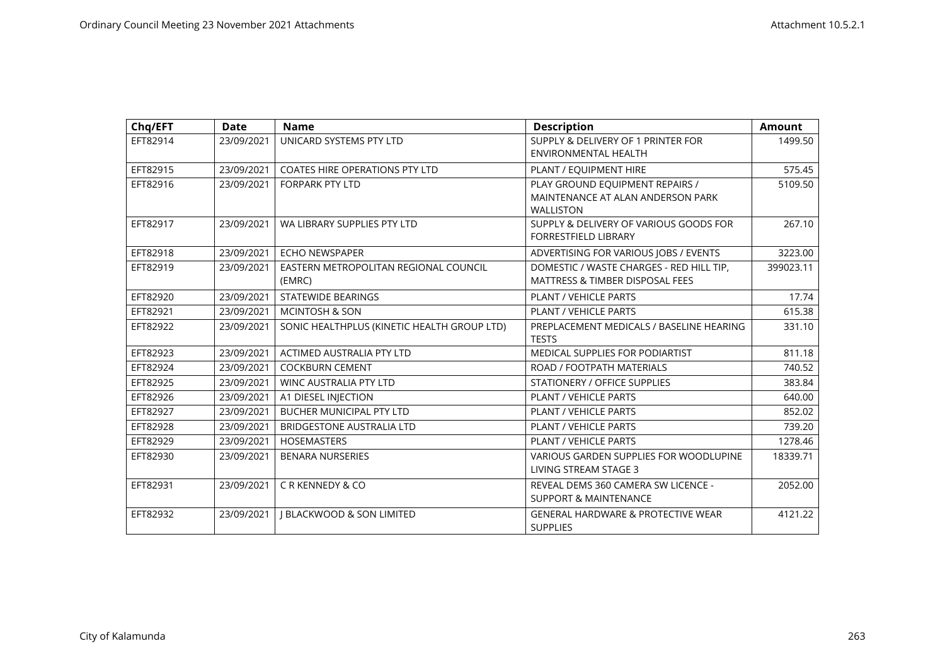| Chq/EFT  | <b>Date</b> | <b>Name</b>                                     | <b>Description</b>                                                                       | <b>Amount</b> |
|----------|-------------|-------------------------------------------------|------------------------------------------------------------------------------------------|---------------|
| EFT82914 | 23/09/2021  | UNICARD SYSTEMS PTY LTD                         | SUPPLY & DELIVERY OF 1 PRINTER FOR<br>ENVIRONMENTAL HEALTH                               | 1499.50       |
| EFT82915 | 23/09/2021  | <b>COATES HIRE OPERATIONS PTY LTD</b>           | PLANT / EQUIPMENT HIRE                                                                   | 575.45        |
| EFT82916 | 23/09/2021  | <b>FORPARK PTY LTD</b>                          | PLAY GROUND EQUIPMENT REPAIRS /<br>MAINTENANCE AT ALAN ANDERSON PARK<br><b>WALLISTON</b> | 5109.50       |
| EFT82917 | 23/09/2021  | WA LIBRARY SUPPLIES PTY LTD                     | SUPPLY & DELIVERY OF VARIOUS GOODS FOR<br><b>FORRESTFIELD LIBRARY</b>                    | 267.10        |
| EFT82918 | 23/09/2021  | <b>ECHO NEWSPAPER</b>                           | ADVERTISING FOR VARIOUS JOBS / EVENTS                                                    | 3223.00       |
| EFT82919 | 23/09/2021  | EASTERN METROPOLITAN REGIONAL COUNCIL<br>(EMRC) | DOMESTIC / WASTE CHARGES - RED HILL TIP,<br><b>MATTRESS &amp; TIMBER DISPOSAL FEES</b>   | 399023.11     |
| EFT82920 | 23/09/2021  | <b>STATEWIDE BEARINGS</b>                       | PLANT / VEHICLE PARTS                                                                    | 17.74         |
| EFT82921 | 23/09/2021  | <b>MCINTOSH &amp; SON</b>                       | PLANT / VEHICLE PARTS                                                                    | 615.38        |
| EFT82922 | 23/09/2021  | SONIC HEALTHPLUS (KINETIC HEALTH GROUP LTD)     | PREPLACEMENT MEDICALS / BASELINE HEARING<br><b>TESTS</b>                                 | 331.10        |
| EFT82923 | 23/09/2021  | ACTIMED AUSTRALIA PTY LTD                       | <b>MEDICAL SUPPLIES FOR PODIARTIST</b>                                                   | 811.18        |
| EFT82924 | 23/09/2021  | <b>COCKBURN CEMENT</b>                          | ROAD / FOOTPATH MATERIALS                                                                | 740.52        |
| EFT82925 | 23/09/2021  | <b>WINC AUSTRALIA PTY LTD</b>                   | STATIONERY / OFFICE SUPPLIES                                                             | 383.84        |
| EFT82926 | 23/09/2021  | A1 DIESEL INJECTION                             | <b>PLANT / VEHICLE PARTS</b>                                                             | 640.00        |
| EFT82927 | 23/09/2021  | BUCHER MUNICIPAL PTY LTD                        | PLANT / VEHICLE PARTS                                                                    | 852.02        |
| EFT82928 | 23/09/2021  | <b>BRIDGESTONE AUSTRALIA LTD</b>                | PLANT / VEHICLE PARTS                                                                    | 739.20        |
| EFT82929 | 23/09/2021  | <b>HOSEMASTERS</b>                              | PLANT / VEHICLE PARTS                                                                    | 1278.46       |
| EFT82930 | 23/09/2021  | <b>BENARA NURSERIES</b>                         | <b>VARIOUS GARDEN SUPPLIES FOR WOODLUPINE</b><br>LIVING STREAM STAGE 3                   | 18339.71      |
| EFT82931 | 23/09/2021  | C R KENNEDY & CO                                | REVEAL DEMS 360 CAMERA SW LICENCE -<br><b>SUPPORT &amp; MAINTENANCE</b>                  | 2052.00       |
| EFT82932 | 23/09/2021  | <b>I BLACKWOOD &amp; SON LIMITED</b>            | <b>GENERAL HARDWARE &amp; PROTECTIVE WEAR</b><br><b>SUPPLIES</b>                         | 4121.22       |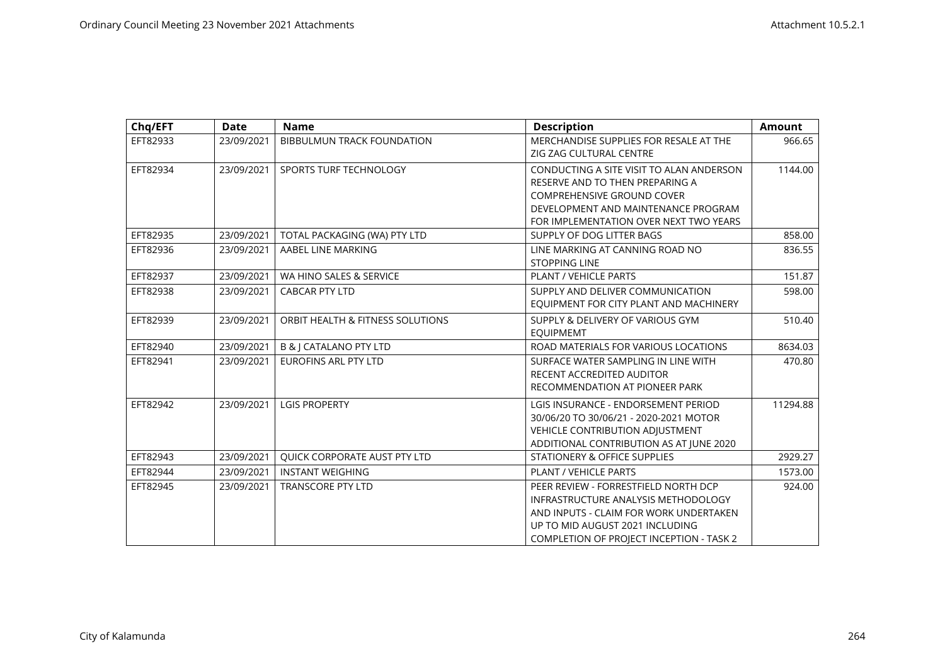| Chq/EFT  | <b>Date</b> | <b>Name</b>                       | <b>Description</b>                              | <b>Amount</b> |
|----------|-------------|-----------------------------------|-------------------------------------------------|---------------|
| EFT82933 | 23/09/2021  | BIBBULMUN TRACK FOUNDATION        | MERCHANDISE SUPPLIES FOR RESALE AT THE          | 966.65        |
|          |             |                                   | ZIG ZAG CULTURAL CENTRE                         |               |
| EFT82934 | 23/09/2021  | SPORTS TURF TECHNOLOGY            | CONDUCTING A SITE VISIT TO ALAN ANDERSON        | 1144.00       |
|          |             |                                   | RESERVE AND TO THEN PREPARING A                 |               |
|          |             |                                   | COMPREHENSIVE GROUND COVER                      |               |
|          |             |                                   | DEVELOPMENT AND MAINTENANCE PROGRAM             |               |
|          |             |                                   | FOR IMPLEMENTATION OVER NEXT TWO YEARS          |               |
| EFT82935 | 23/09/2021  | TOTAL PACKAGING (WA) PTY LTD      | SUPPLY OF DOG LITTER BAGS                       | 858.00        |
| EFT82936 | 23/09/2021  | AABEL LINE MARKING                | LINE MARKING AT CANNING ROAD NO                 | 836.55        |
|          |             |                                   | <b>STOPPING LINE</b>                            |               |
| EFT82937 | 23/09/2021  | WA HINO SALES & SERVICE           | PLANT / VEHICLE PARTS                           | 151.87        |
| EFT82938 | 23/09/2021  | <b>CABCAR PTY LTD</b>             | SUPPLY AND DELIVER COMMUNICATION                | 598.00        |
|          |             |                                   | EQUIPMENT FOR CITY PLANT AND MACHINERY          |               |
| EFT82939 | 23/09/2021  | ORBIT HEALTH & FITNESS SOLUTIONS  | SUPPLY & DELIVERY OF VARIOUS GYM                | 510.40        |
|          |             |                                   | <b>EQUIPMEMT</b>                                |               |
| EFT82940 | 23/09/2021  | <b>B &amp; J CATALANO PTY LTD</b> | ROAD MATERIALS FOR VARIOUS LOCATIONS            | 8634.03       |
| EFT82941 | 23/09/2021  | <b>EUROFINS ARL PTY LTD</b>       | SURFACE WATER SAMPLING IN LINE WITH             | 470.80        |
|          |             |                                   | RECENT ACCREDITED AUDITOR                       |               |
|          |             |                                   | RECOMMENDATION AT PIONEER PARK                  |               |
| EFT82942 | 23/09/2021  | <b>LGIS PROPERTY</b>              | LGIS INSURANCE - ENDORSEMENT PERIOD             | 11294.88      |
|          |             |                                   | 30/06/20 TO 30/06/21 - 2020-2021 MOTOR          |               |
|          |             |                                   | <b>VEHICLE CONTRIBUTION ADJUSTMENT</b>          |               |
|          |             |                                   | ADDITIONAL CONTRIBUTION AS AT JUNE 2020         |               |
| EFT82943 | 23/09/2021  | QUICK CORPORATE AUST PTY LTD      | STATIONERY & OFFICE SUPPLIES                    | 2929.27       |
| EFT82944 | 23/09/2021  | <b>INSTANT WEIGHING</b>           | PLANT / VEHICLE PARTS                           | 1573.00       |
| EFT82945 | 23/09/2021  | <b>TRANSCORE PTY LTD</b>          | PEER REVIEW - FORRESTFIELD NORTH DCP            | 924.00        |
|          |             |                                   | INFRASTRUCTURE ANALYSIS METHODOLOGY             |               |
|          |             |                                   | AND INPUTS - CLAIM FOR WORK UNDERTAKEN          |               |
|          |             |                                   | UP TO MID AUGUST 2021 INCLUDING                 |               |
|          |             |                                   | <b>COMPLETION OF PROJECT INCEPTION - TASK 2</b> |               |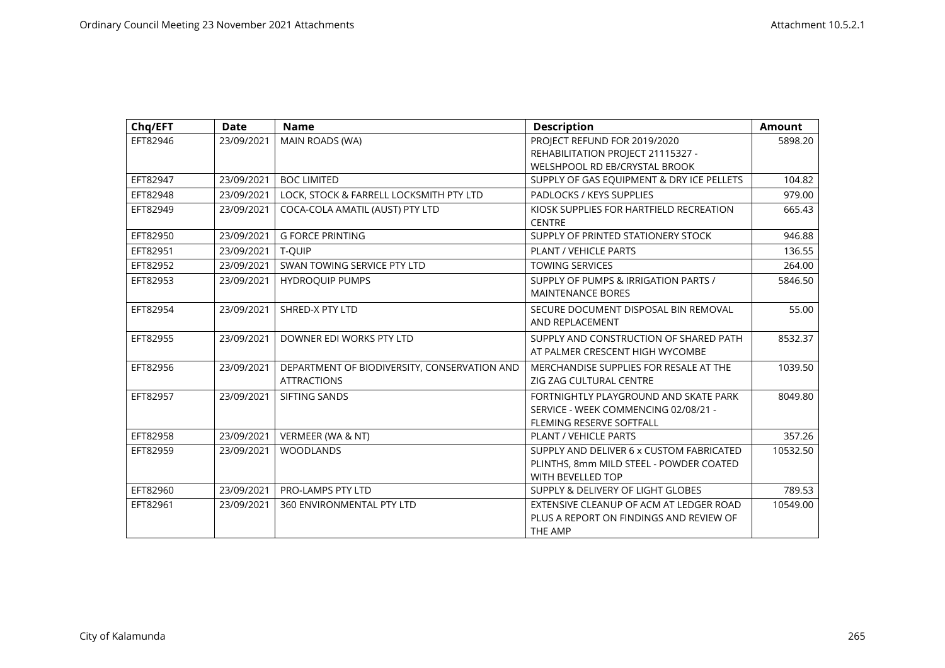| Chq/EFT  | <b>Date</b> | <b>Name</b>                                  | <b>Description</b>                        | <b>Amount</b> |
|----------|-------------|----------------------------------------------|-------------------------------------------|---------------|
| EFT82946 | 23/09/2021  | MAIN ROADS (WA)                              | PROJECT REFUND FOR 2019/2020              | 5898.20       |
|          |             |                                              | REHABILITATION PROJECT 21115327 -         |               |
|          |             |                                              | WELSHPOOL RD EB/CRYSTAL BROOK             |               |
| EFT82947 | 23/09/2021  | <b>BOC LIMITED</b>                           | SUPPLY OF GAS EQUIPMENT & DRY ICE PELLETS | 104.82        |
| EFT82948 | 23/09/2021  | LOCK, STOCK & FARRELL LOCKSMITH PTY LTD      | PADLOCKS / KEYS SUPPLIES                  | 979.00        |
| EFT82949 | 23/09/2021  | COCA-COLA AMATIL (AUST) PTY LTD              | KIOSK SUPPLIES FOR HARTFIELD RECREATION   | 665.43        |
|          |             |                                              | <b>CENTRE</b>                             |               |
| EFT82950 | 23/09/2021  | <b>G FORCE PRINTING</b>                      | SUPPLY OF PRINTED STATIONERY STOCK        | 946.88        |
| EFT82951 | 23/09/2021  | T-QUIP                                       | PLANT / VEHICLE PARTS                     | 136.55        |
| EFT82952 | 23/09/2021  | SWAN TOWING SERVICE PTY LTD                  | <b>TOWING SERVICES</b>                    | 264.00        |
| EFT82953 | 23/09/2021  | <b>HYDROOUIP PUMPS</b>                       | SUPPLY OF PUMPS & IRRIGATION PARTS /      | 5846.50       |
|          |             |                                              | <b>MAINTENANCE BORES</b>                  |               |
| EFT82954 | 23/09/2021  | SHRED-X PTY LTD                              | SECURE DOCUMENT DISPOSAL BIN REMOVAL      | 55.00         |
|          |             |                                              | AND REPLACEMENT                           |               |
| EFT82955 | 23/09/2021  | DOWNER EDI WORKS PTY LTD                     | SUPPLY AND CONSTRUCTION OF SHARED PATH    | 8532.37       |
|          |             |                                              | AT PALMER CRESCENT HIGH WYCOMBE           |               |
| EFT82956 | 23/09/2021  | DEPARTMENT OF BIODIVERSITY, CONSERVATION AND | MERCHANDISE SUPPLIES FOR RESALE AT THE    | 1039.50       |
|          |             | <b>ATTRACTIONS</b>                           | ZIG ZAG CULTURAL CENTRE                   |               |
| EFT82957 | 23/09/2021  | SIFTING SANDS                                | FORTNIGHTLY PLAYGROUND AND SKATE PARK     | 8049.80       |
|          |             |                                              | SERVICE - WEEK COMMENCING 02/08/21 -      |               |
|          |             |                                              | <b>FLEMING RESERVE SOFTFALL</b>           |               |
| EFT82958 | 23/09/2021  | VERMEER (WA & NT)                            | <b>PLANT / VEHICLE PARTS</b>              | 357.26        |
| EFT82959 | 23/09/2021  | <b>WOODLANDS</b>                             | SUPPLY AND DELIVER 6 x CUSTOM FABRICATED  | 10532.50      |
|          |             |                                              | PLINTHS, 8mm MILD STEEL - POWDER COATED   |               |
|          |             |                                              | <b>WITH BEVELLED TOP</b>                  |               |
| EFT82960 | 23/09/2021  | PRO-LAMPS PTY LTD                            | SUPPLY & DELIVERY OF LIGHT GLOBES         | 789.53        |
| EFT82961 | 23/09/2021  | 360 ENVIRONMENTAL PTY LTD                    | EXTENSIVE CLEANUP OF ACM AT LEDGER ROAD   | 10549.00      |
|          |             |                                              | PLUS A REPORT ON FINDINGS AND REVIEW OF   |               |
|          |             |                                              | THE AMP                                   |               |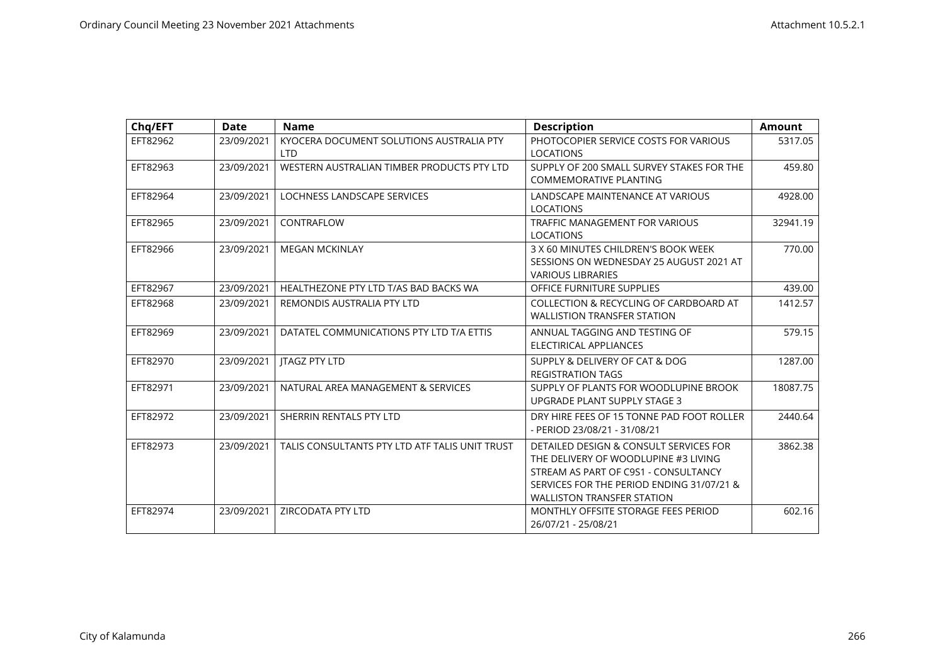| Chq/EFT  | <b>Date</b> | <b>Name</b>                                    | <b>Description</b>                        | <b>Amount</b> |
|----------|-------------|------------------------------------------------|-------------------------------------------|---------------|
| EFT82962 | 23/09/2021  | KYOCERA DOCUMENT SOLUTIONS AUSTRALIA PTY       | PHOTOCOPIER SERVICE COSTS FOR VARIOUS     | 5317.05       |
|          |             | <b>LTD</b>                                     | <b>LOCATIONS</b>                          |               |
| EFT82963 | 23/09/2021  | WESTERN AUSTRALIAN TIMBER PRODUCTS PTY LTD     | SUPPLY OF 200 SMALL SURVEY STAKES FOR THE | 459.80        |
|          |             |                                                | <b>COMMEMORATIVE PLANTING</b>             |               |
| EFT82964 | 23/09/2021  | LOCHNESS LANDSCAPE SERVICES                    | LANDSCAPE MAINTENANCE AT VARIOUS          | 4928.00       |
|          |             |                                                | <b>LOCATIONS</b>                          |               |
| EFT82965 | 23/09/2021  | CONTRAFLOW                                     | <b>TRAFFIC MANAGEMENT FOR VARIOUS</b>     | 32941.19      |
|          |             |                                                | <b>LOCATIONS</b>                          |               |
| EFT82966 | 23/09/2021  | <b>MEGAN MCKINLAY</b>                          | 3 X 60 MINUTES CHILDREN'S BOOK WEEK       | 770.00        |
|          |             |                                                | SESSIONS ON WEDNESDAY 25 AUGUST 2021 AT   |               |
|          |             |                                                | <b>VARIOUS LIBRARIES</b>                  |               |
| EFT82967 | 23/09/2021  | HEALTHEZONE PTY LTD T/AS BAD BACKS WA          | OFFICE FURNITURE SUPPLIES                 | 439.00        |
| EFT82968 | 23/09/2021  | REMONDIS AUSTRALIA PTY LTD                     | COLLECTION & RECYCLING OF CARDBOARD AT    | 1412.57       |
|          |             |                                                | <b>WALLISTION TRANSFER STATION</b>        |               |
| EFT82969 | 23/09/2021  | DATATEL COMMUNICATIONS PTY LTD T/A ETTIS       | ANNUAL TAGGING AND TESTING OF             | 579.15        |
|          |             |                                                | ELECTIRICAL APPLIANCES                    |               |
| EFT82970 | 23/09/2021  | <b>JTAGZ PTY LTD</b>                           | SUPPLY & DELIVERY OF CAT & DOG            | 1287.00       |
|          |             |                                                | <b>REGISTRATION TAGS</b>                  |               |
| EFT82971 | 23/09/2021  | NATURAL AREA MANAGEMENT & SERVICES             | SUPPLY OF PLANTS FOR WOODLUPINE BROOK     | 18087.75      |
|          |             |                                                | UPGRADE PLANT SUPPLY STAGE 3              |               |
| EFT82972 | 23/09/2021  | SHERRIN RENTALS PTY LTD                        | DRY HIRE FEES OF 15 TONNE PAD FOOT ROLLER | 2440.64       |
|          |             |                                                | - PERIOD 23/08/21 - 31/08/21              |               |
| EFT82973 | 23/09/2021  | TALIS CONSULTANTS PTY LTD ATF TALIS UNIT TRUST | DETAILED DESIGN & CONSULT SERVICES FOR    | 3862.38       |
|          |             |                                                | THE DELIVERY OF WOODLUPINE #3 LIVING      |               |
|          |             |                                                | STREAM AS PART OF C9S1 - CONSULTANCY      |               |
|          |             |                                                | SERVICES FOR THE PERIOD ENDING 31/07/21 & |               |
|          |             |                                                | <b>WALLISTON TRANSFER STATION</b>         |               |
| EFT82974 | 23/09/2021  | <b>ZIRCODATA PTY LTD</b>                       | MONTHLY OFFSITE STORAGE FEES PERIOD       | 602.16        |
|          |             |                                                | 26/07/21 - 25/08/21                       |               |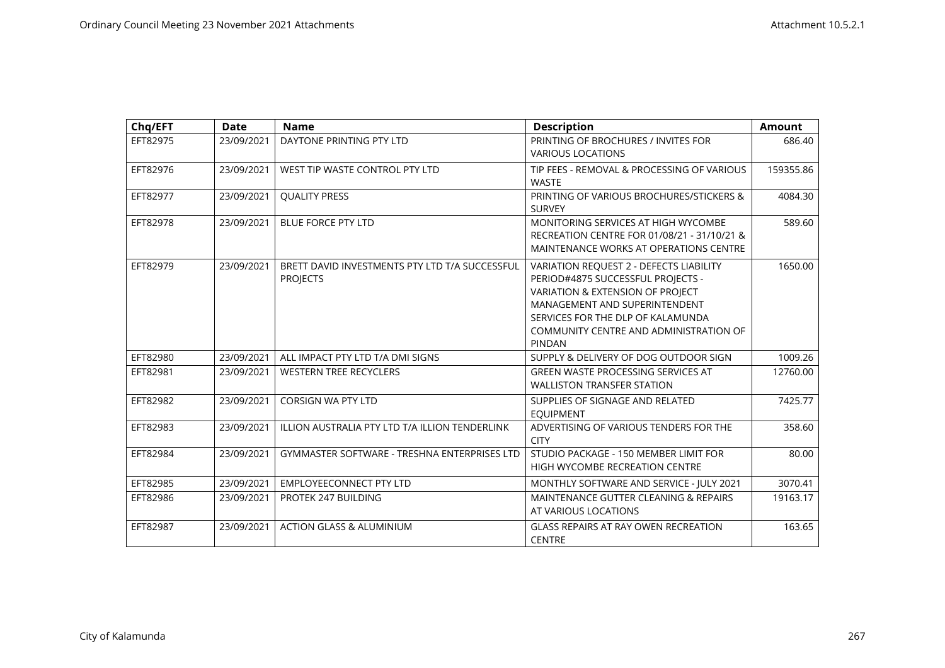| Chq/EFT  | <b>Date</b> | <b>Name</b>                                                       | <b>Description</b>                                                                                                                                                                                                                                | <b>Amount</b> |
|----------|-------------|-------------------------------------------------------------------|---------------------------------------------------------------------------------------------------------------------------------------------------------------------------------------------------------------------------------------------------|---------------|
| EFT82975 | 23/09/2021  | DAYTONE PRINTING PTY LTD                                          | PRINTING OF BROCHURES / INVITES FOR<br><b>VARIOUS LOCATIONS</b>                                                                                                                                                                                   | 686.40        |
| EFT82976 | 23/09/2021  | WEST TIP WASTE CONTROL PTY LTD                                    | TIP FEES - REMOVAL & PROCESSING OF VARIOUS<br><b>WASTE</b>                                                                                                                                                                                        | 159355.86     |
| EFT82977 | 23/09/2021  | <b>QUALITY PRESS</b>                                              | PRINTING OF VARIOUS BROCHURES/STICKERS &<br><b>SURVEY</b>                                                                                                                                                                                         | 4084.30       |
| EFT82978 | 23/09/2021  | <b>BLUE FORCE PTY LTD</b>                                         | MONITORING SERVICES AT HIGH WYCOMBE<br>RECREATION CENTRE FOR 01/08/21 - 31/10/21 &<br>MAINTENANCE WORKS AT OPERATIONS CENTRE                                                                                                                      | 589.60        |
| EFT82979 | 23/09/2021  | BRETT DAVID INVESTMENTS PTY LTD T/A SUCCESSFUL<br><b>PROJECTS</b> | VARIATION REQUEST 2 - DEFECTS LIABILITY<br>PERIOD#4875 SUCCESSFUL PROJECTS -<br>VARIATION & EXTENSION OF PROJECT<br>MANAGEMENT AND SUPERINTENDENT<br>SERVICES FOR THE DLP OF KALAMUNDA<br>COMMUNITY CENTRE AND ADMINISTRATION OF<br><b>PINDAN</b> | 1650.00       |
| EFT82980 | 23/09/2021  | ALL IMPACT PTY LTD T/A DMI SIGNS                                  | SUPPLY & DELIVERY OF DOG OUTDOOR SIGN                                                                                                                                                                                                             | 1009.26       |
| EFT82981 | 23/09/2021  | <b>WESTERN TREE RECYCLERS</b>                                     | GREEN WASTE PROCESSING SERVICES AT<br><b>WALLISTON TRANSFER STATION</b>                                                                                                                                                                           | 12760.00      |
| EFT82982 | 23/09/2021  | <b>CORSIGN WA PTY LTD</b>                                         | SUPPLIES OF SIGNAGE AND RELATED<br><b>EQUIPMENT</b>                                                                                                                                                                                               | 7425.77       |
| EFT82983 | 23/09/2021  | ILLION AUSTRALIA PTY LTD T/A ILLION TENDERLINK                    | ADVERTISING OF VARIOUS TENDERS FOR THE<br><b>CITY</b>                                                                                                                                                                                             | 358.60        |
| EFT82984 | 23/09/2021  | GYMMASTER SOFTWARE - TRESHNA ENTERPRISES LTD                      | STUDIO PACKAGE - 150 MEMBER LIMIT FOR<br>HIGH WYCOMBE RECREATION CENTRE                                                                                                                                                                           | 80.00         |
| EFT82985 | 23/09/2021  | <b>EMPLOYEECONNECT PTY LTD</b>                                    | MONTHLY SOFTWARE AND SERVICE - JULY 2021                                                                                                                                                                                                          | 3070.41       |
| EFT82986 | 23/09/2021  | PROTEK 247 BUILDING                                               | MAINTENANCE GUTTER CLEANING & REPAIRS<br>AT VARIOUS LOCATIONS                                                                                                                                                                                     | 19163.17      |
| EFT82987 | 23/09/2021  | <b>ACTION GLASS &amp; ALUMINIUM</b>                               | <b>GLASS REPAIRS AT RAY OWEN RECREATION</b><br><b>CENTRE</b>                                                                                                                                                                                      | 163.65        |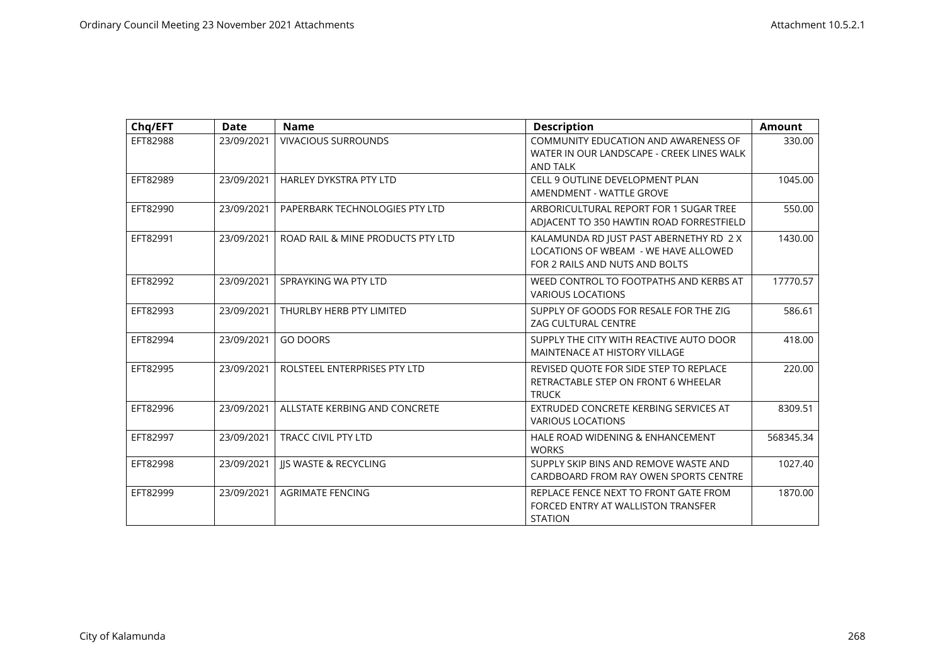| Chq/EFT  | Date       | <b>Name</b>                       | <b>Description</b>                                                                                                | Amount    |
|----------|------------|-----------------------------------|-------------------------------------------------------------------------------------------------------------------|-----------|
| EFT82988 | 23/09/2021 | <b>VIVACIOUS SURROUNDS</b>        | COMMUNITY EDUCATION AND AWARENESS OF<br>WATER IN OUR LANDSCAPE - CREEK LINES WALK<br><b>AND TALK</b>              | 330.00    |
| EFT82989 | 23/09/2021 | <b>HARLEY DYKSTRA PTY LTD</b>     | <b>CELL 9 OUTLINE DEVELOPMENT PLAN</b><br>AMENDMENT - WATTLE GROVE                                                | 1045.00   |
| EFT82990 | 23/09/2021 | PAPERBARK TECHNOLOGIES PTY LTD    | ARBORICULTURAL REPORT FOR 1 SUGAR TREE<br>ADJACENT TO 350 HAWTIN ROAD FORRESTFIELD                                | 550.00    |
| EFT82991 | 23/09/2021 | ROAD RAIL & MINE PRODUCTS PTY LTD | KALAMUNDA RD JUST PAST ABERNETHY RD 2 X<br>LOCATIONS OF WBEAM - WE HAVE ALLOWED<br>FOR 2 RAILS AND NUTS AND BOLTS | 1430.00   |
| EFT82992 | 23/09/2021 | SPRAYKING WA PTY LTD              | WEED CONTROL TO FOOTPATHS AND KERBS AT<br><b>VARIOUS LOCATIONS</b>                                                | 17770.57  |
| EFT82993 | 23/09/2021 | THURLBY HERB PTY LIMITED          | SUPPLY OF GOODS FOR RESALE FOR THE ZIG<br><b>ZAG CULTURAL CENTRE</b>                                              | 586.61    |
| EFT82994 | 23/09/2021 | <b>GO DOORS</b>                   | SUPPLY THE CITY WITH REACTIVE AUTO DOOR<br>MAINTENACE AT HISTORY VILLAGE                                          | 418.00    |
| EFT82995 | 23/09/2021 | ROLSTEEL ENTERPRISES PTY LTD      | REVISED QUOTE FOR SIDE STEP TO REPLACE<br>RETRACTABLE STEP ON FRONT 6 WHEELAR<br><b>TRUCK</b>                     | 220.00    |
| EFT82996 | 23/09/2021 | ALLSTATE KERBING AND CONCRETE     | EXTRUDED CONCRETE KERBING SERVICES AT<br><b>VARIOUS LOCATIONS</b>                                                 | 8309.51   |
| EFT82997 | 23/09/2021 | <b>TRACC CIVIL PTY LTD</b>        | HALE ROAD WIDENING & ENHANCEMENT<br><b>WORKS</b>                                                                  | 568345.34 |
| EFT82998 | 23/09/2021 | <b>IS WASTE &amp; RECYCLING</b>   | SUPPLY SKIP BINS AND REMOVE WASTE AND<br>CARDBOARD FROM RAY OWEN SPORTS CENTRE                                    | 1027.40   |
| EFT82999 | 23/09/2021 | <b>AGRIMATE FENCING</b>           | REPLACE FENCE NEXT TO FRONT GATE FROM<br>FORCED ENTRY AT WALLISTON TRANSFER<br><b>STATION</b>                     | 1870.00   |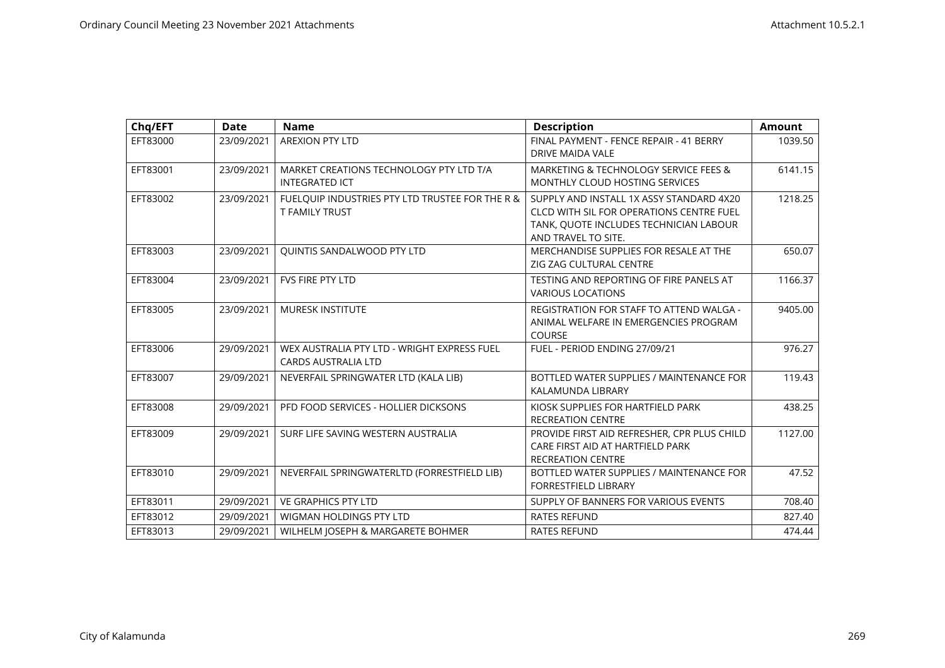| Chq/EFT  | <b>Date</b> | <b>Name</b>                                                               | <b>Description</b>                                                                                                                                    | <b>Amount</b> |
|----------|-------------|---------------------------------------------------------------------------|-------------------------------------------------------------------------------------------------------------------------------------------------------|---------------|
| EFT83000 | 23/09/2021  | <b>AREXION PTY LTD</b>                                                    | FINAL PAYMENT - FENCE REPAIR - 41 BERRY<br>DRIVE MAIDA VALE                                                                                           | 1039.50       |
| EFT83001 | 23/09/2021  | MARKET CREATIONS TECHNOLOGY PTY LTD T/A<br><b>INTEGRATED ICT</b>          | MARKETING & TECHNOLOGY SERVICE FEES &<br><b>MONTHLY CLOUD HOSTING SERVICES</b>                                                                        | 6141.15       |
| EFT83002 | 23/09/2021  | FUELQUIP INDUSTRIES PTY LTD TRUSTEE FOR THE R &<br><b>T FAMILY TRUST</b>  | SUPPLY AND INSTALL 1X ASSY STANDARD 4X20<br>CLCD WITH SIL FOR OPERATIONS CENTRE FUEL<br>TANK, QUOTE INCLUDES TECHNICIAN LABOUR<br>AND TRAVEL TO SITE. | 1218.25       |
| EFT83003 | 23/09/2021  | <b>QUINTIS SANDALWOOD PTY LTD</b>                                         | MERCHANDISE SUPPLIES FOR RESALE AT THE<br>ZIG ZAG CULTURAL CENTRE                                                                                     | 650.07        |
| EFT83004 | 23/09/2021  | <b>FVS FIRE PTY LTD</b>                                                   | TESTING AND REPORTING OF FIRE PANELS AT<br><b>VARIOUS LOCATIONS</b>                                                                                   | 1166.37       |
| EFT83005 | 23/09/2021  | <b>MURESK INSTITUTE</b>                                                   | REGISTRATION FOR STAFF TO ATTEND WALGA -<br>ANIMAL WELFARE IN EMERGENCIES PROGRAM<br><b>COURSE</b>                                                    | 9405.00       |
| EFT83006 | 29/09/2021  | WEX AUSTRALIA PTY LTD - WRIGHT EXPRESS FUEL<br><b>CARDS AUSTRALIA LTD</b> | FUEL - PERIOD ENDING 27/09/21                                                                                                                         | 976.27        |
| EFT83007 | 29/09/2021  | NEVERFAIL SPRINGWATER LTD (KALA LIB)                                      | BOTTLED WATER SUPPLIES / MAINTENANCE FOR<br>KALAMUNDA LIBRARY                                                                                         | 119.43        |
| EFT83008 | 29/09/2021  | PFD FOOD SERVICES - HOLLIER DICKSONS                                      | KIOSK SUPPLIES FOR HARTFIELD PARK<br><b>RECREATION CENTRE</b>                                                                                         | 438.25        |
| EFT83009 | 29/09/2021  | SURF LIFE SAVING WESTERN AUSTRALIA                                        | PROVIDE FIRST AID REFRESHER, CPR PLUS CHILD<br>CARE FIRST AID AT HARTFIELD PARK<br><b>RECREATION CENTRE</b>                                           | 1127.00       |
| EFT83010 | 29/09/2021  | NEVERFAIL SPRINGWATERLTD (FORRESTFIELD LIB)                               | BOTTLED WATER SUPPLIES / MAINTENANCE FOR<br>FORRESTFIELD LIBRARY                                                                                      | 47.52         |
| EFT83011 | 29/09/2021  | <b>VE GRAPHICS PTY LTD</b>                                                | SUPPLY OF BANNERS FOR VARIOUS EVENTS                                                                                                                  | 708.40        |
| EFT83012 | 29/09/2021  | WIGMAN HOLDINGS PTY LTD                                                   | <b>RATES REFUND</b>                                                                                                                                   | 827.40        |
| EFT83013 | 29/09/2021  | WILHELM JOSEPH & MARGARETE BOHMER                                         | <b>RATES REFUND</b>                                                                                                                                   | 474.44        |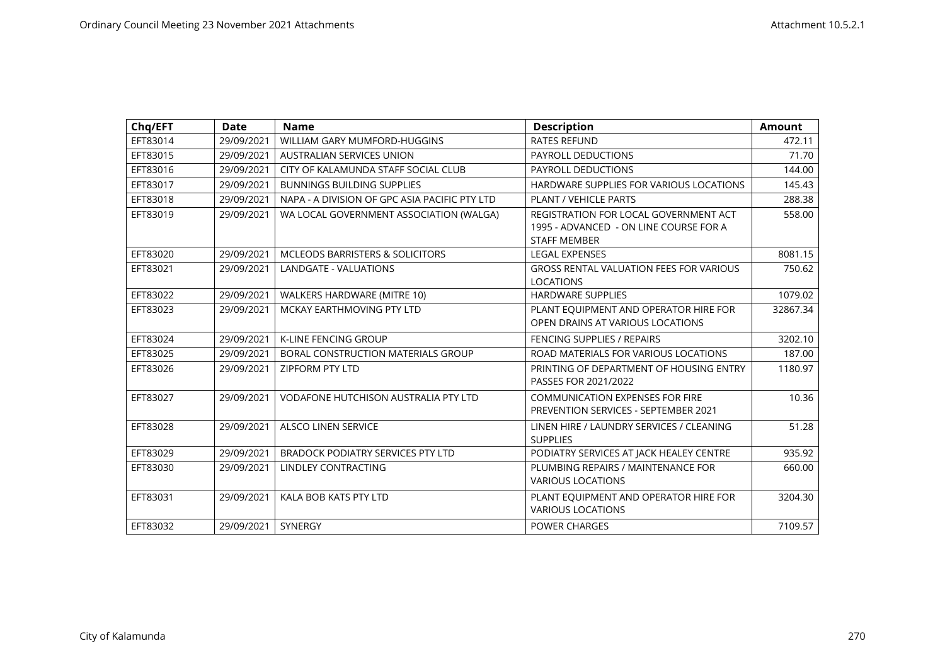| Chq/EFT  | <b>Date</b> | <b>Name</b>                                   | <b>Description</b>                                                                                     | <b>Amount</b> |
|----------|-------------|-----------------------------------------------|--------------------------------------------------------------------------------------------------------|---------------|
| EFT83014 | 29/09/2021  | WILLIAM GARY MUMFORD-HUGGINS                  | <b>RATES REFUND</b>                                                                                    | 472.11        |
| EFT83015 | 29/09/2021  | <b>AUSTRALIAN SERVICES UNION</b>              | PAYROLL DEDUCTIONS                                                                                     | 71.70         |
| EFT83016 | 29/09/2021  | CITY OF KALAMUNDA STAFF SOCIAL CLUB           | PAYROLL DEDUCTIONS                                                                                     | 144.00        |
| EFT83017 | 29/09/2021  | <b>BUNNINGS BUILDING SUPPLIES</b>             | HARDWARE SUPPLIES FOR VARIOUS LOCATIONS                                                                | 145.43        |
| EFT83018 | 29/09/2021  | NAPA - A DIVISION OF GPC ASIA PACIFIC PTY LTD | PLANT / VEHICLE PARTS                                                                                  | 288.38        |
| EFT83019 | 29/09/2021  | WA LOCAL GOVERNMENT ASSOCIATION (WALGA)       | REGISTRATION FOR LOCAL GOVERNMENT ACT<br>1995 - ADVANCED - ON LINE COURSE FOR A<br><b>STAFF MEMBER</b> | 558.00        |
| EFT83020 | 29/09/2021  | MCLEODS BARRISTERS & SOLICITORS               | <b>LEGAL EXPENSES</b>                                                                                  | 8081.15       |
| EFT83021 | 29/09/2021  | LANDGATE - VALUATIONS                         | <b>GROSS RENTAL VALUATION FEES FOR VARIOUS</b><br><b>LOCATIONS</b>                                     | 750.62        |
| EFT83022 | 29/09/2021  | WALKERS HARDWARE (MITRE 10)                   | <b>HARDWARE SUPPLIES</b>                                                                               | 1079.02       |
| EFT83023 | 29/09/2021  | MCKAY EARTHMOVING PTY LTD                     | PLANT EQUIPMENT AND OPERATOR HIRE FOR<br>OPEN DRAINS AT VARIOUS LOCATIONS                              | 32867.34      |
| EFT83024 | 29/09/2021  | <b>K-LINE FENCING GROUP</b>                   | <b>FENCING SUPPLIES / REPAIRS</b>                                                                      | 3202.10       |
| EFT83025 | 29/09/2021  | BORAL CONSTRUCTION MATERIALS GROUP            | ROAD MATERIALS FOR VARIOUS LOCATIONS                                                                   | 187.00        |
| EFT83026 | 29/09/2021  | <b>ZIPFORM PTY LTD</b>                        | PRINTING OF DEPARTMENT OF HOUSING ENTRY<br>PASSES FOR 2021/2022                                        | 1180.97       |
| EFT83027 | 29/09/2021  | <b>VODAFONE HUTCHISON AUSTRALIA PTY LTD</b>   | <b>COMMUNICATION EXPENSES FOR FIRE</b><br><b>PREVENTION SERVICES - SEPTEMBER 2021</b>                  | 10.36         |
| EFT83028 | 29/09/2021  | <b>ALSCO LINEN SERVICE</b>                    | LINEN HIRE / LAUNDRY SERVICES / CLEANING<br><b>SUPPLIES</b>                                            | 51.28         |
| EFT83029 | 29/09/2021  | <b>BRADOCK PODIATRY SERVICES PTY LTD</b>      | PODIATRY SERVICES AT JACK HEALEY CENTRE                                                                | 935.92        |
| EFT83030 | 29/09/2021  | LINDLEY CONTRACTING                           | PLUMBING REPAIRS / MAINTENANCE FOR<br><b>VARIOUS LOCATIONS</b>                                         | 660.00        |
| EFT83031 | 29/09/2021  | KALA BOB KATS PTY LTD                         | PLANT EQUIPMENT AND OPERATOR HIRE FOR<br><b>VARIOUS LOCATIONS</b>                                      | 3204.30       |
| EFT83032 | 29/09/2021  | SYNERGY                                       | <b>POWER CHARGES</b>                                                                                   | 7109.57       |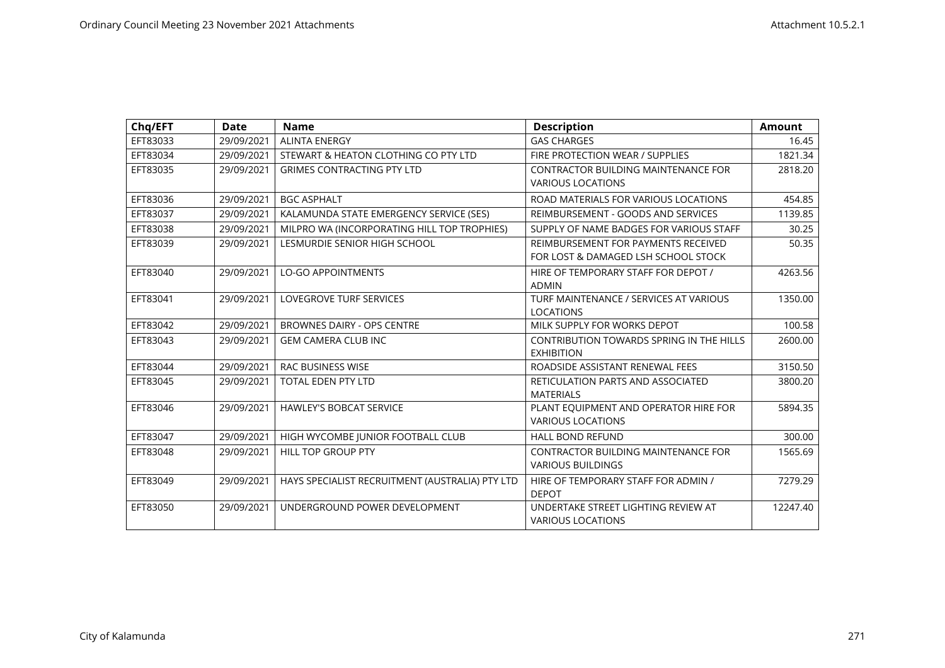| Chq/EFT  | <b>Date</b> | <b>Name</b>                                     | <b>Description</b>                                                         | <b>Amount</b> |
|----------|-------------|-------------------------------------------------|----------------------------------------------------------------------------|---------------|
| EFT83033 | 29/09/2021  | <b>ALINTA ENERGY</b>                            | <b>GAS CHARGES</b>                                                         | 16.45         |
| EFT83034 | 29/09/2021  | STEWART & HEATON CLOTHING CO PTY LTD            | FIRE PROTECTION WEAR / SUPPLIES                                            | 1821.34       |
| EFT83035 | 29/09/2021  | <b>GRIMES CONTRACTING PTY LTD</b>               | <b>CONTRACTOR BUILDING MAINTENANCE FOR</b><br><b>VARIOUS LOCATIONS</b>     | 2818.20       |
| EFT83036 | 29/09/2021  | <b>BGC ASPHALT</b>                              | ROAD MATERIALS FOR VARIOUS LOCATIONS                                       | 454.85        |
| EFT83037 | 29/09/2021  | KALAMUNDA STATE EMERGENCY SERVICE (SES)         | REIMBURSEMENT - GOODS AND SERVICES                                         | 1139.85       |
| EFT83038 | 29/09/2021  | MILPRO WA (INCORPORATING HILL TOP TROPHIES)     | SUPPLY OF NAME BADGES FOR VARIOUS STAFF                                    | 30.25         |
| EFT83039 | 29/09/2021  | LESMURDIE SENIOR HIGH SCHOOL                    | REIMBURSEMENT FOR PAYMENTS RECEIVED<br>FOR LOST & DAMAGED LSH SCHOOL STOCK | 50.35         |
| EFT83040 | 29/09/2021  | <b>LO-GO APPOINTMENTS</b>                       | HIRE OF TEMPORARY STAFF FOR DEPOT /<br><b>ADMIN</b>                        | 4263.56       |
| EFT83041 | 29/09/2021  | LOVEGROVE TURF SERVICES                         | TURF MAINTENANCE / SERVICES AT VARIOUS<br><b>LOCATIONS</b>                 | 1350.00       |
| EFT83042 | 29/09/2021  | <b>BROWNES DAIRY - OPS CENTRE</b>               | MILK SUPPLY FOR WORKS DEPOT                                                | 100.58        |
| EFT83043 | 29/09/2021  | <b>GEM CAMERA CLUB INC</b>                      | CONTRIBUTION TOWARDS SPRING IN THE HILLS<br><b>EXHIBITION</b>              | 2600.00       |
| EFT83044 | 29/09/2021  | RAC BUSINESS WISE                               | ROADSIDE ASSISTANT RENEWAL FEES                                            | 3150.50       |
| EFT83045 | 29/09/2021  | <b>TOTAL EDEN PTY LTD</b>                       | RETICULATION PARTS AND ASSOCIATED<br><b>MATERIALS</b>                      | 3800.20       |
| EFT83046 | 29/09/2021  | <b>HAWLEY'S BOBCAT SERVICE</b>                  | PLANT EQUIPMENT AND OPERATOR HIRE FOR<br><b>VARIOUS LOCATIONS</b>          | 5894.35       |
| EFT83047 | 29/09/2021  | HIGH WYCOMBE JUNIOR FOOTBALL CLUB               | <b>HALL BOND REFUND</b>                                                    | 300.00        |
| EFT83048 | 29/09/2021  | HILL TOP GROUP PTY                              | <b>CONTRACTOR BUILDING MAINTENANCE FOR</b><br><b>VARIOUS BUILDINGS</b>     | 1565.69       |
| EFT83049 | 29/09/2021  | HAYS SPECIALIST RECRUITMENT (AUSTRALIA) PTY LTD | HIRE OF TEMPORARY STAFF FOR ADMIN /<br><b>DEPOT</b>                        | 7279.29       |
| EFT83050 | 29/09/2021  | UNDERGROUND POWER DEVELOPMENT                   | UNDERTAKE STREET LIGHTING REVIEW AT<br><b>VARIOUS LOCATIONS</b>            | 12247.40      |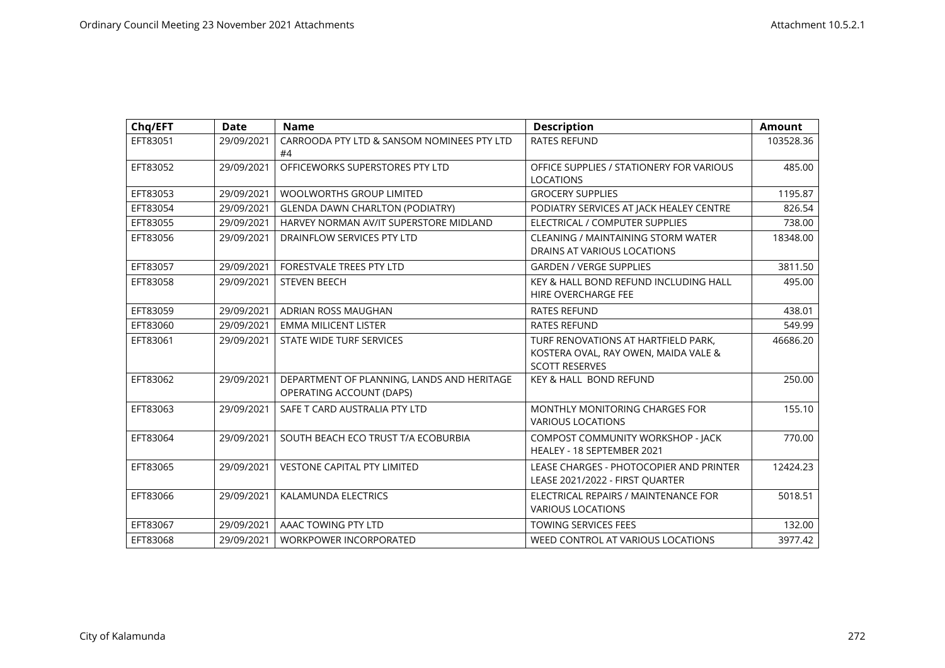| Chq/EFT  | <b>Date</b> | <b>Name</b>                                                            | <b>Description</b>                                                                                   | <b>Amount</b> |
|----------|-------------|------------------------------------------------------------------------|------------------------------------------------------------------------------------------------------|---------------|
| EFT83051 | 29/09/2021  | CARROODA PTY LTD & SANSOM NOMINEES PTY LTD<br>#4                       | <b>RATES REFUND</b>                                                                                  | 103528.36     |
| EFT83052 | 29/09/2021  | OFFICEWORKS SUPERSTORES PTY LTD                                        | OFFICE SUPPLIES / STATIONERY FOR VARIOUS<br><b>LOCATIONS</b>                                         | 485.00        |
| EFT83053 | 29/09/2021  | <b>WOOLWORTHS GROUP LIMITED</b>                                        | <b>GROCERY SUPPLIES</b>                                                                              | 1195.87       |
| EFT83054 | 29/09/2021  | <b>GLENDA DAWN CHARLTON (PODIATRY)</b>                                 | PODIATRY SERVICES AT JACK HEALEY CENTRE                                                              | 826.54        |
| EFT83055 | 29/09/2021  | HARVEY NORMAN AV/IT SUPERSTORE MIDLAND                                 | ELECTRICAL / COMPUTER SUPPLIES                                                                       | 738.00        |
| EFT83056 | 29/09/2021  | DRAINFLOW SERVICES PTY LTD                                             | CLEANING / MAINTAINING STORM WATER<br>DRAINS AT VARIOUS LOCATIONS                                    | 18348.00      |
| EFT83057 | 29/09/2021  | <b>FORESTVALE TREES PTY LTD</b>                                        | <b>GARDEN / VERGE SUPPLIES</b>                                                                       | 3811.50       |
| EFT83058 | 29/09/2021  | <b>STEVEN BEECH</b>                                                    | KEY & HALL BOND REFUND INCLUDING HALL<br>HIRE OVERCHARGE FEE                                         | 495.00        |
| EFT83059 | 29/09/2021  | <b>ADRIAN ROSS MAUGHAN</b>                                             | <b>RATES REFUND</b>                                                                                  | 438.01        |
| EFT83060 | 29/09/2021  | <b>EMMA MILICENT LISTER</b>                                            | <b>RATES REFUND</b>                                                                                  | 549.99        |
| EFT83061 | 29/09/2021  | STATE WIDE TURF SERVICES                                               | TURF RENOVATIONS AT HARTFIELD PARK,<br>KOSTERA OVAL, RAY OWEN, MAIDA VALE &<br><b>SCOTT RESERVES</b> | 46686.20      |
| EFT83062 | 29/09/2021  | DEPARTMENT OF PLANNING, LANDS AND HERITAGE<br>OPERATING ACCOUNT (DAPS) | <b>KEY &amp; HALL BOND REFUND</b>                                                                    | 250.00        |
| EFT83063 | 29/09/2021  | SAFE T CARD AUSTRALIA PTY LTD                                          | MONTHLY MONITORING CHARGES FOR<br><b>VARIOUS LOCATIONS</b>                                           | 155.10        |
| EFT83064 | 29/09/2021  | SOUTH BEACH ECO TRUST T/A ECOBURBIA                                    | COMPOST COMMUNITY WORKSHOP - JACK<br>HEALEY - 18 SEPTEMBER 2021                                      | 770.00        |
| EFT83065 | 29/09/2021  | <b>VESTONE CAPITAL PTY LIMITED</b>                                     | LEASE CHARGES - PHOTOCOPIER AND PRINTER<br>LEASE 2021/2022 - FIRST QUARTER                           | 12424.23      |
| EFT83066 | 29/09/2021  | KALAMUNDA ELECTRICS                                                    | ELECTRICAL REPAIRS / MAINTENANCE FOR<br><b>VARIOUS LOCATIONS</b>                                     | 5018.51       |
| EFT83067 | 29/09/2021  | AAAC TOWING PTY LTD                                                    | TOWING SERVICES FEES                                                                                 | 132.00        |
| EFT83068 | 29/09/2021  | <b>WORKPOWER INCORPORATED</b>                                          | WEED CONTROL AT VARIOUS LOCATIONS                                                                    | 3977.42       |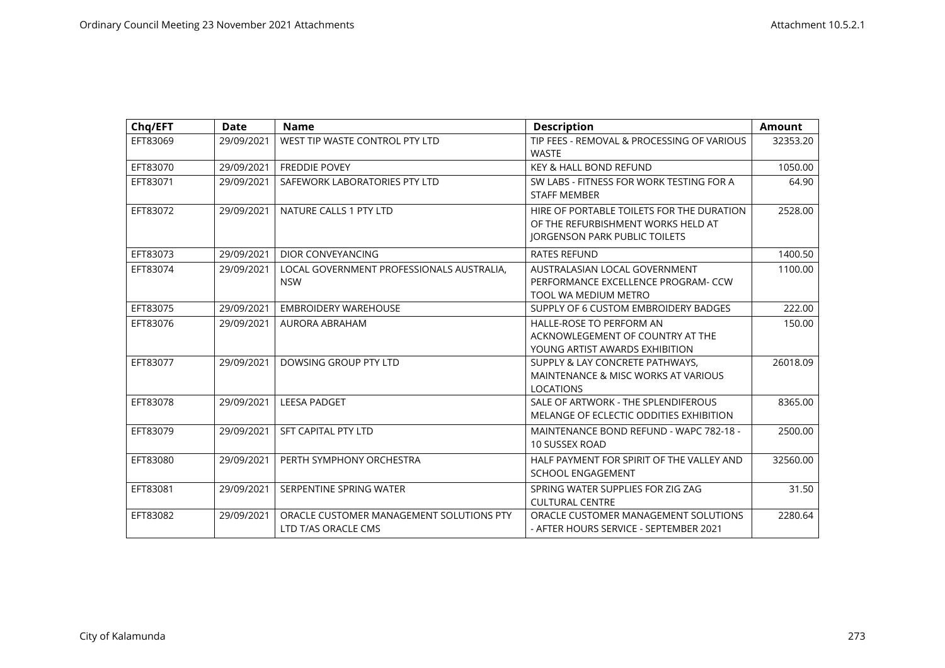| Chq/EFT  | <b>Date</b> | <b>Name</b>                                                     | <b>Description</b>                                                                                                      | <b>Amount</b> |
|----------|-------------|-----------------------------------------------------------------|-------------------------------------------------------------------------------------------------------------------------|---------------|
| EFT83069 | 29/09/2021  | WEST TIP WASTE CONTROL PTY LTD                                  | TIP FEES - REMOVAL & PROCESSING OF VARIOUS<br><b>WASTE</b>                                                              | 32353.20      |
| EFT83070 | 29/09/2021  | <b>FREDDIE POVEY</b>                                            | KEY & HALL BOND REFUND                                                                                                  | 1050.00       |
| EFT83071 | 29/09/2021  | SAFEWORK LABORATORIES PTY LTD                                   | SW LABS - FITNESS FOR WORK TESTING FOR A<br><b>STAFF MEMBER</b>                                                         | 64.90         |
| EFT83072 | 29/09/2021  | NATURE CALLS 1 PTY LTD                                          | HIRE OF PORTABLE TOILETS FOR THE DURATION<br>OF THE REFURBISHMENT WORKS HELD AT<br><b>JORGENSON PARK PUBLIC TOILETS</b> | 2528.00       |
| EFT83073 | 29/09/2021  | DIOR CONVEYANCING                                               | <b>RATES REFUND</b>                                                                                                     | 1400.50       |
| EFT83074 | 29/09/2021  | LOCAL GOVERNMENT PROFESSIONALS AUSTRALIA.<br><b>NSW</b>         | AUSTRALASIAN LOCAL GOVERNMENT<br>PERFORMANCE EXCELLENCE PROGRAM- CCW<br>TOOL WA MEDIUM METRO                            | 1100.00       |
| EFT83075 | 29/09/2021  | <b>EMBROIDERY WAREHOUSE</b>                                     | SUPPLY OF 6 CUSTOM EMBROIDERY BADGES                                                                                    | 222.00        |
| EFT83076 | 29/09/2021  | AURORA ABRAHAM                                                  | <b>HALLE-ROSE TO PERFORM AN</b><br>ACKNOWLEGEMENT OF COUNTRY AT THE<br>YOUNG ARTIST AWARDS EXHIBITION                   | 150.00        |
| EFT83077 | 29/09/2021  | DOWSING GROUP PTY LTD                                           | SUPPLY & LAY CONCRETE PATHWAYS,<br>MAINTENANCE & MISC WORKS AT VARIOUS<br><b>LOCATIONS</b>                              | 26018.09      |
| EFT83078 | 29/09/2021  | <b>LEESA PADGET</b>                                             | SALE OF ARTWORK - THE SPLENDIFEROUS<br>MELANGE OF ECLECTIC ODDITIES EXHIBITION                                          | 8365.00       |
| EFT83079 | 29/09/2021  | SFT CAPITAL PTY LTD                                             | MAINTENANCE BOND REFUND - WAPC 782-18 -<br><b>10 SUSSEX ROAD</b>                                                        | 2500.00       |
| EFT83080 | 29/09/2021  | PERTH SYMPHONY ORCHESTRA                                        | HALF PAYMENT FOR SPIRIT OF THE VALLEY AND<br><b>SCHOOL ENGAGEMENT</b>                                                   | 32560.00      |
| EFT83081 | 29/09/2021  | SERPENTINE SPRING WATER                                         | SPRING WATER SUPPLIES FOR ZIG ZAG<br><b>CULTURAL CENTRE</b>                                                             | 31.50         |
| EFT83082 | 29/09/2021  | ORACLE CUSTOMER MANAGEMENT SOLUTIONS PTY<br>LTD T/AS ORACLE CMS | ORACLE CUSTOMER MANAGEMENT SOLUTIONS<br>- AFTER HOURS SERVICE - SEPTEMBER 2021                                          | 2280.64       |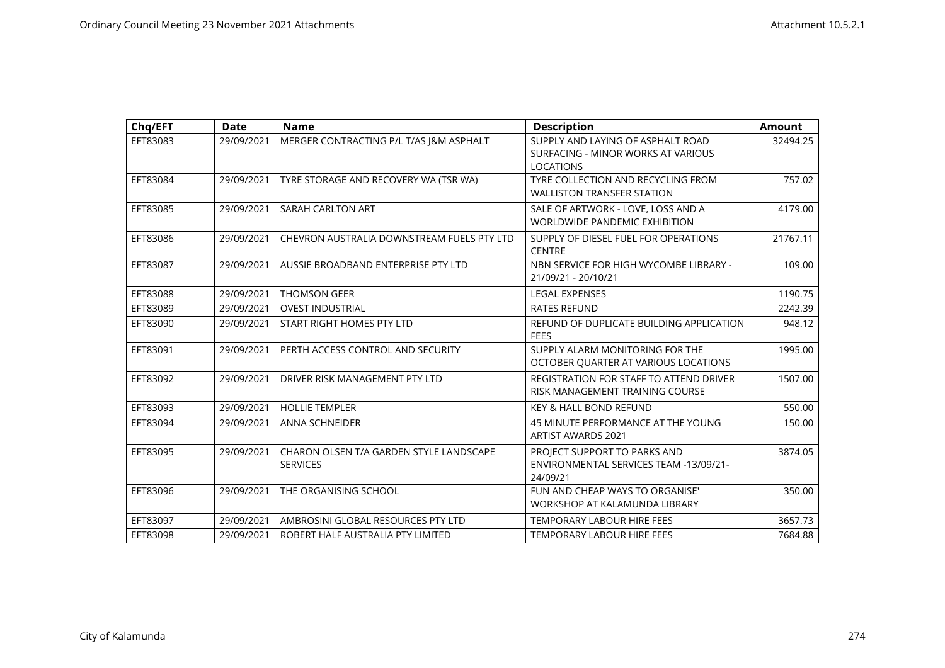| Chq/EFT  | <b>Date</b> | <b>Name</b>                                                | <b>Description</b>                                                                          | <b>Amount</b> |
|----------|-------------|------------------------------------------------------------|---------------------------------------------------------------------------------------------|---------------|
| EFT83083 | 29/09/2021  | MERGER CONTRACTING P/L T/AS J&M ASPHALT                    | SUPPLY AND LAYING OF ASPHALT ROAD<br>SURFACING - MINOR WORKS AT VARIOUS<br><b>LOCATIONS</b> | 32494.25      |
| EFT83084 | 29/09/2021  | TYRE STORAGE AND RECOVERY WA (TSR WA)                      | TYRE COLLECTION AND RECYCLING FROM<br><b>WALLISTON TRANSFER STATION</b>                     | 757.02        |
| EFT83085 | 29/09/2021  | SARAH CARLTON ART                                          | SALE OF ARTWORK - LOVE, LOSS AND A<br><b>WORLDWIDE PANDEMIC EXHIBITION</b>                  | 4179.00       |
| EFT83086 | 29/09/2021  | CHEVRON AUSTRALIA DOWNSTREAM FUELS PTY LTD                 | SUPPLY OF DIESEL FUEL FOR OPERATIONS<br><b>CENTRE</b>                                       | 21767.11      |
| EFT83087 | 29/09/2021  | AUSSIE BROADBAND ENTERPRISE PTY LTD                        | NBN SERVICE FOR HIGH WYCOMBE LIBRARY -<br>21/09/21 - 20/10/21                               | 109.00        |
| EFT83088 | 29/09/2021  | <b>THOMSON GEER</b>                                        | <b>LEGAL EXPENSES</b>                                                                       | 1190.75       |
| EFT83089 | 29/09/2021  | <b>OVEST INDUSTRIAL</b>                                    | <b>RATES REFUND</b>                                                                         | 2242.39       |
| EFT83090 | 29/09/2021  | START RIGHT HOMES PTY LTD                                  | REFUND OF DUPLICATE BUILDING APPLICATION<br><b>FEES</b>                                     | 948.12        |
| EFT83091 | 29/09/2021  | PERTH ACCESS CONTROL AND SECURITY                          | SUPPLY ALARM MONITORING FOR THE<br>OCTOBER QUARTER AT VARIOUS LOCATIONS                     | 1995.00       |
| EFT83092 | 29/09/2021  | DRIVER RISK MANAGEMENT PTY LTD                             | REGISTRATION FOR STAFF TO ATTEND DRIVER<br>RISK MANAGEMENT TRAINING COURSE                  | 1507.00       |
| EFT83093 | 29/09/2021  | <b>HOLLIE TEMPLER</b>                                      | <b>KEY &amp; HALL BOND REFUND</b>                                                           | 550.00        |
| EFT83094 | 29/09/2021  | <b>ANNA SCHNEIDER</b>                                      | 45 MINUTE PERFORMANCE AT THE YOUNG<br><b>ARTIST AWARDS 2021</b>                             | 150.00        |
| EFT83095 | 29/09/2021  | CHARON OLSEN T/A GARDEN STYLE LANDSCAPE<br><b>SERVICES</b> | PROJECT SUPPORT TO PARKS AND<br>ENVIRONMENTAL SERVICES TEAM -13/09/21-<br>24/09/21          | 3874.05       |
| EFT83096 | 29/09/2021  | THE ORGANISING SCHOOL                                      | FUN AND CHEAP WAYS TO ORGANISE'<br>WORKSHOP AT KALAMUNDA LIBRARY                            | 350.00        |
| EFT83097 | 29/09/2021  | AMBROSINI GLOBAL RESOURCES PTY LTD                         | <b>TEMPORARY LABOUR HIRE FEES</b>                                                           | 3657.73       |
| EFT83098 | 29/09/2021  | ROBERT HALF AUSTRALIA PTY LIMITED                          | <b>TEMPORARY LABOUR HIRE FEES</b>                                                           | 7684.88       |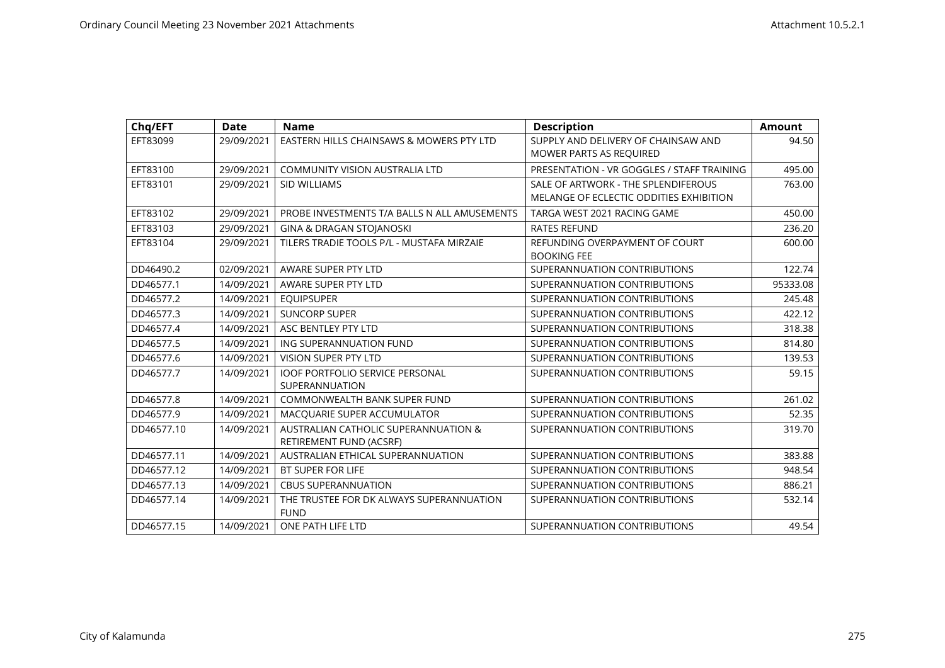| Chq/EFT    | <b>Date</b> | <b>Name</b>                                  | <b>Description</b>                         | <b>Amount</b> |
|------------|-------------|----------------------------------------------|--------------------------------------------|---------------|
| EFT83099   | 29/09/2021  | EASTERN HILLS CHAINSAWS & MOWERS PTY LTD     | SUPPLY AND DELIVERY OF CHAINSAW AND        | 94.50         |
|            |             |                                              | MOWER PARTS AS REQUIRED                    |               |
| EFT83100   | 29/09/2021  | <b>COMMUNITY VISION AUSTRALIA LTD</b>        | PRESENTATION - VR GOGGLES / STAFF TRAINING | 495.00        |
| EFT83101   | 29/09/2021  | <b>SID WILLIAMS</b>                          | SALE OF ARTWORK - THE SPLENDIFEROUS        | 763.00        |
|            |             |                                              | MELANGE OF ECLECTIC ODDITIES EXHIBITION    |               |
| EFT83102   | 29/09/2021  | PROBE INVESTMENTS T/A BALLS N ALL AMUSEMENTS | TARGA WEST 2021 RACING GAME                | 450.00        |
| EFT83103   | 29/09/2021  | <b>GINA &amp; DRAGAN STOJANOSKI</b>          | <b>RATES REFUND</b>                        | 236.20        |
| EFT83104   | 29/09/2021  | TILERS TRADIE TOOLS P/L - MUSTAFA MIRZAIE    | REFUNDING OVERPAYMENT OF COURT             | 600.00        |
|            |             |                                              | <b>BOOKING FEE</b>                         |               |
| DD46490.2  | 02/09/2021  | AWARE SUPER PTY LTD                          | SUPERANNUATION CONTRIBUTIONS               | 122.74        |
| DD46577.1  | 14/09/2021  | AWARE SUPER PTY LTD                          | SUPERANNUATION CONTRIBUTIONS               | 95333.08      |
| DD46577.2  | 14/09/2021  | <b>EQUIPSUPER</b>                            | SUPERANNUATION CONTRIBUTIONS               | 245.48        |
| DD46577.3  | 14/09/2021  | <b>SUNCORP SUPER</b>                         | SUPERANNUATION CONTRIBUTIONS               | 422.12        |
| DD46577.4  | 14/09/2021  | ASC BENTLEY PTY LTD                          | SUPERANNUATION CONTRIBUTIONS               | 318.38        |
| DD46577.5  | 14/09/2021  | ING SUPERANNUATION FUND                      | SUPERANNUATION CONTRIBUTIONS               | 814.80        |
| DD46577.6  | 14/09/2021  | <b>VISION SUPER PTY LTD</b>                  | SUPERANNUATION CONTRIBUTIONS               | 139.53        |
| DD46577.7  | 14/09/2021  | <b>IOOF PORTFOLIO SERVICE PERSONAL</b>       | SUPERANNUATION CONTRIBUTIONS               | 59.15         |
|            |             | SUPERANNUATION                               |                                            |               |
| DD46577.8  | 14/09/2021  | <b>COMMONWEALTH BANK SUPER FUND</b>          | SUPERANNUATION CONTRIBUTIONS               | 261.02        |
| DD46577.9  | 14/09/2021  | MACQUARIE SUPER ACCUMULATOR                  | SUPERANNUATION CONTRIBUTIONS               | 52.35         |
| DD46577.10 | 14/09/2021  | AUSTRALIAN CATHOLIC SUPERANNUATION &         | SUPERANNUATION CONTRIBUTIONS               | 319.70        |
|            |             | RETIREMENT FUND (ACSRF)                      |                                            |               |
| DD46577.11 | 14/09/2021  | AUSTRALIAN ETHICAL SUPERANNUATION            | SUPERANNUATION CONTRIBUTIONS               | 383.88        |
| DD46577.12 | 14/09/2021  | BT SUPER FOR LIFE                            | SUPERANNUATION CONTRIBUTIONS               | 948.54        |
| DD46577.13 | 14/09/2021  | <b>CBUS SUPERANNUATION</b>                   | SUPERANNUATION CONTRIBUTIONS               | 886.21        |
| DD46577.14 | 14/09/2021  | THE TRUSTEE FOR DK ALWAYS SUPERANNUATION     | SUPERANNUATION CONTRIBUTIONS               | 532.14        |
|            |             | <b>FUND</b>                                  |                                            |               |
| DD46577.15 | 14/09/2021  | ONE PATH LIFE LTD                            | SUPERANNUATION CONTRIBUTIONS               | 49.54         |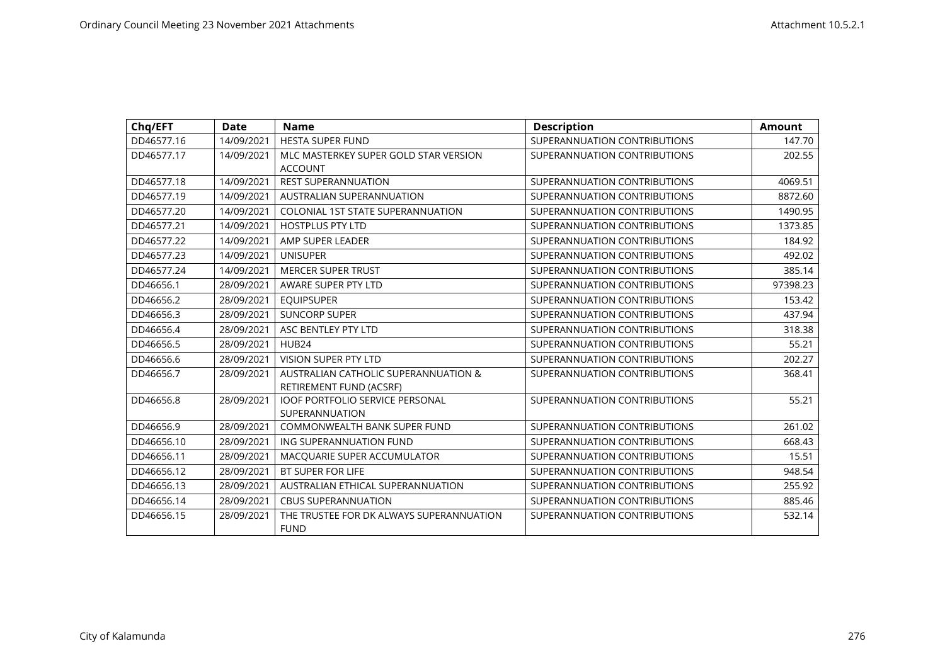| Chq/EFT    | <b>Date</b> | <b>Name</b>                                                     | <b>Description</b>           | <b>Amount</b> |
|------------|-------------|-----------------------------------------------------------------|------------------------------|---------------|
| DD46577.16 | 14/09/2021  | <b>HESTA SUPER FUND</b>                                         | SUPERANNUATION CONTRIBUTIONS | 147.70        |
| DD46577.17 | 14/09/2021  | MLC MASTERKEY SUPER GOLD STAR VERSION<br><b>ACCOUNT</b>         | SUPERANNUATION CONTRIBUTIONS | 202.55        |
| DD46577.18 | 14/09/2021  | <b>REST SUPERANNUATION</b>                                      | SUPERANNUATION CONTRIBUTIONS | 4069.51       |
| DD46577.19 | 14/09/2021  | AUSTRALIAN SUPERANNUATION                                       | SUPERANNUATION CONTRIBUTIONS | 8872.60       |
| DD46577.20 | 14/09/2021  | <b>COLONIAL 1ST STATE SUPERANNUATION</b>                        | SUPERANNUATION CONTRIBUTIONS | 1490.95       |
| DD46577.21 | 14/09/2021  | <b>HOSTPLUS PTY LTD</b>                                         | SUPERANNUATION CONTRIBUTIONS | 1373.85       |
| DD46577.22 | 14/09/2021  | AMP SUPER LEADER                                                | SUPERANNUATION CONTRIBUTIONS | 184.92        |
| DD46577.23 | 14/09/2021  | <b>UNISUPER</b>                                                 | SUPERANNUATION CONTRIBUTIONS | 492.02        |
| DD46577.24 | 14/09/2021  | <b>MERCER SUPER TRUST</b>                                       | SUPERANNUATION CONTRIBUTIONS | 385.14        |
| DD46656.1  | 28/09/2021  | AWARE SUPER PTY LTD                                             | SUPERANNUATION CONTRIBUTIONS | 97398.23      |
| DD46656.2  | 28/09/2021  | <b>EQUIPSUPER</b>                                               | SUPERANNUATION CONTRIBUTIONS | 153.42        |
| DD46656.3  | 28/09/2021  | <b>SUNCORP SUPER</b>                                            | SUPERANNUATION CONTRIBUTIONS | 437.94        |
| DD46656.4  | 28/09/2021  | ASC BENTLEY PTY LTD                                             | SUPERANNUATION CONTRIBUTIONS | 318.38        |
| DD46656.5  | 28/09/2021  | HUB24                                                           | SUPERANNUATION CONTRIBUTIONS | 55.21         |
| DD46656.6  | 28/09/2021  | VISION SUPER PTY LTD                                            | SUPERANNUATION CONTRIBUTIONS | 202.27        |
| DD46656.7  | 28/09/2021  | AUSTRALIAN CATHOLIC SUPERANNUATION &<br>RETIREMENT FUND (ACSRF) | SUPERANNUATION CONTRIBUTIONS | 368.41        |
| DD46656.8  | 28/09/2021  | <b>IOOF PORTFOLIO SERVICE PERSONAL</b><br>SUPERANNUATION        | SUPERANNUATION CONTRIBUTIONS | 55.21         |
| DD46656.9  | 28/09/2021  | <b>COMMONWEALTH BANK SUPER FUND</b>                             | SUPERANNUATION CONTRIBUTIONS | 261.02        |
| DD46656.10 | 28/09/2021  | ING SUPERANNUATION FUND                                         | SUPERANNUATION CONTRIBUTIONS | 668.43        |
| DD46656.11 | 28/09/2021  | MACQUARIE SUPER ACCUMULATOR                                     | SUPERANNUATION CONTRIBUTIONS | 15.51         |
| DD46656.12 | 28/09/2021  | BT SUPER FOR LIFE                                               | SUPERANNUATION CONTRIBUTIONS | 948.54        |
| DD46656.13 | 28/09/2021  | AUSTRALIAN ETHICAL SUPERANNUATION                               | SUPERANNUATION CONTRIBUTIONS | 255.92        |
| DD46656.14 | 28/09/2021  | <b>CBUS SUPERANNUATION</b>                                      | SUPERANNUATION CONTRIBUTIONS | 885.46        |
| DD46656.15 | 28/09/2021  | THE TRUSTEE FOR DK ALWAYS SUPERANNUATION<br><b>FUND</b>         | SUPERANNUATION CONTRIBUTIONS | 532.14        |